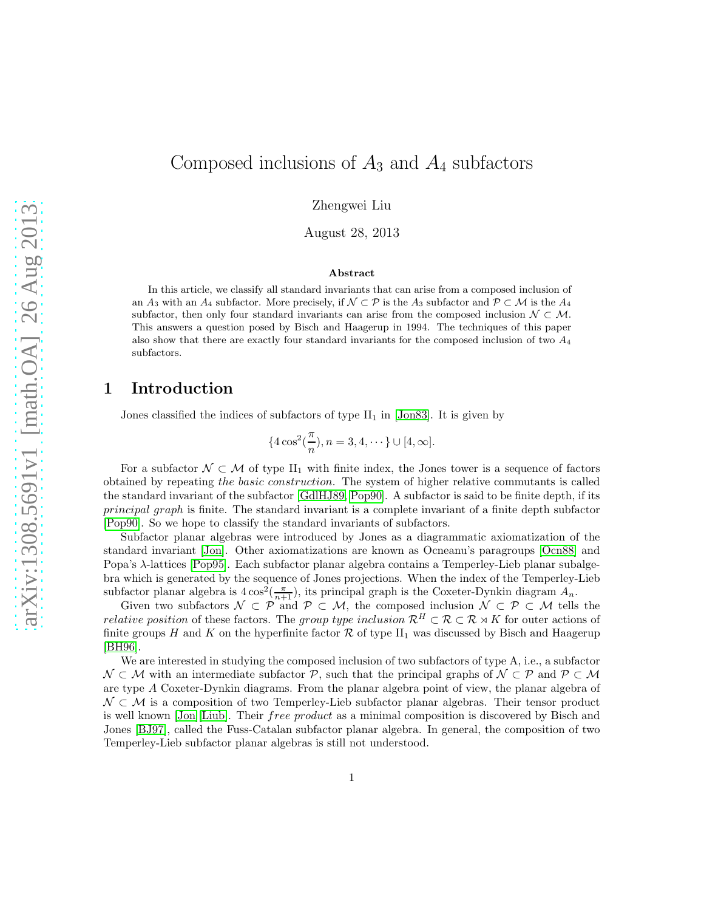# Composed inclusions of  $A_3$  and  $A_4$  subfactors

Zhengwei Liu

August 28, 2013

#### Abstract

In this article, we classify all standard invariants that can arise from a composed inclusion of an  $A_3$  with an  $A_4$  subfactor. More precisely, if  $\mathcal{N} \subset \mathcal{P}$  is the  $A_3$  subfactor and  $\mathcal{P} \subset \mathcal{M}$  is the  $A_4$ subfactor, then only four standard invariants can arise from the composed inclusion  $\mathcal{N} \subset \mathcal{M}$ . This answers a question posed by Bisch and Haagerup in 1994. The techniques of this paper also show that there are exactly four standard invariants for the composed inclusion of two  $A_4$ subfactors.

## 1 Introduction

Jones classified the indices of subfactors of type  $II_1$  in [\[Jon83\]](#page-47-0). It is given by

$$
{4\cos^2(\frac{\pi}{n}), n = 3, 4, \cdots} \cup [4, \infty].
$$

For a subfactor  $\mathcal{N} \subset \mathcal{M}$  of type  $II_1$  with finite index, the Jones tower is a sequence of factors obtained by repeating the basic construction. The system of higher relative commutants is called the standard invariant of the subfactor [\[GdlHJ89,](#page-47-1) [Pop90\]](#page-48-0). A subfactor is said to be finite depth, if its principal graph is finite. The standard invariant is a complete invariant of a finite depth subfactor [\[Pop90\]](#page-48-0). So we hope to classify the standard invariants of subfactors.

Subfactor planar algebras were introduced by Jones as a diagrammatic axiomatization of the standard invariant [\[Jon\]](#page-47-2). Other axiomatizations are known as Ocneanu's paragroups [\[Ocn88\]](#page-48-1) and Popa's λ-lattices [\[Pop95\]](#page-48-2). Each subfactor planar algebra contains a Temperley-Lieb planar subalgebra which is generated by the sequence of Jones projections. When the index of the Temperley-Lieb subfactor planar algebra is  $4\cos^2(\frac{\pi}{n+1})$ , its principal graph is the Coxeter-Dynkin diagram  $A_n$ .

Given two subfactors  $\mathcal{N} \subset \mathcal{P}$  and  $\mathcal{P} \subset \mathcal{M}$ , the composed inclusion  $\mathcal{N} \subset \mathcal{P} \subset \mathcal{M}$  tells the relative position of these factors. The group type inclusion  $\mathcal{R}^H \subset \mathcal{R} \subset \mathcal{R} \rtimes K$  for outer actions of finite groups H and K on the hyperfinite factor R of type  $II_1$  was discussed by Bisch and Haagerup [\[BH96\]](#page-47-3).

We are interested in studying the composed inclusion of two subfactors of type A, i.e., a subfactor  $\mathcal{N} \subset \mathcal{M}$  with an intermediate subfactor  $\mathcal{P}$ , such that the principal graphs of  $\mathcal{N} \subset \mathcal{P}$  and  $\mathcal{P} \subset \mathcal{M}$ are type A Coxeter-Dynkin diagrams. From the planar algebra point of view, the planar algebra of  $\mathcal{N} \subset \mathcal{M}$  is a composition of two Temperley-Lieb subfactor planar algebras. Their tensor product is well known [\[Jon\]](#page-47-2)[\[Liub\]](#page-48-3). Their *free product* as a minimal composition is discovered by Bisch and Jones [\[BJ97\]](#page-47-4), called the Fuss-Catalan subfactor planar algebra. In general, the composition of two Temperley-Lieb subfactor planar algebras is still not understood.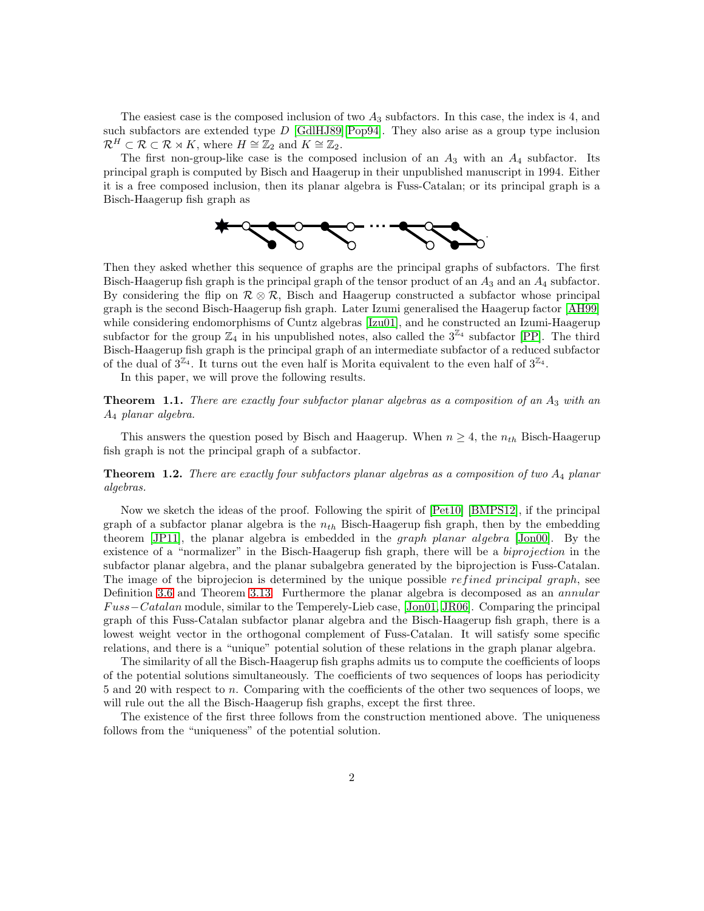The easiest case is the composed inclusion of two  $A_3$  subfactors. In this case, the index is 4, and such subfactors are extended type  $D$  [\[GdlHJ89\]](#page-47-1)[\[Pop94\]](#page-48-4). They also arise as a group type inclusion  $\mathcal{R}^H \subset \mathcal{R} \subset \mathcal{R} \rtimes K$ , where  $H \cong \mathbb{Z}_2$  and  $K \cong \mathbb{Z}_2$ .

The first non-group-like case is the composed inclusion of an  $A_3$  with an  $A_4$  subfactor. Its principal graph is computed by Bisch and Haagerup in their unpublished manuscript in 1994. Either it is a free composed inclusion, then its planar algebra is Fuss-Catalan; or its principal graph is a Bisch-Haagerup fish graph as



Then they asked whether this sequence of graphs are the principal graphs of subfactors. The first Bisch-Haagerup fish graph is the principal graph of the tensor product of an  $A_3$  and an  $A_4$  subfactor. By considering the flip on  $\mathcal{R} \otimes \mathcal{R}$ , Bisch and Haagerup constructed a subfactor whose principal graph is the second Bisch-Haagerup fish graph. Later Izumi generalised the Haagerup factor [\[AH99\]](#page-47-5) while considering endomorphisms of Cuntz algebras [\[Izu01\]](#page-47-6), and he constructed an Izumi-Haagerup subfactor for the group  $\mathbb{Z}_4$  in his unpublished notes, also called the  $3^{\mathbb{Z}_4}$  subfactor [\[PP\]](#page-48-5). The third Bisch-Haagerup fish graph is the principal graph of an intermediate subfactor of a reduced subfactor of the dual of  $3^{\mathbb{Z}_4}$ . It turns out the even half is Morita equivalent to the even half of  $3^{\mathbb{Z}_4}$ .

In this paper, we will prove the following results.

**Theorem 1.1.** There are exactly four subfactor planar algebras as a composition of an  $A_3$  with an A<sup>4</sup> planar algebra.

This answers the question posed by Bisch and Haagerup. When  $n \geq 4$ , the  $n_{th}$  Bisch-Haagerup fish graph is not the principal graph of a subfactor.

## **Theorem 1.2.** There are exactly four subfactors planar algebras as a composition of two  $A_4$  planar algebras.

Now we sketch the ideas of the proof. Following the spirit of [\[Pet10\]](#page-48-6) [\[BMPS12\]](#page-47-7), if the principal graph of a subfactor planar algebra is the  $n_{th}$  Bisch-Haagerup fish graph, then by the embedding theorem [\[JP11\]](#page-47-8), the planar algebra is embedded in the graph planar algebra [\[Jon00\]](#page-47-9). By the existence of a "normalizer" in the Bisch-Haagerup fish graph, there will be a *biprojection* in the subfactor planar algebra, and the planar subalgebra generated by the biprojection is Fuss-Catalan. The image of the biprojecion is determined by the unique possible refined principal graph, see Definition [3.6](#page-12-0) and Theorem [3.13.](#page-16-0) Furthermore the planar algebra is decomposed as an *annular* F uss−Catalan module, similar to the Temperely-Lieb case, [\[Jon01,](#page-47-10) [JR06\]](#page-47-11). Comparing the principal graph of this Fuss-Catalan subfactor planar algebra and the Bisch-Haagerup fish graph, there is a lowest weight vector in the orthogonal complement of Fuss-Catalan. It will satisfy some specific relations, and there is a "unique" potential solution of these relations in the graph planar algebra.

The similarity of all the Bisch-Haagerup fish graphs admits us to compute the coefficients of loops of the potential solutions simultaneously. The coefficients of two sequences of loops has periodicity 5 and 20 with respect to n. Comparing with the coefficients of the other two sequences of loops, we will rule out the all the Bisch-Haagerup fish graphs, except the first three.

The existence of the first three follows from the construction mentioned above. The uniqueness follows from the "uniqueness" of the potential solution.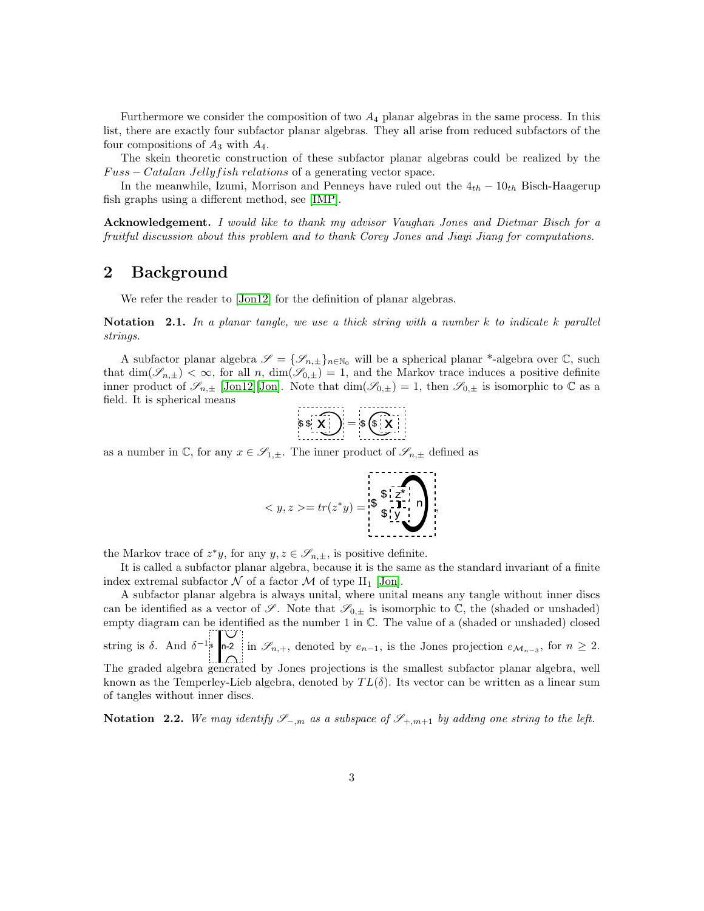Furthermore we consider the composition of two  $A_4$  planar algebras in the same process. In this list, there are exactly four subfactor planar algebras. They all arise from reduced subfactors of the four compositions of  $A_3$  with  $A_4$ .

The skein theoretic construction of these subfactor planar algebras could be realized by the  $Fuss - Catalan Jelly fish relations$  of a generating vector space.

In the meanwhile, Izumi, Morrison and Penneys have ruled out the  $4<sub>th</sub> - 10<sub>th</sub>$  Bisch-Haagerup fish graphs using a different method, see [\[IMP\]](#page-47-12).

Acknowledgement. I would like to thank my advisor Vaughan Jones and Dietmar Bisch for a fruitful discussion about this problem and to thank Corey Jones and Jiayi Jiang for computations.

# 2 Background

We refer the reader to [\[Jon12\]](#page-47-13) for the definition of planar algebras.

Notation 2.1. In a planar tangle, we use a thick string with a number  $k$  to indicate k parallel strings.

A subfactor planar algebra  $\mathscr{S} = {\mathscr{S}_{n,\pm}}_{n \in \mathbb{N}_0}$  will be a spherical planar \*-algebra over  $\mathbb{C}$ , such that  $\dim(\mathscr{S}_{n,\pm}) < \infty$ , for all n,  $\dim(\mathscr{S}_{0,\pm}) = 1$ , and the Markov trace induces a positive definite inner product of  $\mathscr{S}_{n,\pm}$  [\[Jon12\]](#page-47-13)[\[Jon\]](#page-47-2). Note that  $\dim(\mathscr{S}_{0,\pm})=1$ , then  $\mathscr{S}_{0,\pm}$  is isomorphic to  $\mathbb C$  as a field. It is spherical means

$$
\mathfrak{s} \mathfrak{s} \mathfrak{s} \mathfrak{s} \mathfrak{s} \mathfrak{s} \mathfrak{s} \mathfrak{s} \mathfrak{s} \mathfrak{s} \mathfrak{s} \mathfrak{s} \mathfrak{s} \mathfrak{s} \mathfrak{s} \mathfrak{s} \mathfrak{s} \mathfrak{s} \mathfrak{s} \mathfrak{s} \mathfrak{s} \mathfrak{s} \mathfrak{s} \mathfrak{s} \mathfrak{s} \mathfrak{s} \mathfrak{s} \mathfrak{s} \mathfrak{s} \mathfrak{s} \mathfrak{s} \mathfrak{s} \mathfrak{s} \mathfrak{s} \mathfrak{s} \mathfrak{s} \mathfrak{s} \mathfrak{s} \mathfrak{s} \mathfrak{s} \mathfrak{s} \mathfrak{s} \mathfrak{s} \mathfrak{s} \mathfrak{s} \mathfrak{s} \mathfrak{s} \mathfrak{s} \mathfrak{s} \mathfrak{s} \mathfrak{s} \mathfrak{s} \mathfrak{s} \mathfrak{s} \mathfrak{s} \mathfrak{s} \mathfrak{s} \mathfrak{s} \mathfrak{s} \mathfrak{s} \mathfrak{s} \mathfrak{s} \mathfrak{s} \mathfrak{s} \mathfrak{s} \mathfrak{s} \mathfrak{s} \mathfrak{s} \mathfrak{s} \mathfrak{s} \mathfrak{s} \mathfrak{s} \mathfrak{s} \mathfrak{s} \mathfrak{s} \mathfrak{s} \mathfrak{s} \mathfrak{s} \mathfrak{s} \mathfrak{s} \mathfrak{s} \mathfrak{s} \mathfrak{s} \mathfrak{s} \mathfrak{s} \mathfrak{s} \mathfrak{s} \mathfrak{s} \mathfrak{s} \mathfrak{s} \mathfrak{s} \mathfrak{s} \mathfrak{s} \mathfrak{s} \mathfrak{s} \mathfrak{s} \mathfrak{s} \mathfrak{s} \mathfrak{s} \mathfrak{s} \mathfrak{s} \mathfrak{s} \mathfrak{s} \mathfrak{s} \mathfrak{s} \mathfrak{s} \mathfrak{s} \mathfrak{s} \mathfrak{s} \mathfrak{s} \mathfrak{s} \mathfrak{s} \mathfrak{s} \mathfrak{s} \mathfrak{s} \mathfrak{s} \mathfrak{s} \mathfrak{s} \mathfrak{s} \mathfrak{s} \mathfrak{s} \mathfrak{s} \mathfrak{s} \mathfrak{s} \mathfrak{s} \mathfrak{s} \mathfrak
$$

<u>. . . . . . . . . . .</u>

as a number in  $\mathbb{C}$ , for any  $x \in \mathscr{S}_{1,\pm}$ . The inner product of  $\mathscr{S}_{n,\pm}$  defined as

$$
\langle y, z \rangle = tr(z^*y) = \begin{bmatrix} \frac{1}{3} & \frac{1}{2} \\ \frac{1}{3} & \frac{1}{2} \\ \frac{1}{3} & \frac{1}{3} \end{bmatrix}
$$

the Markov trace of  $z^*y$ , for any  $y, z \in \mathscr{S}_{n, \pm}$ , is positive definite.

It is called a subfactor planar algebra, because it is the same as the standard invariant of a finite index extremal subfactor  $\mathcal N$  of a factor  $\mathcal M$  of type II<sub>1</sub> [\[Jon\]](#page-47-2).

A subfactor planar algebra is always unital, where unital means any tangle without inner discs can be identified as a vector of  $\mathscr{S}$ . Note that  $\mathscr{S}_{0,\pm}$  is isomorphic to  $\mathbb{C}$ , the (shaded or unshaded) empty diagram can be identified as the number 1 in  $\mathbb C$ . The value of a (shaded or unshaded) closed string is  $\delta$ . And  $\delta^{-1}$  is n-2 in  $\mathscr{S}_{n,+}$ , denoted by  $e_{n-1}$ , is the Jones projection  $e_{\mathcal{M}_{n-3}}$ , for  $n \geq 2$ . The graded algebra generated by Jones projections is the smallest subfactor planar algebra, well known as the Temperley-Lieb algebra, denoted by  $TL(\delta)$ . Its vector can be written as a linear sum of tangles without inner discs.

Notation 2.2. We may identify  $\mathscr{S}_{-m}$  as a subspace of  $\mathscr{S}_{+,m+1}$  by adding one string to the left.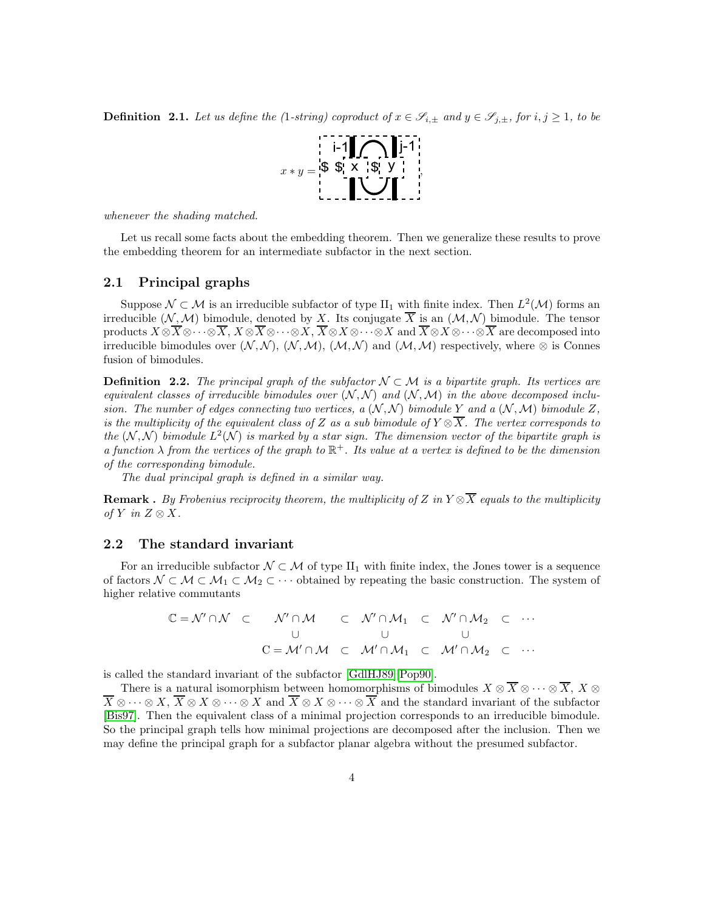**Definition 2.1.** Let us define the (1-string) coproduct of  $x \in \mathscr{S}_{i,\pm}$  and  $y \in \mathscr{S}_{j,\pm}$ , for  $i, j \geq 1$ , to be



whenever the shading matched.

Let us recall some facts about the embedding theorem. Then we generalize these results to prove the embedding theorem for an intermediate subfactor in the next section.

## 2.1 Principal graphs

Suppose  $\mathcal{N} \subset \mathcal{M}$  is an irreducible subfactor of type  $\text{II}_1$  with finite index. Then  $L^2(\mathcal{M})$  forms an irreducible  $(N, \mathcal{M})$  bimodule, denoted by X. Its conjugate  $\overline{X}$  is an  $(\mathcal{M}, \mathcal{N})$  bimodule. The tensor products  $X \otimes \overline{X} \otimes \cdots \otimes \overline{X},\, X \otimes \overline{X} \otimes \cdots \otimes X,\, \overline{X} \otimes X \otimes \cdots \otimes X$  and  $\overline{X} \otimes X \otimes \cdots \otimes \overline{X}$  are decomposed into irreducible bimodules over  $(N, \mathcal{N}), (N, \mathcal{M}), (M, \mathcal{N})$  and  $(M, \mathcal{M})$  respectively, where ⊗ is Connes fusion of bimodules.

**Definition 2.2.** The principal graph of the subfactor  $\mathcal{N} \subset \mathcal{M}$  is a bipartite graph. Its vertices are equivalent classes of irreducible bimodules over  $(N, N)$  and  $(N, M)$  in the above decomposed inclusion. The number of edges connecting two vertices, a  $(\mathcal{N}, \mathcal{N})$  bimodule Y and a  $(\mathcal{N}, \mathcal{M})$  bimodule Z, is the multiplicity of the equivalent class of Z as a sub bimodule of  $Y \otimes \overline{X}$ . The vertex corresponds to the  $(N, N)$  bimodule  $L^2(N)$  is marked by a star sign. The dimension vector of the bipartite graph is a function  $\lambda$  from the vertices of the graph to  $\mathbb{R}^+$ . Its value at a vertex is defined to be the dimension of the corresponding bimodule.

The dual principal graph is defined in a similar way.

**Remark** . By Frobenius reciprocity theorem, the multiplicity of Z in  $Y \otimes \overline{X}$  equals to the multiplicity of Y in  $Z \otimes X$ .

## 2.2 The standard invariant

For an irreducible subfactor  $\mathcal{N} \subset \mathcal{M}$  of type II<sub>1</sub> with finite index, the Jones tower is a sequence of factors  $\mathcal{N} \subset \mathcal{M} \subset \mathcal{M}_1 \subset \mathcal{M}_2 \subset \cdots$  obtained by repeating the basic construction. The system of higher relative commutants

$$
\mathbb{C} = \mathcal{N}' \cap \mathcal{N} \quad \subset \quad \mathcal{N}' \cap \mathcal{M} \quad \subset \quad \mathcal{N}' \cap \mathcal{M}_1 \quad \subset \quad \mathcal{N}' \cap \mathcal{M}_2 \quad \subset \quad \cdots
$$
\n
$$
\cup \qquad \qquad \cup \qquad \qquad \cup
$$
\n
$$
\mathbf{C} = \mathcal{M}' \cap \mathcal{M} \quad \subset \quad \mathcal{M}' \cap \mathcal{M}_1 \quad \subset \quad \mathcal{M}' \cap \mathcal{M}_2 \quad \subset \quad \cdots
$$

is called the standard invariant of the subfactor [\[GdlHJ89\]](#page-47-1)[\[Pop90\]](#page-48-0).

There is a natural isomorphism between homomorphisms of bimodules  $X \otimes \overline{X} \otimes \cdots \otimes \overline{X}$ ,  $X \otimes$  $\overline{X} \otimes \cdots \otimes X$ ,  $\overline{X} \otimes X \otimes \cdots \otimes X$  and  $\overline{X} \otimes X \otimes \cdots \otimes \overline{X}$  and the standard invariant of the subfactor [\[Bis97\]](#page-47-14). Then the equivalent class of a minimal projection corresponds to an irreducible bimodule. So the principal graph tells how minimal projections are decomposed after the inclusion. Then we may define the principal graph for a subfactor planar algebra without the presumed subfactor.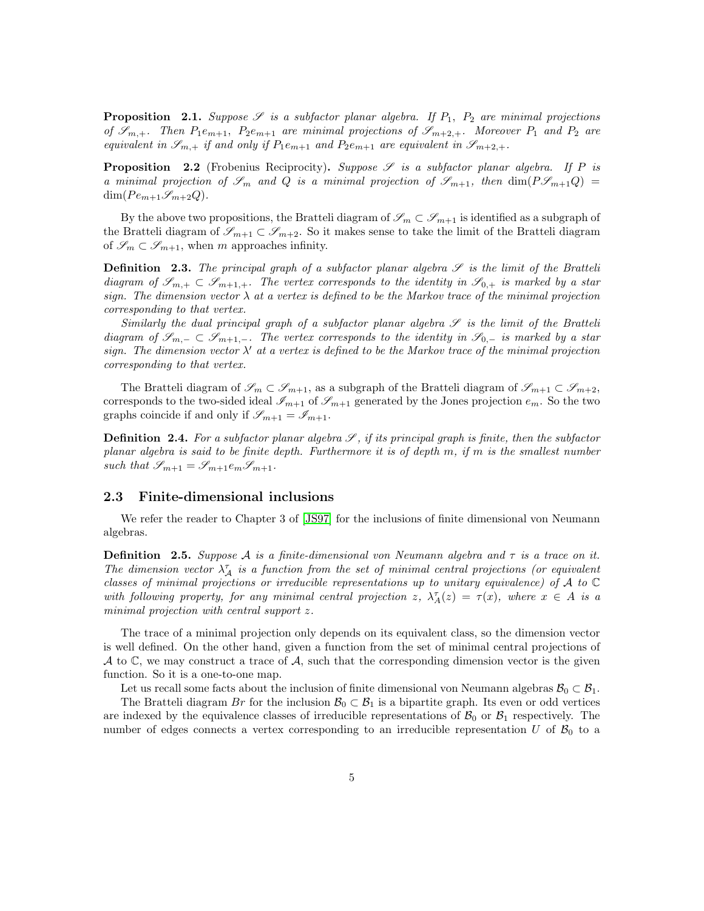<span id="page-4-0"></span>**Proposition** 2.1. Suppose  $\mathscr S$  is a subfactor planar algebra. If  $P_1$ ,  $P_2$  are minimal projections of  $\mathscr{S}_{m,+}$ . Then  $P_1e_{m+1}$ ,  $P_2e_{m+1}$  are minimal projections of  $\mathscr{S}_{m+2,+}$ . Moreover  $P_1$  and  $P_2$  are equivalent in  $\mathscr{S}_{m,+}$  if and only if  $P_1e_{m+1}$  and  $P_2e_{m+1}$  are equivalent in  $\mathscr{S}_{m+2,+}$ .

<span id="page-4-1"></span>**Proposition** 2.2 (Frobenius Reciprocity). Suppose  $\mathscr S$  is a subfactor planar algebra. If P is a minimal projection of  $\mathcal{S}_m$  and Q is a minimal projection of  $\mathcal{S}_{m+1}$ , then  $\dim(P\mathcal{S}_{m+1}Q)$  $\dim(P e_{m+1} \mathcal{S}_{m+2} Q).$ 

By the above two propositions, the Bratteli diagram of  $\mathscr{S}_m \subset \mathscr{S}_{m+1}$  is identified as a subgraph of the Bratteli diagram of  $\mathscr{S}_{m+1} \subset \mathscr{S}_{m+2}$ . So it makes sense to take the limit of the Bratteli diagram of  $\mathscr{S}_m \subset \mathscr{S}_{m+1}$ , when m approaches infinity.

**Definition** 2.3. The principal graph of a subfactor planar algebra  $S$  is the limit of the Bratteli diagram of  $\mathscr{S}_{m,+} \subset \mathscr{S}_{m+1,+}$ . The vertex corresponds to the identity in  $\mathscr{S}_{0,+}$  is marked by a star sign. The dimension vector  $\lambda$  at a vertex is defined to be the Markov trace of the minimal projection corresponding to that vertex.

Similarly the dual principal graph of a subfactor planar algebra  $\mathscr S$  is the limit of the Bratteli diagram of  $\mathscr{S}_{m,-} \subset \mathscr{S}_{m+1,-}$ . The vertex corresponds to the identity in  $\mathscr{S}_{0,-}$  is marked by a star sign. The dimension vector  $\lambda'$  at a vertex is defined to be the Markov trace of the minimal projection corresponding to that vertex.

The Bratteli diagram of  $\mathscr{S}_m \subset \mathscr{S}_{m+1}$ , as a subgraph of the Bratteli diagram of  $\mathscr{S}_{m+1} \subset \mathscr{S}_{m+2}$ , corresponds to the two-sided ideal  $\mathcal{I}_{m+1}$  of  $\mathcal{I}_{m+1}$  generated by the Jones projection  $e_m$ . So the two graphs coincide if and only if  $\mathscr{S}_{m+1} = \mathscr{I}_{m+1}$ .

**Definition 2.4.** For a subfactor planar algebra  $S$ , if its principal graph is finite, then the subfactor planar algebra is said to be finite depth. Furthermore it is of depth m, if m is the smallest number such that  $\mathscr{S}_{m+1} = \mathscr{S}_{m+1} e_m \mathscr{S}_{m+1}$ .

## 2.3 Finite-dimensional inclusions

We refer the reader to Chapter 3 of [\[JS97\]](#page-48-7) for the inclusions of finite dimensional von Neumann algebras.

**Definition** 2.5. Suppose A is a finite-dimensional von Neumann algebra and  $\tau$  is a trace on it. The dimension vector  $\lambda_A^{\tau}$  is a function from the set of minimal central projections (or equivalent classes of minimal projections or irreducible representations up to unitary equivalence) of A to  $\mathbb C$ with following property, for any minimal central projection z,  $\lambda_A^{\tau}(z) = \tau(x)$ , where  $x \in A$  is a minimal projection with central support z.

The trace of a minimal projection only depends on its equivalent class, so the dimension vector is well defined. On the other hand, given a function from the set of minimal central projections of  $A$  to  $\mathbb{C}$ , we may construct a trace of  $A$ , such that the corresponding dimension vector is the given function. So it is a one-to-one map.

Let us recall some facts about the inclusion of finite dimensional von Neumann algebras  $\mathcal{B}_0 \subset \mathcal{B}_1$ .

The Bratteli diagram Br for the inclusion  $\mathcal{B}_0 \subset \mathcal{B}_1$  is a bipartite graph. Its even or odd vertices are indexed by the equivalence classes of irreducible representations of  $\mathcal{B}_0$  or  $\mathcal{B}_1$  respectively. The number of edges connects a vertex corresponding to an irreducible representation U of  $\mathcal{B}_0$  to a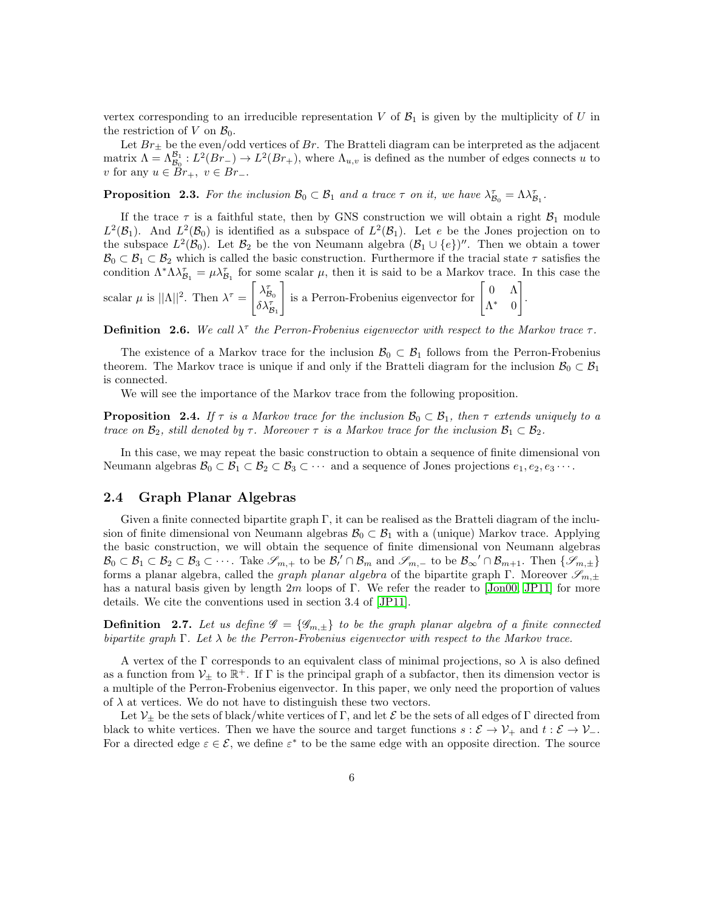vertex corresponding to an irreducible representation V of  $\mathcal{B}_1$  is given by the multiplicity of U in the restriction of V on  $\mathcal{B}_0$ .

Let  $Br_{\pm}$  be the even/odd vertices of  $Br$ . The Bratteli diagram can be interpreted as the adjacent matrix  $\Lambda = \Lambda_{\mathcal{B}_0}^{\mathcal{B}_1} : L^2(Br_{-}) \to L^2(Br_{+}),$  where  $\Lambda_{u,v}$  is defined as the number of edges connects u to v for any  $u \in Br_+$ ,  $v \in Br_-$ .

**Proposition 2.3.** For the inclusion  $\mathcal{B}_0 \subset \mathcal{B}_1$  and a trace  $\tau$  on it, we have  $\lambda_{\mathcal{B}_0}^{\tau} = \Lambda \lambda_{\mathcal{B}_0}^{\tau}$  $\mathcal{B}_1^{\tau}$  .

If the trace  $\tau$  is a faithful state, then by GNS construction we will obtain a right  $\mathcal{B}_1$  module  $L^2(\mathcal{B}_1)$ . And  $L^2(\mathcal{B}_0)$  is identified as a subspace of  $L^2(\mathcal{B}_1)$ . Let e be the Jones projection on to the subspace  $L^2(\mathcal{B}_0)$ . Let  $\mathcal{B}_2$  be the von Neumann algebra  $(\mathcal{B}_1 \cup \{e\})''$ . Then we obtain a tower  $\mathcal{B}_0 \subset \mathcal{B}_1 \subset \mathcal{B}_2$  which is called the basic construction. Furthermore if the tracial state  $\tau$  satisfies the condition  $\Lambda^* \Lambda \lambda_{\mathcal{B}_1}^{\tau} = \mu \lambda_{\mathcal{B}_1}^{\tau}$  for some scalar  $\mu$ , then it is said to be a Markov trace. In this case the scalar  $\mu$  is  $||\Lambda||^2$ . Then  $\lambda^{\tau}$  =  $\big[ \lambda_t^{\tau}$  $\delta\lambda^{\tau}_{\mathcal{B}_1}$ is a Perron-Frobenius eigenvector for  $\begin{bmatrix} 0 & \Lambda \\ \Lambda^* & 0 \end{bmatrix}$ Λ ∗ 0 1 .

**Definition 2.6.** We call  $\lambda^{\tau}$  the Perron-Frobenius eigenvector with respect to the Markov trace  $\tau$ .

The existence of a Markov trace for the inclusion  $\mathcal{B}_0 \subset \mathcal{B}_1$  follows from the Perron-Frobenius theorem. The Markov trace is unique if and only if the Bratteli diagram for the inclusion  $\mathcal{B}_0 \subset \mathcal{B}_1$ is connected.

We will see the importance of the Markov trace from the following proposition.

**Proposition 2.4.** If  $\tau$  is a Markov trace for the inclusion  $\mathcal{B}_0 \subset \mathcal{B}_1$ , then  $\tau$  extends uniquely to a trace on  $\mathcal{B}_2$ , still denoted by  $\tau$ . Moreover  $\tau$  is a Markov trace for the inclusion  $\mathcal{B}_1 \subset \mathcal{B}_2$ .

In this case, we may repeat the basic construction to obtain a sequence of finite dimensional von Neumann algebras  $\mathcal{B}_0 \subset \mathcal{B}_1 \subset \mathcal{B}_2 \subset \mathcal{B}_3 \subset \cdots$  and a sequence of Jones projections  $e_1, e_2, e_3 \cdots$ .

## 2.4 Graph Planar Algebras

Given a finite connected bipartite graph Γ, it can be realised as the Bratteli diagram of the inclusion of finite dimensional von Neumann algebras  $\mathcal{B}_0 \subset \mathcal{B}_1$  with a (unique) Markov trace. Applying the basic construction, we will obtain the sequence of finite dimensional von Neumann algebras  $\mathcal{B}_0 \subset \mathcal{B}_1 \subset \mathcal{B}_2 \subset \mathcal{B}_3 \subset \cdots$ . Take  $\mathscr{S}_{m,+}$  to be  $\mathcal{B}_{\prime} \cap \mathcal{B}_{m}$  and  $\mathscr{S}_{m,-}$  to be  $\mathcal{B}_{\infty} \cap \mathcal{B}_{m+1}$ . Then  $\{\mathscr{S}_{m,\pm}\}$ forms a planar algebra, called the *graph planar algebra* of the bipartite graph Γ. Moreover  $\mathscr{S}_{m,\pm}$ has a natural basis given by length  $2m$  loops of Γ. We refer the reader to [\[Jon00,](#page-47-9) [JP11\]](#page-47-8) for more details. We cite the conventions used in section 3.4 of [\[JP11\]](#page-47-8).

**Definition** 2.7. Let us define  $\mathscr{G} = {\mathscr{G}_{m,\pm}}$  to be the graph planar algebra of a finite connected bipartite graph Γ. Let  $\lambda$  be the Perron-Frobenius eigenvector with respect to the Markov trace.

A vertex of the  $\Gamma$  corresponds to an equivalent class of minimal projections, so  $\lambda$  is also defined as a function from  $V_{\pm}$  to  $\mathbb{R}^+$ . If  $\Gamma$  is the principal graph of a subfactor, then its dimension vector is a multiple of the Perron-Frobenius eigenvector. In this paper, we only need the proportion of values of  $\lambda$  at vertices. We do not have to distinguish these two vectors.

Let  $\mathcal{V}_\pm$  be the sets of black/white vertices of Γ, and let  $\mathcal E$  be the sets of all edges of Γ directed from black to white vertices. Then we have the source and target functions  $s : \mathcal{E} \to \mathcal{V}_+$  and  $t : \mathcal{E} \to \mathcal{V}_-$ . For a directed edge  $\varepsilon \in \mathcal{E}$ , we define  $\varepsilon^*$  to be the same edge with an opposite direction. The source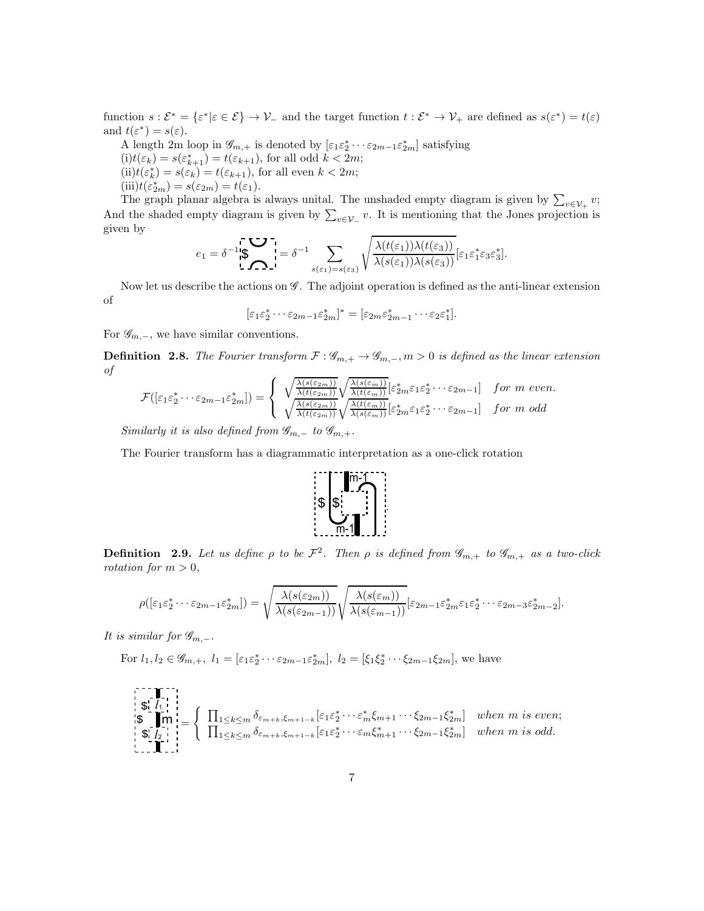function  $s: \mathcal{E}^* = \{\varepsilon^* | \varepsilon \in \mathcal{E}\} \to \mathcal{V}_-$  and the target function  $t: \mathcal{E}^* \to \mathcal{V}_+$  are defined as  $s(\varepsilon^*) = t(\varepsilon)$ and  $t(\varepsilon^*)=s(\varepsilon).$ 

- A length 2m loop in  $\mathscr{G}_{m,+}$  is denoted by  $[\varepsilon_1 \varepsilon_2^* \cdots \varepsilon_{2m-1} \varepsilon_{2m}^*]$  satisfying
- $(i)t(\varepsilon_k) = s(\varepsilon_{k+1}^*) = t(\varepsilon_{k+1}),$  for all odd  $k < 2m$ ;  $(ii)t(\varepsilon_k^*) = s(\varepsilon_k) = t(\varepsilon_{k+1}),$  for all even  $k < 2m$ ;
- $(iii) t(\epsilon_{2m}^*) = s(\epsilon_{2m}) = t(\epsilon_1).$

The graph planar algebra is always unital. The unshaded empty diagram is given by  $\sum_{v \in \mathcal{V}_+} v$ ; And the shaded empty diagram is given by  $\sum_{v \in \mathcal{V}_-} v$ . It is mentioning that the Jones projection is given by

$$
e_1 = \delta^{-1} \mathfrak{F} \prod_{\mathbf{S} \subset \mathbf{S}^{-1}} \sum_{\mathbf{S}(\varepsilon_1) = s(\varepsilon_3)} \sqrt{\frac{\lambda(t(\varepsilon_1))\lambda(t(\varepsilon_3))}{\lambda(s(\varepsilon_1))\lambda(s(\varepsilon_3))}} [\varepsilon_1 \varepsilon_1^* \varepsilon_3 \varepsilon_3^*].
$$

Now let us describe the actions on  $\mathscr G$ . The adjoint operation is defined as the anti-linear extension of

$$
[\varepsilon_1\varepsilon_2^*\cdots\varepsilon_{2m-1}\varepsilon_{2m}^*]^*=[\varepsilon_{2m}\varepsilon_{2m-1}^*\cdots\varepsilon_{2}\varepsilon_1^*].
$$

For  $\mathscr{G}_{m,-}$ , we have similar conventions.

**Definition 2.8.** The Fourier transform  $\mathcal{F} : \mathscr{G}_{m,+} \to \mathscr{G}_{m,-}, m > 0$  is defined as the linear extension of

$$
\mathcal{F}([\varepsilon_1\varepsilon_2^*\cdots\varepsilon_{2m-1}\varepsilon_{2m}^*]) = \begin{cases} \sqrt{\frac{\lambda(s(\varepsilon_{2m}))}{\lambda(t(\varepsilon_{2m}))}} \sqrt{\frac{\lambda(s(\varepsilon_m))}{\lambda(t(\varepsilon_m))}} [\varepsilon_{2m}^*\varepsilon_1\varepsilon_2^*\cdots\varepsilon_{2m-1}] & \text{for } m \text{ even.} \\ \sqrt{\frac{\lambda(s(\varepsilon_{2m}))}{\lambda(t(\varepsilon_{2m}))}} \sqrt{\frac{\lambda(t(\varepsilon_m))}{\lambda(s(\varepsilon_m))}} [\varepsilon_{2m}^*\varepsilon_1\varepsilon_2^*\cdots\varepsilon_{2m-1}] & \text{for } m \text{ odd} \end{cases}
$$

Similarly it is also defined from  $\mathscr{G}_{m,-}$  to  $\mathscr{G}_{m,+}$ .

The Fourier transform has a diagrammatic interpretation as a one-click rotation



**Definition** 2.9. Let us define  $\rho$  to be  $\mathcal{F}^2$ . Then  $\rho$  is defined from  $\mathscr{G}_{m,+}$  to  $\mathscr{G}_{m,+}$  as a two-click rotation for  $m > 0$ ,

$$
\rho([\varepsilon_1\varepsilon_2^*\cdots\varepsilon_{2m-1}\varepsilon_{2m}^*]) = \sqrt{\frac{\lambda(s(\varepsilon_{2m}))}{\lambda(s(\varepsilon_{2m-1}))}}\sqrt{\frac{\lambda(s(\varepsilon_m))}{\lambda(s(\varepsilon_{m-1}))}}[\varepsilon_{2m-1}\varepsilon_{2m}^*\varepsilon_1\varepsilon_2^*\cdots\varepsilon_{2m-3}\varepsilon_{2m-2}^*].
$$

It is similar for  $\mathscr{G}_{m,-}.$ 

For 
$$
l_1, l_2 \in \mathscr{G}_{m,+}
$$
,  $l_1 = [\varepsilon_1 \varepsilon_2^* \cdots \varepsilon_{2m-1} \varepsilon_{2m}^*]$ ,  $l_2 = [\xi_1 \xi_2^* \cdots \xi_{2m-1} \xi_{2m}]$ , we have

$$
\begin{cases}\n\mathbf{1}_{\{1\}} \\
\mathbf{\hat{s}}_{\{1\}} \\
\mathbf{1}_{\{2\}}\n\end{cases} = \n\begin{cases}\n\prod_{1 \leq k \leq m} \delta_{\varepsilon_{m+k},\xi_{m+1-k}} \left[\varepsilon_1 \varepsilon_2^* \cdots \varepsilon_m^* \xi_{m+1} \cdots \xi_{2m-1} \xi_{2m}^* \right] & when m is even; \\
\prod_{1 \leq k \leq m} \delta_{\varepsilon_{m+k},\xi_{m+1-k}} \left[\varepsilon_1 \varepsilon_2^* \cdots \varepsilon_m \xi_{m+1}^* \cdots \xi_{2m-1} \xi_{2m}^* \right] & when m is odd. \\
\vdots\n\end{cases}
$$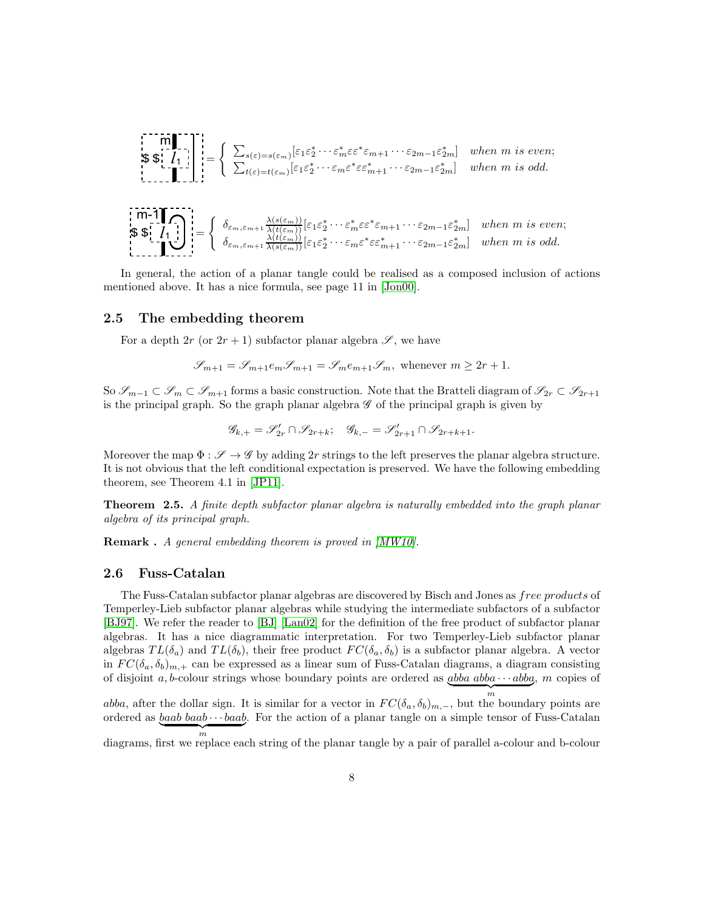$$
\begin{aligned}\n\mathbf{S} & \mathbf{S} & \mathbf{I}_{\mathbf{I}} \\
\mathbf{S} & \mathbf{S} & \mathbf{I}_{\mathbf{I}} \\
\mathbf{S} & \mathbf{S} & \mathbf{I}_{\mathbf{I}} \\
\mathbf{S} & \mathbf{S} & \mathbf{I}_{\mathbf{I}} \\
\mathbf{S} & \mathbf{S} & \mathbf{I}_{\mathbf{I}} \\
\mathbf{S} & \mathbf{S} & \mathbf{I}_{\mathbf{I}} \\
\mathbf{S} & \mathbf{I}_{\mathbf{I}} \\
\mathbf{S} & \mathbf{I}_{\mathbf{I}} \\
\mathbf{S} & \mathbf{S} & \mathbf{I}_{\mathbf{I}} \\
\mathbf{S} & \mathbf{I}_{\mathbf{I}} \\
\mathbf{S} & \mathbf{I}_{\mathbf{I}} \\
\mathbf{S} & \mathbf{I}_{\mathbf{I}} \\
\mathbf{S} & \mathbf{I}_{\mathbf{I}} \\
\mathbf{S} & \mathbf{I}_{\mathbf{I}} \\
\mathbf{S} & \mathbf{I}_{\mathbf{I}} \\
\mathbf{S} & \mathbf{I}_{\mathbf{I}} \\
\mathbf{S} & \mathbf{I}_{\mathbf{I}} \\
\mathbf{S} & \mathbf{I}_{\mathbf{I}} \\
\mathbf{S} & \mathbf{I}_{\mathbf{I}} \\
\mathbf{S} & \mathbf{I}_{\mathbf{I}} \\
\mathbf{S} & \mathbf{I}_{\mathbf{I}} \\
\mathbf{S} & \mathbf{I}_{\mathbf{I}} \\
\mathbf{S} & \mathbf{I}_{\mathbf{I}} \\
\mathbf{S} & \mathbf{I}_{\mathbf{I}} \\
\mathbf{S} & \mathbf{I}_{\mathbf{I}} \\
\mathbf{S} & \mathbf{I}_{\mathbf{I}} \\
\mathbf{S} & \mathbf{I}_{\mathbf{I}} \\
\mathbf{S} & \mathbf{I}_{\mathbf{I}} \\
\mathbf{S} & \mathbf{I}_{\mathbf{I}} \\
\mathbf{S} & \mathbf{I}_{\mathbf{I}} \\
\mathbf{S} & \mathbf{I}_{\mathbf{I}} \\
\mathbf{S} & \mathbf{I}_{\mathbf{I}} \\
\mathbf{S} & \mathbf{I}_{\mathbf{I}} \\
\mathbf{S} & \mathbf{I}_{\mathbf{I}} \\
\mathbf{S} & \mathbf{I}_{\mathbf{I}} \\
\mathbf{S
$$

In general, the action of a planar tangle could be realised as a composed inclusion of actions mentioned above. It has a nice formula, see page 11 in [\[Jon00\]](#page-47-9).

#### 2.5 The embedding theorem

For a depth 2r (or  $2r + 1$ ) subfactor planar algebra  $\mathscr{S}$ , we have

$$
\mathscr{S}_{m+1}=\mathscr{S}_{m+1}e_m\mathscr{S}_{m+1}=\mathscr{S}_m e_{m+1}\mathscr{S}_m, \text{ whenever } m\geq 2r+1.
$$

So  $\mathscr{S}_{m-1} \subset \mathscr{S}_m \subset \mathscr{S}_{m+1}$  forms a basic construction. Note that the Bratteli diagram of  $\mathscr{S}_{2r} \subset \mathscr{S}_{2r+1}$ is the principal graph. So the graph planar algebra  $\mathscr G$  of the principal graph is given by

$$
\mathscr{G}_{k,+}=\mathscr{S}'_{2r}\cap \mathscr{S}_{2r+k};\quad \mathscr{G}_{k,-}=\mathscr{S}'_{2r+1}\cap \mathscr{S}_{2r+k+1}.
$$

Moreover the map  $\Phi : \mathscr{S} \to \mathscr{G}$  by adding 2r strings to the left preserves the planar algebra structure. It is not obvious that the left conditional expectation is preserved. We have the following embedding theorem, see Theorem 4.1 in [\[JP11\]](#page-47-8).

Theorem 2.5. A finite depth subfactor planar algebra is naturally embedded into the graph planar algebra of its principal graph.

**Remark**. A general embedding theorem is proved in [\[MW10\]](#page-48-8).

#### 2.6 Fuss-Catalan

The Fuss-Catalan subfactor planar algebras are discovered by Bisch and Jones as *free products* of Temperley-Lieb subfactor planar algebras while studying the intermediate subfactors of a subfactor [\[BJ97\]](#page-47-4). We refer the reader to [\[BJ\]](#page-47-15) [\[Lan02\]](#page-48-9) for the definition of the free product of subfactor planar algebras. It has a nice diagrammatic interpretation. For two Temperley-Lieb subfactor planar algebras  $TL(\delta_a)$  and  $TL(\delta_b)$ , their free product  $FC(\delta_a, \delta_b)$  is a subfactor planar algebra. A vector in  $FC(\delta_a, \delta_b)_{m,+}$  can be expressed as a linear sum of Fuss-Catalan diagrams, a diagram consisting of disjoint a, b-colour strings whose boundary points are ordered as  $\underline{abba \cdot \cdots abba}$ , m copies of  $\overbrace{m}$ 

abba, after the dollar sign. It is similar for a vector in  $FC(\delta_a, \delta_b)_{m,-}$ , but the boundary points are ordered as  $\underline{baab \cdot \cdot \cdot baab}$ . For the action of a planar tangle on a simple tensor of Fuss-Catalan  $\overbrace{m}$ m diagrams, first we replace each string of the planar tangle by a pair of parallel a-colour and b-colour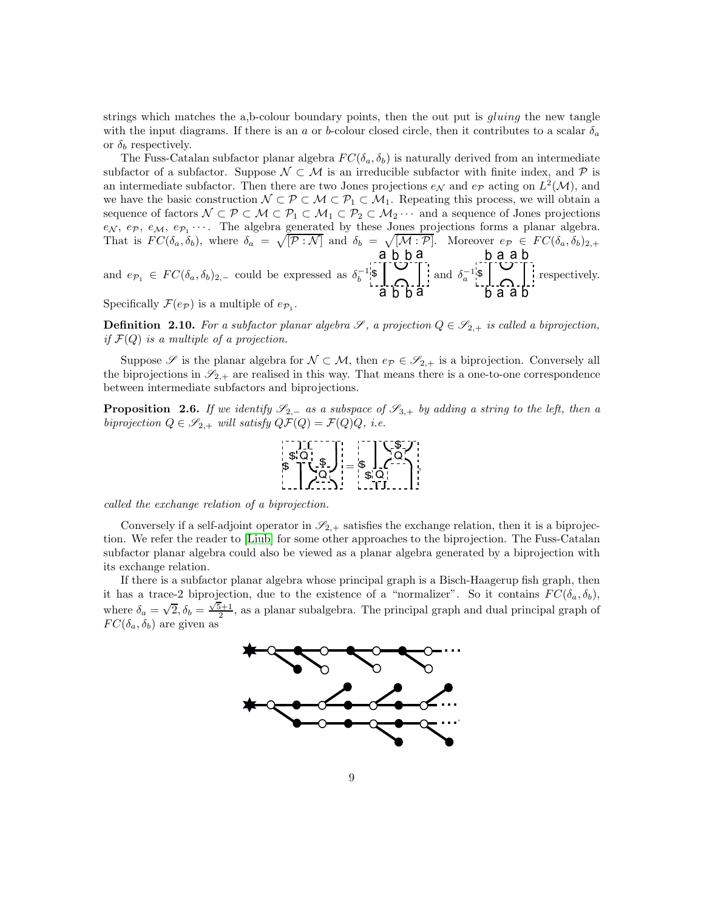strings which matches the a,b-colour boundary points, then the out put is *gluing* the new tangle with the input diagrams. If there is an a or b-colour closed circle, then it contributes to a scalar  $\delta_a$ or  $\delta_b$  respectively.

The Fuss-Catalan subfactor planar algebra  $FC(\delta_a, \delta_b)$  is naturally derived from an intermediate subfactor of a subfactor. Suppose  $\mathcal{N} \subset \mathcal{M}$  is an irreducible subfactor with finite index, and  $\mathcal{P}$  is an intermediate subfactor. Then there are two Jones projections  $e_N$  and  $e_P$  acting on  $L^2(\mathcal{M})$ , and we have the basic construction  $\mathcal{N} \subset \mathcal{P} \subset \mathcal{M} \subset \mathcal{P}_1 \subset \mathcal{M}_1$ . Repeating this process, we will obtain a sequence of factors  $\mathcal{N} \subset \mathcal{P} \subset \mathcal{M} \subset \mathcal{P}_1 \subset \mathcal{M}_1 \subset \mathcal{P}_2 \subset \mathcal{M}_2 \cdots$  and a sequence of Jones projections  $e_N$ ,  $e_p$ ,  $e_M$ ,  $e_{p_1}$ ... The algebra generated by these Jones projections forms a planar algebra. That is  $FC(\delta_a, \delta_b)$ , where  $\delta_a = \sqrt{[\mathcal{P} : \mathcal{N}]}$  and  $\delta_b = \sqrt{[\mathcal{M} : \mathcal{P}]}$ . Moreover  $e_{\mathcal{P}} \in FC(\delta_a, \delta_b)_{2,+}$ a`ḃ b a b a a b

and  $e_{\mathcal{P}_1} \in FC(\delta_a, \delta_b)_{2,-}$  could be expressed as  $\delta_b^{-1}$ \$ a b b a and  $\delta_a^{-1}$ \$ b a a b respectively.

Specifically  $\mathcal{F}(e_{\mathcal{P}})$  is a multiple of  $e_{\mathcal{P}_1}$ .

**Definition 2.10.** For a subfactor planar algebra  $\mathscr{S}$ , a projection  $Q \in \mathscr{S}_{2,+}$  is called a biprojection, if  $\mathcal{F}(Q)$  is a multiple of a projection.

Suppose  $\mathscr S$  is the planar algebra for  $\mathcal N \subset \mathcal M$ , then  $e_{\mathcal P} \in \mathscr S_{2,+}$  is a biprojection. Conversely all the biprojections in  $\mathscr{S}_{2,+}$  are realised in this way. That means there is a one-to-one correspondence between intermediate subfactors and biprojections.

**Proposition 2.6.** If we identify  $\mathscr{S}_{2,-}$  as a subspace of  $\mathscr{S}_{3,+}$  by adding a string to the left, then a biprojection  $Q \in \mathscr{S}_{2,+}$  will satisfy  $Q\mathcal{F}(Q) = \mathcal{F}(Q)Q$ , i.e.



called the exchange relation of a biprojection.

Conversely if a self-adjoint operator in  $\mathscr{S}_{2,+}$  satisfies the exchange relation, then it is a biprojection. We refer the reader to [\[Liub\]](#page-48-3) for some other approaches to the biprojection. The Fuss-Catalan subfactor planar algebra could also be viewed as a planar algebra generated by a biprojection with its exchange relation.

If there is a subfactor planar algebra whose principal graph is a Bisch-Haagerup fish graph, then it has a trace-2 biprojection, due to the existence of a "normalizer". So it contains  $FC(\delta_a, \delta_b)$ , where  $\delta_a = \sqrt{2}, \delta_b = \frac{\sqrt{5}+1}{2}$ , as a planar subalgebra. The principal graph and dual principal graph of  $FC(\delta_a, \delta_b)$  are given as

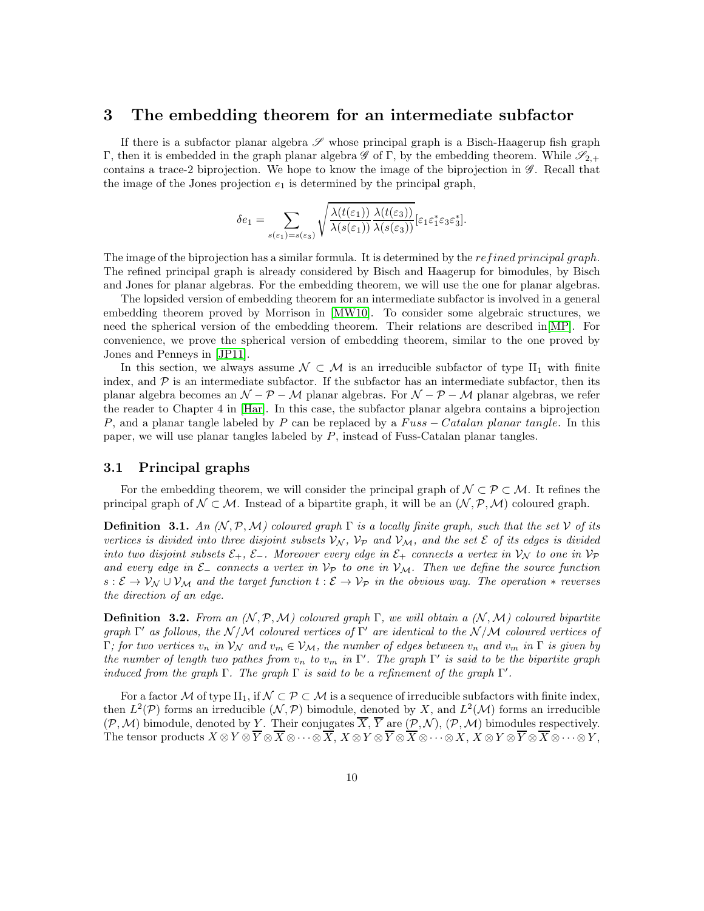## 3 The embedding theorem for an intermediate subfactor

If there is a subfactor planar algebra  $\mathscr S$  whose principal graph is a Bisch-Haagerup fish graph Γ, then it is embedded in the graph planar algebra  $\mathscr G$  of Γ, by the embedding theorem. While  $\mathscr S_{2,+}$ contains a trace-2 biprojection. We hope to know the image of the biprojection in  $\mathscr{G}$ . Recall that the image of the Jones projection  $e_1$  is determined by the principal graph,

$$
\delta e_1 = \sum_{s(\varepsilon_1)=s(\varepsilon_3)} \sqrt{\frac{\lambda(t(\varepsilon_1))}{\lambda(s(\varepsilon_1))}\frac{\lambda(t(\varepsilon_3))}{\lambda(s(\varepsilon_3))}} [\varepsilon_1 \varepsilon_1^* \varepsilon_3 \varepsilon_3^*].
$$

The image of the biprojection has a similar formula. It is determined by the *refined principal graph*. The refined principal graph is already considered by Bisch and Haagerup for bimodules, by Bisch and Jones for planar algebras. For the embedding theorem, we will use the one for planar algebras.

The lopsided version of embedding theorem for an intermediate subfactor is involved in a general embedding theorem proved by Morrison in [\[MW10\]](#page-48-8). To consider some algebraic structures, we need the spherical version of the embedding theorem. Their relations are described in[\[MP\]](#page-48-10). For convenience, we prove the spherical version of embedding theorem, similar to the one proved by Jones and Penneys in [\[JP11\]](#page-47-8).

In this section, we always assume  $\mathcal{N} \subset \mathcal{M}$  is an irreducible subfactor of type  $II_1$  with finite index, and  $\mathcal P$  is an intermediate subfactor. If the subfactor has an intermediate subfactor, then its planar algebra becomes an  $\mathcal{N} - \mathcal{P} - \mathcal{M}$  planar algebras. For  $\mathcal{N} - \mathcal{P} - \mathcal{M}$  planar algebras, we refer the reader to Chapter 4 in [\[Har\]](#page-47-16). In this case, the subfactor planar algebra contains a biprojection P, and a planar tangle labeled by P can be replaced by a  $Fuss - Catalan planar tangle$ . In this paper, we will use planar tangles labeled by P, instead of Fuss-Catalan planar tangles.

## 3.1 Principal graphs

For the embedding theorem, we will consider the principal graph of  $\mathcal{N} \subset \mathcal{P} \subset \mathcal{M}$ . It refines the principal graph of  $\mathcal{N} \subset \mathcal{M}$ . Instead of a bipartite graph, it will be an  $(\mathcal{N}, \mathcal{P}, \mathcal{M})$  coloured graph.

<span id="page-9-0"></span>**Definition 3.1.** An  $(N, \mathcal{P}, \mathcal{M})$  coloured graph  $\Gamma$  is a locally finite graph, such that the set  $\mathcal V$  of its vertices is divided into three disjoint subsets  $V_N$ ,  $V_P$  and  $V_M$ , and the set  $\mathcal E$  of its edges is divided into two disjoint subsets  $\mathcal{E}_+$ ,  $\mathcal{E}_-$ . Moreover every edge in  $\mathcal{E}_+$  connects a vertex in  $\mathcal{V}_\mathcal{N}$  to one in  $\mathcal{V}_\mathcal{P}$ and every edge in  $\mathcal{E}_-$  connects a vertex in  $\mathcal{V}_{\mathcal{P}}$  to one in  $\mathcal{V}_{\mathcal{M}}$ . Then we define the source function  $s:\mathcal{E}\to\mathcal{V}_{\mathcal{N}}\cup\mathcal{V}_{\mathcal{M}}$  and the target function  $t:\mathcal{E}\to\mathcal{V}_{\mathcal{P}}$  in the obvious way. The operation  $*$  reverses the direction of an edge.

**Definition 3.2.** From an  $(N, \mathcal{P}, \mathcal{M})$  coloured graph  $\Gamma$ , we will obtain a  $(N, \mathcal{M})$  coloured bipartite graph  $\Gamma'$  as follows, the  $\mathcal{N}/\mathcal{M}$  coloured vertices of  $\Gamma'$  are identical to the  $\mathcal{N}/\mathcal{M}$  coloured vertices of  $\Gamma$ ; for two vertices  $v_n$  in  $\mathcal{V}_{\mathcal{N}}$  and  $v_m \in \mathcal{V}_{\mathcal{M}}$ , the number of edges between  $v_n$  and  $v_m$  in  $\Gamma$  is given by the number of length two pathes from  $v_n$  to  $v_m$  in  $\Gamma'$ . The graph  $\Gamma'$  is said to be the bipartite graph induced from the graph  $\Gamma$ . The graph  $\Gamma$  is said to be a refinement of the graph  $\Gamma'$ .

For a factor M of type II<sub>1</sub>, if  $\mathcal{N} \subset \mathcal{P} \subset \mathcal{M}$  is a sequence of irreducible subfactors with finite index, then  $L^2(\mathcal{P})$  forms an irreducible  $(\mathcal{N}, \mathcal{P})$  bimodule, denoted by X, and  $L^2(\mathcal{M})$  forms an irreducible  $(\mathcal{P}, \mathcal{M})$  bimodule, denoted by Y. Their conjugates  $\overline{X}, \overline{Y}$  are  $(\mathcal{P}, \mathcal{N}), (\mathcal{P}, \mathcal{M})$  bimodules respectively. The tensor products  $X \otimes Y \otimes \overline{Y} \otimes \overline{X} \otimes \cdots \otimes \overline{X}$ ,  $X \otimes Y \otimes \overline{Y} \otimes \overline{X} \otimes \cdots \otimes \overline{X}$ ,  $X \otimes Y \otimes \overline{Y} \otimes \overline{X} \otimes \cdots \otimes \overline{Y}$ ,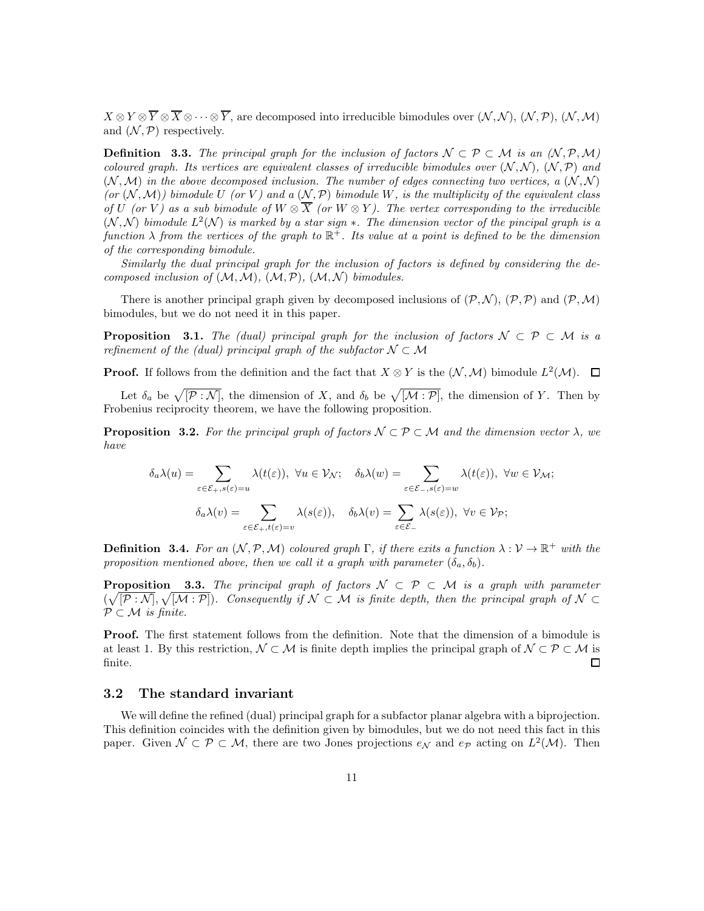$X \otimes Y \otimes \overline{Y} \otimes \overline{X} \otimes \cdots \otimes \overline{Y}$ , are decomposed into irreducible bimodules over  $(N, N), (N, \mathcal{P}), (N, \mathcal{M})$ and  $(\mathcal{N}, \mathcal{P})$  respectively.

**Definition** 3.3. The principal graph for the inclusion of factors  $\mathcal{N} \subset \mathcal{P} \subset \mathcal{M}$  is an  $(\mathcal{N}, \mathcal{P}, \mathcal{M})$ coloured graph. Its vertices are equivalent classes of irreducible bimodules over  $(N, N)$ ,  $(N, P)$  and  $(N, \mathcal{M})$  in the above decomposed inclusion. The number of edges connecting two vertices, a  $(N, \mathcal{N})$ (or  $(N, M)$ ) bimodule U (or V) and a  $(N, P)$  bimodule W, is the multiplicity of the equivalent class of U (or V) as a sub bimodule of  $W \otimes \overline{X}$  (or  $W \otimes Y$ ). The vertex corresponding to the irreducible  $(N, N)$  bimodule  $L^2(N)$  is marked by a star sign  $*$ . The dimension vector of the pincipal graph is a function  $\lambda$  from the vertices of the graph to  $\mathbb{R}^+$ . Its value at a point is defined to be the dimension of the corresponding bimodule.

Similarly the dual principal graph for the inclusion of factors is defined by considering the decomposed inclusion of  $(M, M)$ ,  $(M, P)$ ,  $(M, N)$  bimodules.

There is another principal graph given by decomposed inclusions of  $(\mathcal{P}, \mathcal{N}), (\mathcal{P}, \mathcal{P})$  and  $(\mathcal{P}, \mathcal{M})$ bimodules, but we do not need it in this paper.

**Proposition** 3.1. The (dual) principal graph for the inclusion of factors  $\mathcal{N} \subset \mathcal{P} \subset \mathcal{M}$  is a refinement of the (dual) principal graph of the subfactor  $\mathcal{N} \subset \mathcal{M}$ 

**Proof.** If follows from the definition and the fact that  $X \otimes Y$  is the  $(\mathcal{N}, \mathcal{M})$  bimodule  $L^2(\mathcal{M})$ .

Let  $\delta_a$  be  $\sqrt{[\mathcal{P} : \mathcal{N}]}$ , the dimension of X, and  $\delta_b$  be  $\sqrt{[\mathcal{M} : \mathcal{P}]}$ , the dimension of Y. Then by Frobenius reciprocity theorem, we have the following proposition.

<span id="page-10-0"></span>**Proposition 3.2.** For the principal graph of factors  $\mathcal{N} \subset \mathcal{P} \subset \mathcal{M}$  and the dimension vector  $\lambda$ , we have

$$
\delta_a \lambda(u) = \sum_{\varepsilon \in \mathcal{E}_+, s(\varepsilon) = u} \lambda(t(\varepsilon)), \ \forall u \in \mathcal{V_N}; \quad \delta_b \lambda(w) = \sum_{\varepsilon \in \mathcal{E}_-, s(\varepsilon) = w} \lambda(t(\varepsilon)), \ \forall w \in \mathcal{V_M};
$$

$$
\delta_a \lambda(v) = \sum_{\varepsilon \in \mathcal{E}_+, t(\varepsilon) = v} \lambda(s(\varepsilon)), \quad \delta_b \lambda(v) = \sum_{\varepsilon \in \mathcal{E}_-} \lambda(s(\varepsilon)), \ \forall v \in \mathcal{V_P};
$$

**Definition 3.4.** For an  $(N, P, M)$  coloured graph  $\Gamma$ , if there exits a function  $\lambda : V \to \mathbb{R}^+$  with the proposition mentioned above, then we call it a graph with parameter  $(\delta_a, \delta_b)$ .

**Proposition** 3.3. The principal graph of factors  $\mathcal{N} \subset \mathcal{P} \subset \mathcal{M}$  is a graph with parameter  $(\sqrt{[\mathcal{P}:\mathcal{N}]}, \sqrt{[\mathcal{M}:\mathcal{P}]})$ . Consequently if  $\mathcal{N} \subset \mathcal{M}$  is finite depth, then the principal graph of  $\mathcal{N} \subset \mathcal{M}$  $P \subset M$  is finite.

**Proof.** The first statement follows from the definition. Note that the dimension of a bimodule is at least 1. By this restriction,  $\mathcal{N} \subset \mathcal{M}$  is finite depth implies the principal graph of  $\mathcal{N} \subset \mathcal{P} \subset \mathcal{M}$  is finite. finite.

#### 3.2 The standard invariant

We will define the refined (dual) principal graph for a subfactor planar algebra with a biprojection. This definition coincides with the definition given by bimodules, but we do not need this fact in this paper. Given  $\mathcal{N} \subset \mathcal{P} \subset \mathcal{M}$ , there are two Jones projections  $e_{\mathcal{N}}$  and  $e_{\mathcal{P}}$  acting on  $L^2(\mathcal{M})$ . Then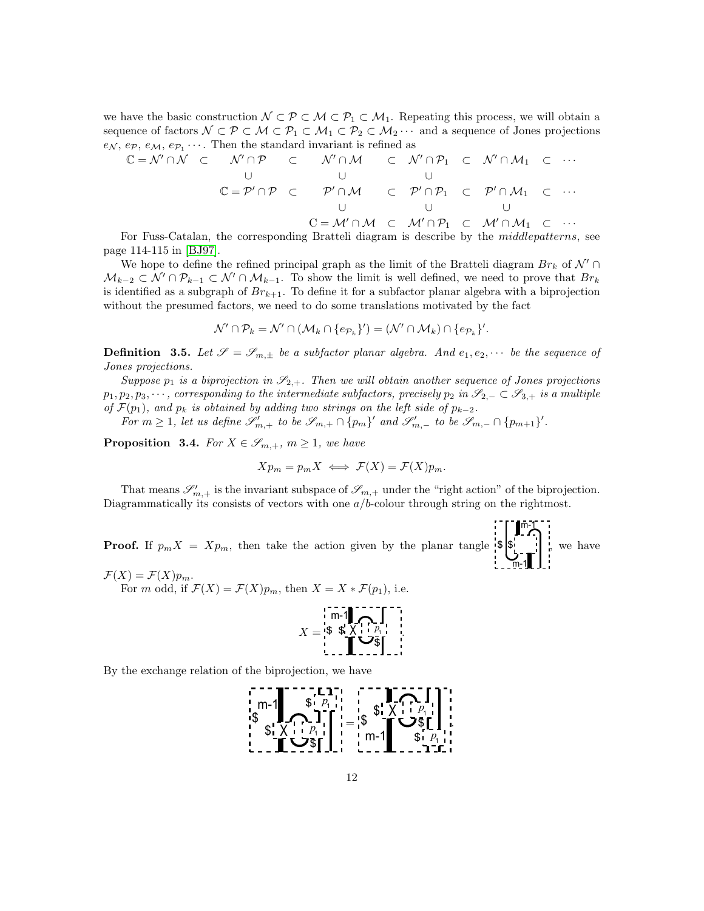we have the basic construction  $\mathcal{N} \subset \mathcal{P} \subset \mathcal{M} \subset \mathcal{P}_1 \subset \mathcal{M}_1$ . Repeating this process, we will obtain a sequence of factors  $\mathcal{N} \subset \mathcal{P} \subset \mathcal{M} \subset \mathcal{P}_1 \subset \mathcal{M}_1 \subset \mathcal{P}_2 \subset \mathcal{M}_2 \cdots$  and a sequence of Jones projections  $e_N, e_P, e_M, e_{P_1} \cdots$ . Then the standard invariant is refined as

$$
C = N' \cap N \quad C \quad N' \cap P \quad C \quad N' \cap M \quad C \quad N' \cap P_1 \quad C \quad N' \cap M_1 \quad C \quad \cdots
$$
\n
$$
C = P' \cap P \quad C \quad P' \cap M \quad C \quad P' \cap P_1 \quad C \quad P' \cap M_1 \quad C \quad \cdots
$$
\n
$$
C = M' \cap M \quad C \quad M' \cap P_1 \quad C \quad M' \cap M_1 \quad C \quad \cdots
$$
\n
$$
C = M' \cap M \quad C \quad M' \cap P_1 \quad C \quad M' \cap M_1 \quad C \quad \cdots
$$

For Fuss-Catalan, the corresponding Bratteli diagram is describe by the middlepatterns, see page 114-115 in [\[BJ97\]](#page-47-4).

We hope to define the refined principal graph as the limit of the Bratteli diagram  $Br_k$  of  $\mathcal{N}' \cap$  $\mathcal{M}_{k-2} \subset \mathcal{N}' \cap \mathcal{P}_{k-1} \subset \mathcal{N}' \cap \mathcal{M}_{k-1}$ . To show the limit is well defined, we need to prove that  $Br_k$ is identified as a subgraph of  $Br_{k+1}$ . To define it for a subfactor planar algebra with a biprojection without the presumed factors, we need to do some translations motivated by the fact

$$
\mathcal{N}' \cap \mathcal{P}_k = \mathcal{N}' \cap (\mathcal{M}_k \cap \{e_{\mathcal{P}_k}\}') = (\mathcal{N}' \cap \mathcal{M}_k) \cap \{e_{\mathcal{P}_k}\}'.
$$

**Definition** 3.5. Let  $\mathscr{S} = \mathscr{S}_{m,\pm}$  be a subfactor planar algebra. And  $e_1, e_2, \cdots$  be the sequence of Jones projections.

Suppose  $p_1$  is a biprojection in  $\mathscr{S}_{2,+}$ . Then we will obtain another sequence of Jones projections  $p_1, p_2, p_3, \cdots$ , corresponding to the intermediate subfactors, precisely  $p_2$  in  $\mathscr{S}_{2,-} \subset \mathscr{S}_{3,+}$  is a multiple of  $\mathcal{F}(p_1)$ , and  $p_k$  is obtained by adding two strings on the left side of  $p_{k-2}$ .

For  $m \geq 1$ , let us define  $\mathscr{S}'_{m,+}$  to be  $\mathscr{S}_{m,+} \cap \{p_m\}'$  and  $\mathscr{S}'_{m,-}$  to be  $\mathscr{S}_{m,-} \cap \{p_{m+1}\}'$ .

<span id="page-11-0"></span>**Proposition 3.4.** For  $X \in \mathscr{S}_{m,+}$ ,  $m \geq 1$ , we have

$$
X p_m = p_m X \iff \mathcal{F}(X) = \mathcal{F}(X) p_m.
$$

That means  $\mathscr{S}'_{m,+}$  is the invariant subspace of  $\mathscr{S}_{m,+}$  under the "right action" of the biprojection. Diagrammatically its consists of vectors with one  $a/b$ -colour through string on the rightmost.

**Proof.** If  $p_m X = X p_m$ , then take the action given by the planar tangle  $|\mathbf{\$}|$ m-1  $\overline{m-1}$ , we have

 $\mathcal{F}(X) = \mathcal{F}(X)p_m.$ For m odd, if  $\mathcal{F}(X) = \mathcal{F}(X)p_m$ , then  $X = X * \mathcal{F}(p_1)$ , i.e.



By the exchange relation of the biprojection, we have

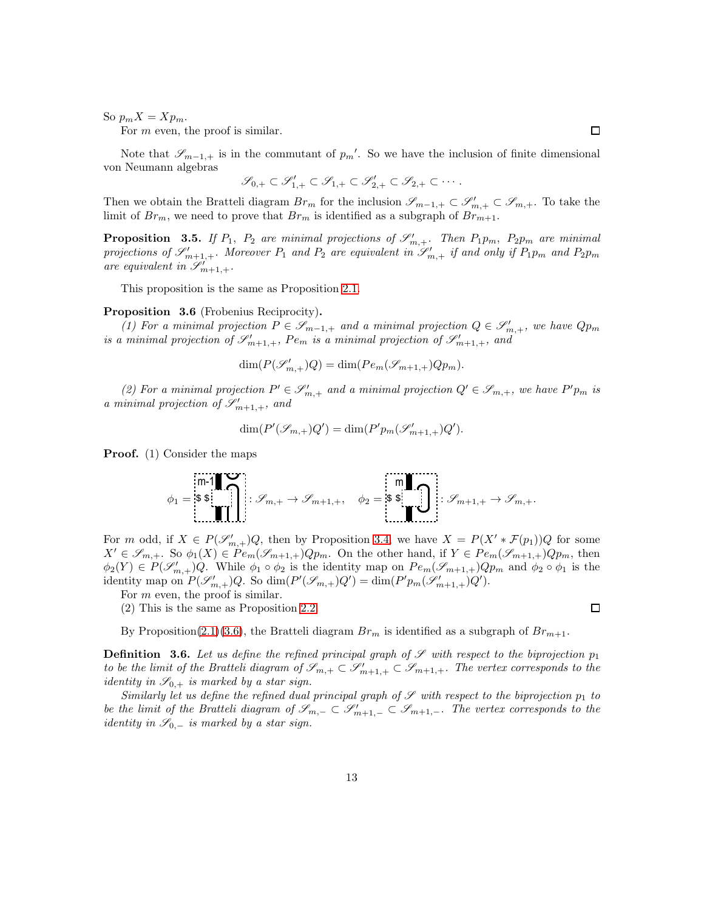So  $p_m X = X p_m$ .

For *m* even, the proof is similar.

Note that  $\mathscr{S}_{m-1,+}$  is in the commutant of  $p_m'$ . So we have the inclusion of finite dimensional von Neumann algebras

$$
\mathscr{S}_{0,+} \subset \mathscr{S}'_{1,+} \subset \mathscr{S}_{1,+} \subset \mathscr{S}'_{2,+} \subset \mathscr{S}_{2,+} \subset \cdots.
$$

Then we obtain the Bratteli diagram  $Br_m$  for the inclusion  $\mathscr{S}_{m-1,+} \subset \mathscr{S}'_{m,+} \subset \mathscr{S}_{m,+}$ . To take the limit of  $Br_m$ , we need to prove that  $Br_m$  is identified as a subgraph of  $Br_{m+1}$ .

**Proposition** 3.5. If  $P_1$ ,  $P_2$  are minimal projections of  $\mathscr{S}'_{m,+}$ . Then  $P_1p_m$ ,  $P_2p_m$  are minimal projections of  $\mathscr{S}'_{m+1,+}$ . Moreover  $P_1$  and  $P_2$  are equivalent in  $\mathscr{S}'_{m,+}$  if and only if  $P_1p_m$  and  $P_2p_m$ are equivalent in  $\mathscr{S}'_{m+1,+}.$ 

This proposition is the same as Proposition [2.1.](#page-4-0)

#### <span id="page-12-1"></span>Proposition 3.6 (Frobenius Reciprocity).

(1) For a minimal projection  $P \in \mathscr{S}_{m-1,+}$  and a minimal projection  $Q \in \mathscr{S}'_{m,+}$ , we have  $Qp_m$ is a minimal projection of  $\mathscr{S}'_{m+1,+}$ ,  $Pe_m$  is a minimal projection of  $\mathscr{S}'_{m+1,+}$ , and

$$
\dim(P(\mathcal{S}'_{m,+})Q) = \dim(Pe_m(\mathcal{S}_{m+1,+})Qp_m).
$$

(2) For a minimal projection  $P' \in \mathscr{S}'_{m,+}$  and a minimal projection  $Q' \in \mathscr{S}_{m,+}$ , we have  $P'p_m$  is a minimal projection of  $\mathscr{S}'_{m+1,+}$ , and

$$
\dim(P'(\mathcal{S}_{m,+})Q') = \dim(P'p_m(\mathcal{S}_{m+1,+}')Q').
$$

Proof. (1) Consider the maps

$$
\phi_1 = \begin{bmatrix} \mathfrak{m}\text{-}\mathbf{1} \\ \mathfrak{s}\mathfrak{s} \\ \mathfrak{m}\text{-}\mathbf{1} \end{bmatrix} \quad \mathscr{S}_{m,+} \to \mathscr{S}_{m+1,+}, \quad \phi_2 = \begin{bmatrix} \mathfrak{m} \\ \mathfrak{s}\mathfrak{s} \\ \mathfrak{m}\text{-}\mathbf{1} \end{bmatrix} \quad \mathscr{S}_{m+1,+} \to \mathscr{S}_{m,+}.
$$

For m odd, if  $X \in P(\mathscr{S}'_{m,+})Q$ , then by Proposition [3.4,](#page-11-0) we have  $X = P(X' * \mathcal{F}(p_1))Q$  for some  $X' \in \mathscr{S}_{m,+}$ . So  $\phi_1(X) \in Pe_m(\mathscr{S}_{m+1,+})Qp_m$ . On the other hand, if  $Y \in Pe_m(\mathscr{S}_{m+1,+})Qp_m$ , then  $\phi_2(Y) \in P(\mathscr{S}'_{m,+})Q$ . While  $\phi_1 \circ \phi_2$  is the identity map on  $Pe_m(\mathscr{S}_{m+1,+})Qp_m$  and  $\phi_2 \circ \phi_1$  is the identity map on  $P(\mathcal{S}'_{m,+})Q$ . So  $\dim(P'(\mathcal{S}_{m,+})Q') = \dim(P'p_m(\mathcal{S}'_{m+1,+})Q')$ .

For *m* even, the proof is similar.

(2) This is the same as Proposition [2.2.](#page-4-1)

By Proposition[\(2.1\)](#page-4-0)[\(3.6\)](#page-12-1), the Bratteli diagram  $Br_m$  is identified as a subgraph of  $Br_{m+1}$ .

<span id="page-12-0"></span>**Definition 3.6.** Let us define the refined principal graph of  $\mathscr S$  with respect to the biprojection  $p_1$ to be the limit of the Bratteli diagram of  $\mathscr{S}_{m,+} \subset \mathscr{S}'_{m+1,+} \subset \mathscr{S}_{m+1,+}$ . The vertex corresponds to the *identity in*  $\mathscr{S}_{0,+}$  *is marked by a star sign.* 

Similarly let us define the refined dual principal graph of  $\mathscr S$  with respect to the biprojection  $p_1$  to be the limit of the Bratteli diagram of  $\mathscr{S}_{m,-} \subset \mathscr{S}'_{m+1,-} \subset \mathscr{S}_{m+1,-}$ . The vertex corresponds to the *identity in*  $\mathscr{S}_{0,-}$  *is marked by a star sign.* 

 $\Box$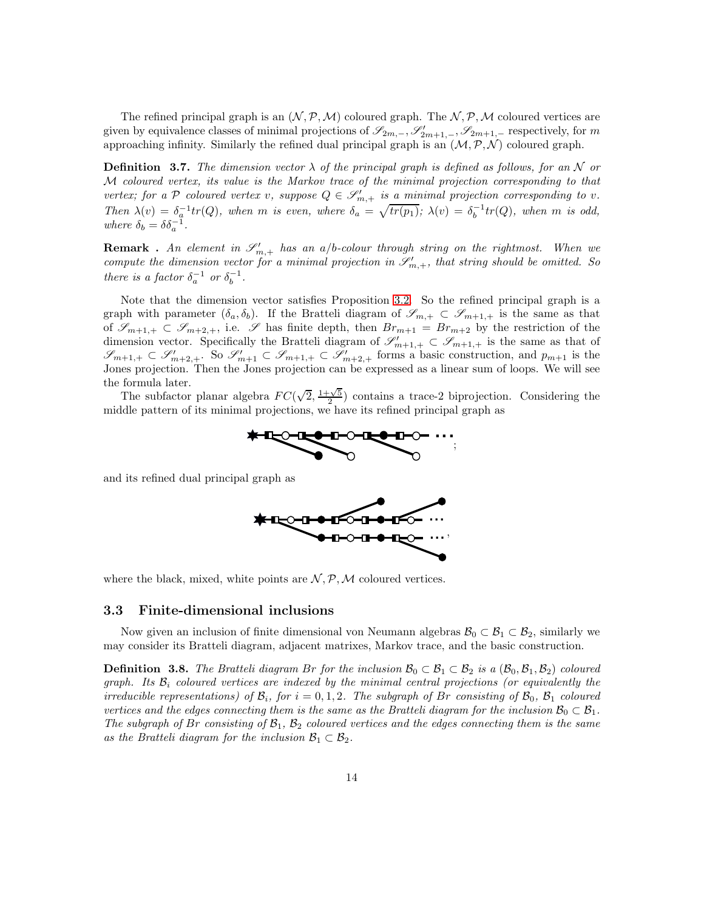The refined principal graph is an  $(\mathcal{N}, \mathcal{P}, \mathcal{M})$  coloured graph. The  $\mathcal{N}, \mathcal{P}, \mathcal{M}$  coloured vertices are given by equivalence classes of minimal projections of  $\mathscr{S}_{2m,-}, \mathscr{S}'_{2m+1,-}, \mathscr{S}_{2m+1,-}$  respectively, for m approaching infinity. Similarly the refined dual principal graph is an  $(M, \mathcal{P}, \mathcal{N})$  coloured graph.

**Definition 3.7.** The dimension vector  $\lambda$  of the principal graph is defined as follows, for an N or M coloured vertex, its value is the Markov trace of the minimal projection corresponding to that vertex; for a P coloured vertex v, suppose  $Q \in \mathscr{S}'_{m,+}$  is <u>a minimal</u> projection corresponding to v. Then  $\lambda(v) = \delta_a^{-1} tr(Q)$ , when m is even, where  $\delta_a = \sqrt{tr(p_1)}$ ;  $\lambda(v) = \delta_b^{-1} tr(Q)$ , when m is odd, where  $\delta_b = \delta \delta_a^{-1}$ .

**Remark** . An element in  $\mathscr{S}'_{m,+}$  has an a/b-colour through string on the rightmost. When we compute the dimension vector for a minimal projection in  $\mathscr{S}'_{m,+}$ , that string should be omitted. So there is a factor  $\delta_a^{-1}$  or  $\delta_b^{-1}$ .

Note that the dimension vector satisfies Proposition [3.2.](#page-10-0) So the refined principal graph is a graph with parameter  $(\delta_a, \delta_b)$ . If the Bratteli diagram of  $\mathscr{S}_{m,+} \subset \mathscr{S}_{m+1,+}$  is the same as that of  $\mathscr{S}_{m+1,+} \subset \mathscr{S}_{m+2,+}$ , i.e.  $\mathscr{S}$  has finite depth, then  $Br_{m+1} = Br_{m+2}$  by the restriction of the dimension vector. Specifically the Bratteli diagram of  $\mathscr{S}_{m+1,+}' \subset \mathscr{S}_{m+1,+}$  is the same as that of  $\mathscr{S}_{m+1,+} \subset \mathscr{S}'_{m+2,+}$ . So  $\mathscr{S}'_{m+1} \subset \mathscr{S}_{m+1,+} \subset \mathscr{S}'_{m+2,+}$  forms a basic construction, and  $p_{m+1}$  is the Jones projection. Then the Jones projection can be expressed as a linear sum of loops. We will see the formula later.

The subfactor planar algebra  $FC(\sqrt{2}, \frac{1+\sqrt{5}}{2})$  contains a trace-2 biprojection. Considering the middle pattern of its minimal projections, we have its refined principal graph as<br> $\blacktriangleright$ 



and its refined dual principal graph as



where the black, mixed, white points are  $N, P, M$  coloured vertices.

#### 3.3 Finite-dimensional inclusions

Now given an inclusion of finite dimensional von Neumann algebras  $\mathcal{B}_0 \subset \mathcal{B}_1 \subset \mathcal{B}_2$ , similarly we may consider its Bratteli diagram, adjacent matrixes, Markov trace, and the basic construction.

**Definition 3.8.** The Bratteli diagram Br for the inclusion  $\mathcal{B}_0 \subset \mathcal{B}_1 \subset \mathcal{B}_2$  is a  $(\mathcal{B}_0, \mathcal{B}_1, \mathcal{B}_2)$  coloured graph. Its  $\mathcal{B}_i$  coloured vertices are indexed by the minimal central projections (or equivalently the irreducible representations) of  $\mathcal{B}_i$ , for  $i = 0, 1, 2$ . The subgraph of Br consisting of  $\mathcal{B}_0$ ,  $\mathcal{B}_1$  coloured vertices and the edges connecting them is the same as the Bratteli diagram for the inclusion  $\mathcal{B}_0 \subset \mathcal{B}_1$ . The subgraph of Br consisting of  $B_1$ ,  $B_2$  coloured vertices and the edges connecting them is the same as the Bratteli diagram for the inclusion  $\mathcal{B}_1 \subset \mathcal{B}_2$ .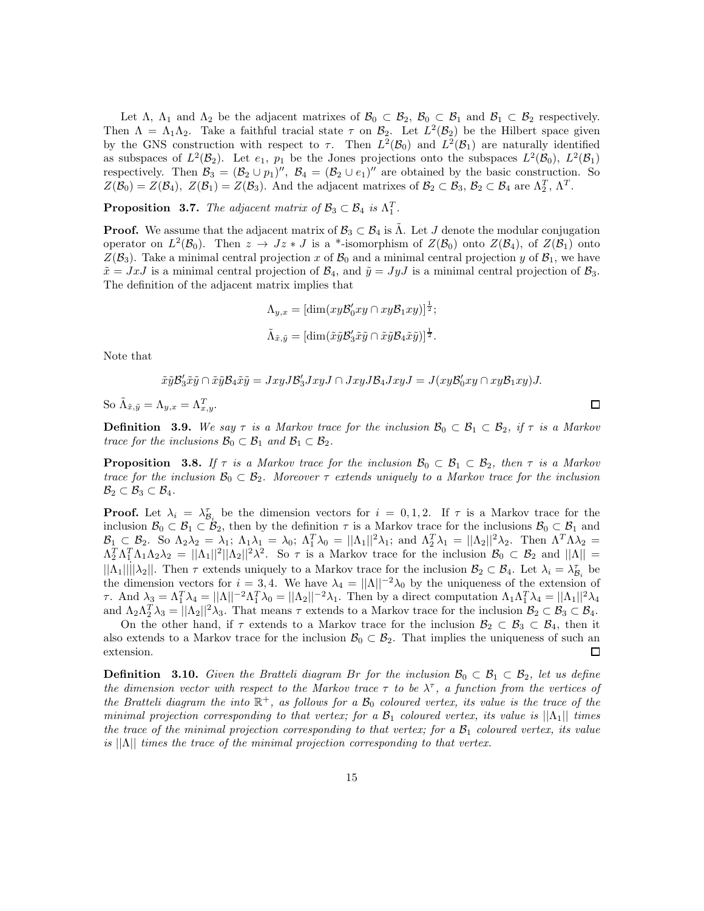Let  $\Lambda$ ,  $\Lambda_1$  and  $\Lambda_2$  be the adjacent matrixes of  $\mathcal{B}_0 \subset \mathcal{B}_2$ ,  $\mathcal{B}_0 \subset \mathcal{B}_1$  and  $\mathcal{B}_1 \subset \mathcal{B}_2$  respectively. Then  $\Lambda = \Lambda_1 \Lambda_2$ . Take a faithful tracial state  $\tau$  on  $\mathcal{B}_2$ . Let  $L^2(\mathcal{B}_2)$  be the Hilbert space given by the GNS construction with respect to  $\tau$ . Then  $L^2(\mathcal{B}_0)$  and  $L^2(\mathcal{B}_1)$  are naturally identified as subspaces of  $L^2(\mathcal{B}_2)$ . Let  $e_1$ ,  $p_1$  be the Jones projections onto the subspaces  $L^2(\mathcal{B}_0)$ ,  $L^2(\mathcal{B}_1)$ respectively. Then  $\mathcal{B}_3 = (\mathcal{B}_2 \cup p_1)'', \ \mathcal{B}_4 = (\mathcal{B}_2 \cup e_1)''$  are obtained by the basic construction. So  $Z(\mathcal{B}_0) = Z(\mathcal{B}_4)$ ,  $Z(\mathcal{B}_1) = Z(\mathcal{B}_3)$ . And the adjacent matrixes of  $\mathcal{B}_2 \subset \mathcal{B}_3$ ,  $\mathcal{B}_2 \subset \mathcal{B}_4$  are  $\Lambda_2^T$ ,  $\Lambda^T$ .

**Proposition 3.7.** The adjacent matrix of  $\mathcal{B}_3 \subset \mathcal{B}_4$  is  $\Lambda_1^T$ .

**Proof.** We assume that the adjacent matrix of  $\mathcal{B}_3 \subset \mathcal{B}_4$  is  $\Lambda$ . Let J denote the modular conjugation operator on  $L^2(\mathcal{B}_0)$ . Then  $z \to Jz * J$  is a \*-isomorphism of  $Z(\mathcal{B}_0)$  onto  $Z(\mathcal{B}_4)$ , of  $Z(\mathcal{B}_1)$  onto  $Z(\mathcal{B}_3)$ . Take a minimal central projection x of  $\mathcal{B}_0$  and a minimal central projection y of  $\mathcal{B}_1$ , we have  $\tilde{x} = JxJ$  is a minimal central projection of  $\mathcal{B}_4$ , and  $\tilde{y} = JyJ$  is a minimal central projection of  $\mathcal{B}_3$ . The definition of the adjacent matrix implies that

$$
\Lambda_{y,x} = [\dim(xy\mathcal{B}_0'xy \cap xy\mathcal{B}_1xy)]^{\frac{1}{2}};
$$
  

$$
\tilde{\Lambda}_{\tilde{x},\tilde{y}} = [\dim(\tilde{x}\tilde{y}\mathcal{B}_3'\tilde{x}\tilde{y} \cap \tilde{x}\tilde{y}\mathcal{B}_4\tilde{x}\tilde{y})]^{\frac{1}{2}}.
$$

Note that

 $\tilde{x}\tilde{y}\mathcal{B}'_3\tilde{x}\tilde{y}\cap \tilde{x}\tilde{y}\mathcal{B}_4\tilde{x}\tilde{y}=JxyJ\mathcal{B}'_3JxyJ\cap JxyJ\mathcal{B}_4JxyJ=J(xy\mathcal{B}'_0xy\cap xy\mathcal{B}_1xy)J.$ 

So  $\tilde{\Lambda}_{\tilde{x},\tilde{y}} = \Lambda_{y,x} = \Lambda_{x,y}^T$ .

**Definition** 3.9. We say  $\tau$  is a Markov trace for the inclusion  $\mathcal{B}_0 \subset \mathcal{B}_1 \subset \mathcal{B}_2$ , if  $\tau$  is a Markov trace for the inclusions  $\mathcal{B}_0 \subset \mathcal{B}_1$  and  $\mathcal{B}_1 \subset \mathcal{B}_2$ .

 $\Box$ 

**Proposition** 3.8. If  $\tau$  is a Markov trace for the inclusion  $\mathcal{B}_0 \subset \mathcal{B}_1 \subset \mathcal{B}_2$ , then  $\tau$  is a Markov trace for the inclusion  $\mathcal{B}_0 \subset \mathcal{B}_2$ . Moreover  $\tau$  extends uniquely to a Markov trace for the inclusion  $\mathcal{B}_2 \subset \mathcal{B}_3 \subset \mathcal{B}_4.$ 

**Proof.** Let  $\lambda_i = \lambda_{\mathcal{B}_i}^{\tau}$  be the dimension vectors for  $i = 0, 1, 2$ . If  $\tau$  is a Markov trace for the inclusion  $\mathcal{B}_0 \subset \mathcal{B}_1 \subset \mathcal{B}_2$ , then by the definition  $\tau$  is a Markov trace for the inclusions  $\mathcal{B}_0 \subset \mathcal{B}_1$  and  $\mathcal{B}_1 \subset \mathcal{B}_2$ . So  $\Lambda_2 \lambda_2 = \lambda_1$ ;  $\Lambda_1 \lambda_1 = \lambda_0$ ;  $\Lambda_1^T \lambda_0 = ||\Lambda_1||^2 \lambda_1$ ; and  $\Lambda_2^T \lambda_1 = ||\Lambda_2||^2 \lambda_2$ . Then  $\Lambda^T \Lambda \lambda_2 =$  $\Lambda_2^T \Lambda_1^T \Lambda_1 \Lambda_2 \lambda_2 = ||\Lambda_1||^2 ||\Lambda_2||^2 \lambda^2$ . So  $\tau$  is a Markov trace for the inclusion  $\mathcal{B}_0 \subset \mathcal{B}_2$  and  $||\Lambda|| =$  $||\Lambda_1|| ||\lambda_2||$ . Then  $\tau$  extends uniquely to a Markov trace for the inclusion  $\mathcal{B}_2 \subset \mathcal{B}_4$ . Let  $\lambda_i = \lambda_{\mathcal{B}_i}^T$  be the dimension vectors for  $i = 3, 4$ . We have  $\lambda_4 = ||\Lambda||^{-2}\lambda_0$  by the uniqueness of the extension of  $τ.$  And  $\lambda_3 = \Lambda_1^T \lambda_4 = ||\Lambda||^{-2} \Lambda_1^T \lambda_0 = ||\Lambda_2||^{-2} \lambda_1$ . Then by a direct computation  $\Lambda_1 \Lambda_1^T \lambda_4 = ||\Lambda_1||^2 \lambda_4$ and  $\Lambda_2 \Lambda_2^T \lambda_3 = ||\Lambda_2||^2 \lambda_3$ . That means  $\tau$  extends to a Markov trace for the inclusion  $\mathcal{B}_2 \subset \mathcal{B}_3 \subset \mathcal{B}_4$ .

On the other hand, if  $\tau$  extends to a Markov trace for the inclusion  $\mathcal{B}_2 \subset \mathcal{B}_3 \subset \mathcal{B}_4$ , then it also extends to a Markov trace for the inclusion  $\mathcal{B}_0 \subset \mathcal{B}_2$ . That implies the uniqueness of such an extension. extension.

**Definition** 3.10. Given the Bratteli diagram Br for the inclusion  $\mathcal{B}_0 \subset \mathcal{B}_1 \subset \mathcal{B}_2$ , let us define the dimension vector with respect to the Markov trace  $\tau$  to be  $\lambda^{\tau}$ , a function from the vertices of the Bratteli diagram the into  $\mathbb{R}^+$ , as follows for a  $\mathcal{B}_0$  coloured vertex, its value is the trace of the minimal projection corresponding to that vertex; for a  $\mathcal{B}_1$  coloured vertex, its value is  $||\Lambda_1||$  times the trace of the minimal projection corresponding to that vertex; for a  $\mathcal{B}_1$  coloured vertex, its value is  $||\Lambda||$  times the trace of the minimal projection corresponding to that vertex.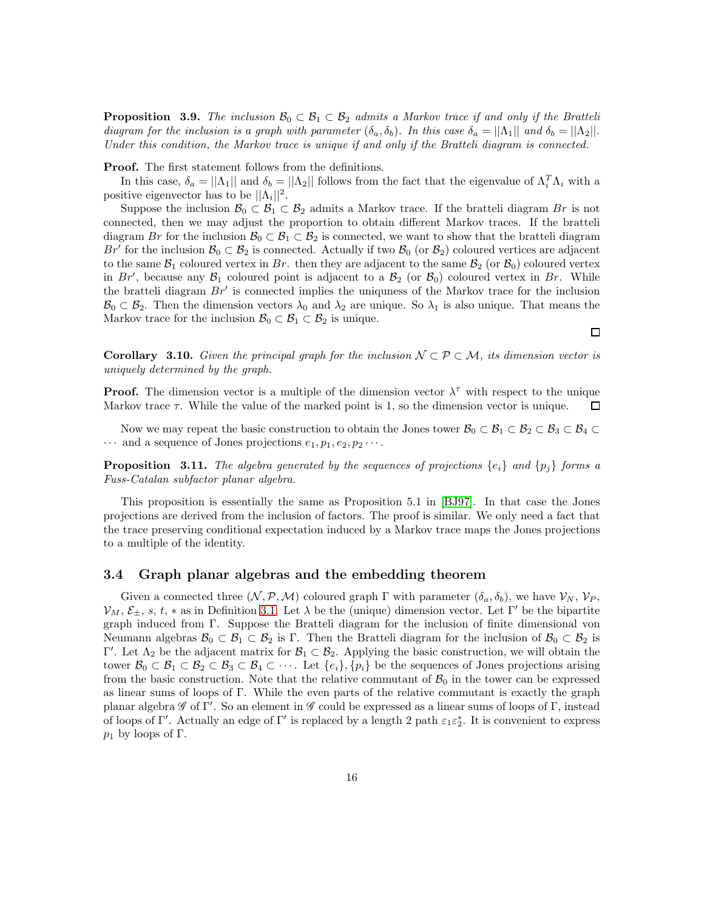**Proposition 3.9.** The inclusion  $\mathcal{B}_0 \subset \mathcal{B}_1 \subset \mathcal{B}_2$  admits a Markov trace if and only if the Bratteli diagram for the inclusion is a graph with parameter  $(\delta_a, \delta_b)$ . In this case  $\delta_a = ||\Lambda_1||$  and  $\delta_b = ||\Lambda_2||$ . Under this condition, the Markov trace is unique if and only if the Bratteli diagram is connected.

Proof. The first statement follows from the definitions.

In this case,  $\delta_a = ||\Lambda_1||$  and  $\delta_b = ||\Lambda_2||$  follows from the fact that the eigenvalue of  $\Lambda_i^T \Lambda_i$  with a positive eigenvector has to be  $||\Lambda_i||^2$ .

Suppose the inclusion  $\mathcal{B}_0 \subset \mathcal{B}_1 \subset \mathcal{B}_2$  admits a Markov trace. If the bratteli diagram Br is not connected, then we may adjust the proportion to obtain different Markov traces. If the bratteli diagram Br for the inclusion  $\mathcal{B}_0 \subset \mathcal{B}_1 \subset \mathcal{B}_2$  is connected, we want to show that the bratteli diagram Br' for the inclusion  $\mathcal{B}_0 \subset \mathcal{B}_2$  is connected. Actually if two  $\mathcal{B}_0$  (or  $\mathcal{B}_2$ ) coloured vertices are adjacent to the same  $\mathcal{B}_1$  coloured vertex in Br. then they are adjacent to the same  $\mathcal{B}_2$  (or  $\mathcal{B}_0$ ) coloured vertex in Br', because any  $\mathcal{B}_1$  coloured point is adjacent to a  $\mathcal{B}_2$  (or  $\mathcal{B}_0$ ) coloured vertex in Br. While the bratteli diagram  $Br'$  is connected implies the uniquess of the Markov trace for the inclusion  $\mathcal{B}_0 \subset \mathcal{B}_2$ . Then the dimension vectors  $\lambda_0$  and  $\lambda_2$  are unique. So  $\lambda_1$  is also unique. That means the Markov trace for the inclusion  $\mathcal{B}_0 \subset \mathcal{B}_1 \subset \mathcal{B}_2$  is unique.

<span id="page-15-0"></span>**Corollary 3.10.** Given the principal graph for the inclusion  $\mathcal{N} \subset \mathcal{P} \subset \mathcal{M}$ , its dimension vector is uniquely determined by the graph.

**Proof.** The dimension vector is a multiple of the dimension vector  $\lambda^{\tau}$  with respect to the unique Markov trace  $\tau$ . While the value of the marked point is 1, so the dimension vector is unique. □

Now we may repeat the basic construction to obtain the Jones tower  $\mathcal{B}_0 \subset \mathcal{B}_1 \subset \mathcal{B}_2 \subset \mathcal{B}_3 \subset \mathcal{B}_4 \subset$  $\cdots$  and a sequence of Jones projections  $e_1, p_1, e_2, p_2 \cdots$ .

**Proposition 3.11.** The algebra generated by the sequences of projections  $\{e_i\}$  and  $\{p_i\}$  forms a Fuss-Catalan subfactor planar algebra.

This proposition is essentially the same as Proposition 5.1 in [\[BJ97\]](#page-47-4). In that case the Jones projections are derived from the inclusion of factors. The proof is similar. We only need a fact that the trace preserving conditional expectation induced by a Markov trace maps the Jones projections to a multiple of the identity.

## 3.4 Graph planar algebras and the embedding theorem

Given a connected three  $(N, \mathcal{P}, \mathcal{M})$  coloured graph  $\Gamma$  with parameter  $(\delta_a, \delta_b)$ , we have  $\mathcal{V}_N$ ,  $\mathcal{V}_P$ ,  $\mathcal{V}_M, \mathcal{E}_{\pm}, s, t, *$  as in Definition [3.1.](#page-9-0) Let  $\lambda$  be the (unique) dimension vector. Let Γ' be the bipartite graph induced from Γ. Suppose the Bratteli diagram for the inclusion of finite dimensional von Neumann algebras  $\mathcal{B}_0 \subset \mathcal{B}_1 \subset \mathcal{B}_2$  is Γ. Then the Bratteli diagram for the inclusion of  $\mathcal{B}_0 \subset \mathcal{B}_2$  is Γ'. Let  $Λ_2$  be the adjacent matrix for  $\mathcal{B}_1 \subset \mathcal{B}_2$ . Applying the basic construction, we will obtain the tower  $\mathcal{B}_0 \subset \mathcal{B}_1 \subset \mathcal{B}_2 \subset \mathcal{B}_3 \subset \mathcal{B}_4 \subset \cdots$ . Let  $\{e_i\}, \{p_i\}$  be the sequences of Jones projections arising from the basic construction. Note that the relative commutant of  $B_0$  in the tower can be expressed as linear sums of loops of Γ. While the even parts of the relative commutant is exactly the graph planar algebra  $\mathscr G$  of  $\Gamma'$ . So an element in  $\mathscr G$  could be expressed as a linear sums of loops of  $\Gamma$ , instead of loops of Γ'. Actually an edge of Γ' is replaced by a length 2 path  $\varepsilon_1 \varepsilon_2^*$ . It is convenient to express  $p_1$  by loops of Γ.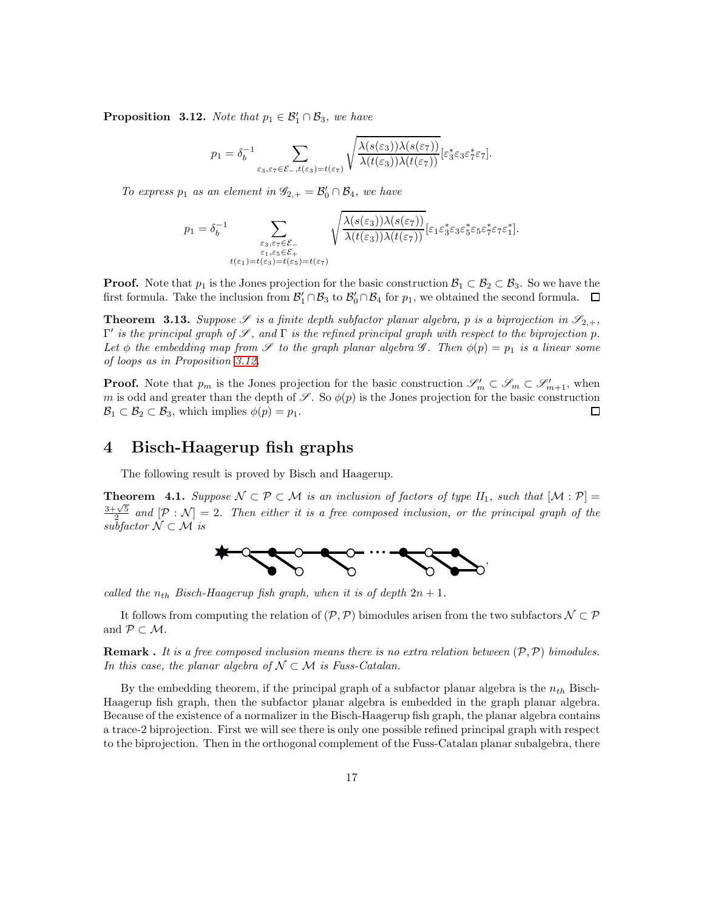<span id="page-16-1"></span>**Proposition** 3.12. Note that  $p_1 \in \mathcal{B}'_1 \cap \mathcal{B}_3$ , we have

$$
p_1 = \delta_b^{-1} \sum_{\varepsilon_3, \varepsilon_7 \in \mathcal{E}_-, t(\varepsilon_3) = t(\varepsilon_7)} \sqrt{\frac{\lambda(s(\varepsilon_3))\lambda(s(\varepsilon_7))}{\lambda(t(\varepsilon_3))\lambda(t(\varepsilon_7))}} [\varepsilon_3^* \varepsilon_3 \varepsilon_3^* \varepsilon_7].
$$

To express  $p_1$  as an element in  $\mathscr{G}_{2,+} = \mathscr{B}'_0 \cap \mathscr{B}_4$ , we have

$$
p_1 = \delta_b^{-1} \sum_{\substack{\varepsilon_3, \varepsilon_7 \in \mathcal{E}_- \\ \varepsilon_1, \varepsilon_5 \in \mathcal{E}_+ \\ t(\varepsilon_1) = t(\varepsilon_3) = t(\varepsilon_5) = t(\varepsilon_7)}} \sqrt{\frac{\lambda(s(\varepsilon_3))\lambda(s(\varepsilon_7))}{\lambda(t(\varepsilon_3))\lambda(t(\varepsilon_7))}} [\varepsilon_1 \varepsilon_3^* \varepsilon_3 \varepsilon_5^* \varepsilon_5 \varepsilon_7^* \varepsilon_7 \varepsilon_1^*].
$$

**Proof.** Note that  $p_1$  is the Jones projection for the basic construction  $\mathcal{B}_1 \subset \mathcal{B}_2 \subset \mathcal{B}_3$ . So we have the first formula. Take the inclusion from  $\mathcal{B}'_1 \cap \mathcal{B}_3$  to  $\mathcal{B}'_0 \cap \mathcal{B}_4$  for  $p_1$ , we obtained the second formula.

<span id="page-16-0"></span>**Theorem 3.13.** Suppose  $\mathscr S$  is a finite depth subfactor planar algebra, p is a biprojection in  $\mathscr S_{2,+}$ ,  $Γ'$  is the principal graph of  $\mathscr{S}$ , and  $Γ$  is the refined principal graph with respect to the biprojection p. Let  $\phi$  the embedding map from  $\mathscr S$  to the graph planar algebra  $\mathscr G$ . Then  $\phi(p) = p_1$  is a linear some of loops as in Proposition [3.12.](#page-16-1)

**Proof.** Note that  $p_m$  is the Jones projection for the basic construction  $\mathscr{S}'_m \subset \mathscr{S}'_m \subset \mathscr{S}'_{m+1}$ , when m is odd and greater than the depth of  $\mathscr{S}$ . So  $\phi(p)$  is the Jones projection for the basic construction  $\mathcal{B}_1 \subset \mathcal{B}_2 \subset \mathcal{B}_3$ , which implies  $\phi(p) = p_1$ .  $\Box$ 

# 4 Bisch-Haagerup fish graphs

The following result is proved by Bisch and Haagerup.

**Theorem 4.1.** Suppose  $\mathcal{N} \subset \mathcal{P} \subset \mathcal{M}$  is an inclusion of factors of type  $H_1$ , such that  $[\mathcal{M} : \mathcal{P}] =$  $\frac{3+\sqrt{5}}{2}$  and  $[\mathcal{P}:\mathcal{N}]=2$ . Then either it is a free composed inclusion, or the principal graph of the  $\overline{\mathit{subfactor}}\ \mathcal{N}\subset\mathcal{M}\ \mathit{is}$ 



called the  $n_{th}$  Bisch-Haagerup fish graph, when it is of depth  $2n + 1$ .

It follows from computing the relation of  $(\mathcal{P},\mathcal{P})$  bimodules arisen from the two subfactors  $\mathcal{N} \subset \mathcal{P}$ and  $P \subset M$ .

**Remark** . It is a free composed inclusion means there is no extra relation between  $(\mathcal{P}, \mathcal{P})$  bimodules. In this case, the planar algebra of  $\mathcal{N} \subset \mathcal{M}$  is Fuss-Catalan.

By the embedding theorem, if the principal graph of a subfactor planar algebra is the  $n_{th}$  Bisch-Haagerup fish graph, then the subfactor planar algebra is embedded in the graph planar algebra. Because of the existence of a normalizer in the Bisch-Haagerup fish graph, the planar algebra contains a trace-2 biprojection. First we will see there is only one possible refined principal graph with respect to the biprojection. Then in the orthogonal complement of the Fuss-Catalan planar subalgebra, there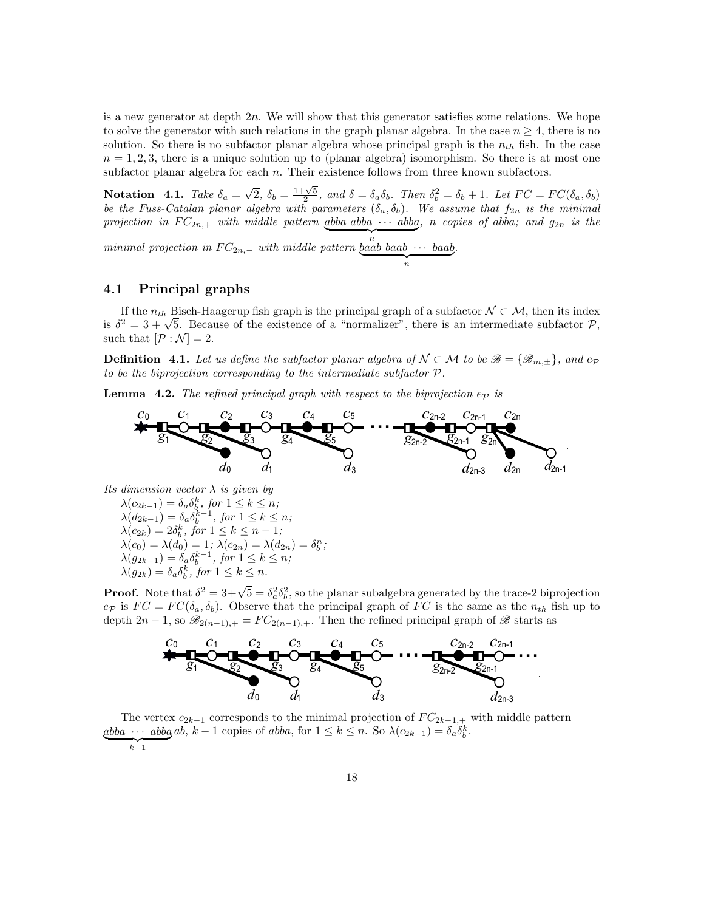is a new generator at depth  $2n$ . We will show that this generator satisfies some relations. We hope to solve the generator with such relations in the graph planar algebra. In the case  $n \geq 4$ , there is no solution. So there is no subfactor planar algebra whose principal graph is the  $n_{th}$  fish. In the case  $n = 1, 2, 3$ , there is a unique solution up to (planar algebra) isomorphism. So there is at most one subfactor planar algebra for each  $n$ . Their existence follows from three known subfactors.

**Notation** 4.1. Take  $\delta_a = \sqrt{2}$ ,  $\delta_b = \frac{1+\sqrt{5}}{2}$ , and  $\delta = \delta_a \delta_b$ . Then  $\delta_b^2 = \delta_b + 1$ . Let  $FC = FC(\delta_a, \delta_b)$ be the Fuss-Catalan planar algebra with parameters  $(\delta_a, \delta_b)$ . We assume that  $f_{2n}$  is the minimal projection in  $FC_{2n,+}$  with middle pattern abba abba  $\cdots$  abba, n copies of abba; and  $g_{2n}$  is the

 $minimal \, projection \, in \, FC_{2n,-} \, with \, middle \, pattern \, baab \, baab \cdots \, baab$ </u> .

## 4.1 Principal graphs

If the  $n_{th}$  Bisch-Haagerup fish graph is the principal graph of a subfactor  $\mathcal{N} \subset \mathcal{M}$ , then its index is  $\delta^2 = 3 + \sqrt{5}$ . Because of the existence of a "normalizer", there is an intermediate subfactor P, such that  $[\mathcal{P} : \mathcal{N}] = 2$ .

**Definition** 4.1. Let us define the subfactor planar algebra of  $N \subset M$  to be  $\mathscr{B} = {\mathscr{B}_{m,\pm}}$ , and ep to be the biprojection corresponding to the intermediate subfactor P.

<span id="page-17-0"></span>**Lemma** 4.2. The refined principal graph with respect to the biprojection  $e_p$  is



Its dimension vector  $\lambda$  is given by  $\lambda(c_{2k-1}) = \delta_a \delta_b^k$ , for  $1 \leq k \leq n$ ;

 $\lambda(d_{2k-1}) = \delta_a \delta_b^{k-1}$ , for  $1 \leq k \leq n$ ;  $\lambda(c_{2k}) = 2\delta_b^k$ , for  $1 \leq k \leq n-1$ ;  $\lambda(c_0) = \lambda(d_0) = 1; \ \lambda(c_{2n}) = \lambda(d_{2n}) = \delta_b^n;$  $\lambda(g_{2k-1}) = \delta_a \delta_b^{k-1}, \text{ for } 1 \leq k \leq n;$  $\lambda(g_{2k}) = \delta_a \delta_b^k$ , for  $1 \leq k \leq n$ .

**Proof.** Note that  $\delta^2 = 3 + \sqrt{5} = \delta_a^2 \delta_b^2$ , so the planar subalgebra generated by the trace-2 biprojection  $e_{\mathcal{P}}$  is  $FC = FC(\delta_a, \delta_b)$ . Observe that the principal graph of FC is the same as the  $n_{th}$  fish up to depth 2n − 1, so  $\mathscr{B}_{2(n-1),+} = FC_{2(n-1),+}$ . Then the refined principal graph of  $\mathscr{B}$  starts as



The vertex  $c_{2k-1}$  corresponds to the minimal projection of  $FC_{2k-1,+}$  with middle pattern  $abba \cdots abba ab, k-1 copies of abba, for  $1 \le k \le n$ . So  $\lambda(c_{2k-1}) = \delta_a \delta_b^k$ .$  $\overline{k-1}$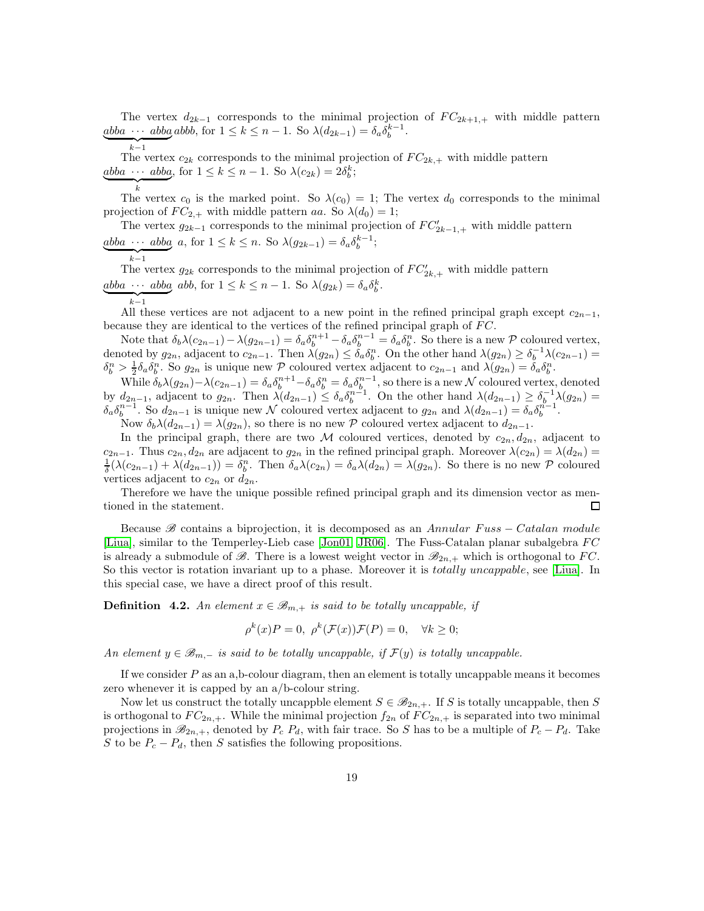The vertex  $d_{2k-1}$  corresponds to the minimal projection of  $FC_{2k+1,+}$  with middle pattern  $abba \cdots abba$  abbb, for  $1 \le k \le n-1$ . So  $\lambda(d_{2k-1}) = \delta_a \delta_b^{k-1}$ .

$$
\overbrace{k-1}
$$

 $k-1$ <br>The vertex  $c_{2k}$  corresponds to the minimal projection of  $FC_{2k,+}$  with middle pattern  $\underbrace{abba \cdots abba}_{k}$ , for  $1 \leq k \leq n-1$ . So  $\lambda(c_{2k}) = 2\delta_{b}^{k}$ ;

$$
\overline{\phantom{a}}_k
$$

The vertex  $c_0$  is the marked point. So  $\lambda(c_0) = 1$ ; The vertex  $d_0$  corresponds to the minimal projection of  $FC_{2,+}$  with middle pattern aa. So  $\lambda(d_0) = 1$ ;

The vertex  $g_{2k-1}$  corresponds to the minimal projection of  $FC'_{2k-1,+}$  with middle pattern  $abba \cdots abba$  a, for  $1 \le k \le n$ . So  $\lambda(g_{2k-1}) = \delta_a \delta_b^{k-1}$ ;

$$
k-1
$$

The vertex  $g_{2k}$  corresponds to the minimal projection of  $FC'_{2k,+}$  with middle pattern  $\underset{\sim}{abba} \cdots \underset{\sim}{abba}$  abb, for  $1 \leq k \leq n-1$ . So  $\lambda(g_{2k}) = \delta_a \delta_b^k$ .

 $k-1$ 

All these vertices are not adjacent to a new point in the refined principal graph except  $c_{2n-1}$ , because they are identical to the vertices of the refined principal graph of  $FC$ .

Note that  $\delta_b \lambda(c_{2n-1}) - \lambda(g_{2n-1}) = \delta_a \delta_b^{n+1} - \delta_a \delta_b^{n-1} = \delta_a \delta_b^n$ . So there is a new P coloured vertex, denoted by  $g_{2n}$ , adjacent to  $c_{2n-1}$ . Then  $\lambda(g_{2n}) \leq \delta_a \delta_b^n$ . On the other hand  $\lambda(g_{2n}) \geq \delta_b^{-1} \lambda(c_{2n-1}) =$  $\delta_b^n > \frac{1}{2} \delta_a \delta_b^n$ . So  $g_{2n}$  is unique new P coloured vertex adjacent to  $c_{2n-1}$  and  $\lambda(g_{2n}) = \delta_a \delta_b^n$ .

 $\sum_{i=2}^{\infty} a_i \delta_i$ . So  $g_{2n}$  is dingute fit  $W$  coloured vertex adjacent to  $c_{2n-1}$  and  $\lambda(g_{2n}) - a_0$ <sub>6</sub>.<br>While  $\delta_b \lambda(g_{2n}) - \lambda(c_{2n-1}) = \delta_a \delta_b^{n+1} - \delta_a \delta_b^n = \delta_a \delta_b^{n-1}$ , so there is a new N coloured vertex, denoted by  $d_{2n-1}$ , adjacent to  $g_{2n}$ . Then  $\lambda(d_{2n-1}) \leq \delta_a \delta_b^{n-1}$ . On the other hand  $\lambda(d_{2n-1}) \geq \delta_b^{-1} \lambda(g_{2n})$  $\delta_a \delta_b^{n-1}$ . So  $d_{2n-1}$  is unique new N coloured vertex adjacent to  $g_{2n}$  and  $\lambda(d_{2n-1}) = \delta_a \delta_b^{n-1}$ .

Now  $\delta_b\lambda(d_{2n-1}) = \lambda(g_{2n})$ , so there is no new P coloured vertex adjacent to  $d_{2n-1}$ .

In the principal graph, there are two M coloured vertices, denoted by  $c_{2n}, d_{2n}$ , adjacent to  $c_{2n-1}$ . Thus  $c_{2n}, d_{2n}$  are adjacent to  $g_{2n}$  in the refined principal graph. Moreover  $\lambda(c_{2n}) = \lambda(d_{2n}) =$  $\frac{1}{\delta}(\lambda(c_{2n-1}) + \lambda(d_{2n-1})) = \delta_{b}^{n}$ . Then  $\delta_{a}\lambda(c_{2n}) = \delta_{a}\lambda(d_{2n}) = \lambda(g_{2n})$ . So there is no new P coloured vertices adjacent to  $c_{2n}$  or  $d_{2n}$ .

Therefore we have the unique possible refined principal graph and its dimension vector as mentioned in the statement.  $\Box$ 

Because B contains a biprojection, it is decomposed as an Annular Fuss – Catalan module [\[Liua\]](#page-48-11), similar to the Temperley-Lieb case [\[Jon01,](#page-47-10) [JR06\]](#page-47-11). The Fuss-Catalan planar subalgebra FC is already a submodule of  $\mathscr{B}$ . There is a lowest weight vector in  $\mathscr{B}_{2n,+}$  which is orthogonal to FC. So this vector is rotation invariant up to a phase. Moreover it is *totally uncappable*, see [\[Liua\]](#page-48-11). In this special case, we have a direct proof of this result.

**Definition 4.2.** An element  $x \in \mathcal{B}_{m,+}$  is said to be totally uncappable, if

$$
\rho^k(x)P = 0, \ \rho^k(\mathcal{F}(x))\mathcal{F}(P) = 0, \quad \forall k \ge 0;
$$

An element  $y \in \mathcal{B}_{m,-}$  is said to be totally uncappable, if  $\mathcal{F}(y)$  is totally uncappable.

If we consider  $P$  as an a,b-colour diagram, then an element is totally uncappable means it becomes zero whenever it is capped by an a/b-colour string.

Now let us construct the totally uncappble element  $S \in \mathcal{B}_{2n,+}$ . If S is totally uncappable, then S is orthogonal to  $FC_{2n,+}$ . While the minimal projection  $f_{2n}$  of  $FC_{2n,+}$  is separated into two minimal projections in  $\mathcal{B}_{2n,+}$ , denoted by  $P_c$ ,  $P_d$ , with fair trace. So S has to be a multiple of  $P_c - P_d$ . Take S to be  $P_c - P_d$ , then S satisfies the following propositions.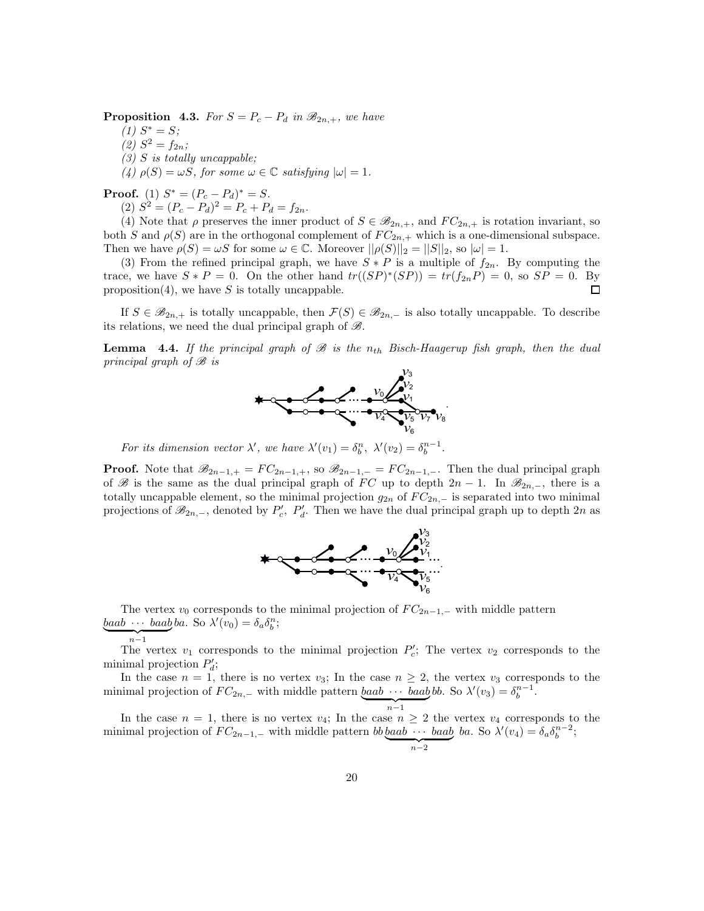<span id="page-19-0"></span>**Proposition 4.3.** For  $S = P_c - P_d$  in  $\mathcal{B}_{2n,+}$ , we have

 $(1)$   $S^* = S;$ 

- (2)  $S^2 = f_{2n};$
- $(3)$  S is totally uncappable;

(4)  $\rho(S) = \omega S$ , for some  $\omega \in \mathbb{C}$  satisfying  $|\omega| = 1$ .

**Proof.** (1)  $S^* = (P_c - P_d)^* = S$ .

(2)  $S^2 = (P_c - P_d)^2 = P_c + P_d = f_{2n}.$ 

(4) Note that  $\rho$  preserves the inner product of  $S \in \mathcal{B}_{2n,+}$ , and  $FC_{2n,+}$  is rotation invariant, so both S and  $\rho(S)$  are in the orthogonal complement of  $FC_{2n,+}$  which is a one-dimensional subspace. Then we have  $\rho(S) = \omega S$  for some  $\omega \in \mathbb{C}$ . Moreover  $||\rho(S)||_2 = ||S||_2$ , so  $|\omega| = 1$ .

(3) From the refined principal graph, we have  $S * P$  is a multiple of  $f_{2n}$ . By computing the trace, we have  $S * P = 0$ . On the other hand  $tr((SP)^*(SP)) = tr(f_{2n}P) = 0$ , so  $SP = 0$ . By proposition(4), we have  $S$  is totally uncappable. □

If  $S \in \mathscr{B}_{2n,+}$  is totally uncappable, then  $\mathcal{F}(S) \in \mathscr{B}_{2n,-}$  is also totally uncappable. To describe its relations, we need the dual principal graph of  $\mathscr{B}$ .

**Lemma** 4.4. If the principal graph of  $\mathcal{B}$  is the n<sub>th</sub> Bisch-Haagerup fish graph, then the dual principal graph of  $\mathcal{B}$  is  $v_3$ 



For its dimension vector  $\lambda'$ , we have  $\lambda'(v_1) = \delta_b^n$ ,  $\lambda'(v_2) = \delta_b^{n-1}$ .

**Proof.** Note that  $\mathscr{B}_{2n-1,+} = FC_{2n-1,+}$ , so  $\mathscr{B}_{2n-1,-} = FC_{2n-1,-}$ . Then the dual principal graph of B is the same as the dual principal graph of FC up to depth  $2n-1$ . In  $\mathcal{B}_{2n,-}$ , there is a totally uncappable element, so the minimal projection  $g_{2n}$  of  $FC_{2n,-}$  is separated into two minimal projections of  $\mathscr{B}_{2n,-}$ , denoted by  $P'_c$ ,  $P'_d$ . Then we have the dual principal graph up to depth  $2n$  as



The vertex  $v_0$  corresponds to the minimal projection of  $FC_{2n-1,-}$  with middle pattern  $\underline{b}aab \cdots \underline{b}aab \underline{b}a.$  So  $\lambda'(v_0) = \delta_a \delta_b^n;$  $n-1$ 

The vertex  $v_1$  corresponds to the minimal projection  $P'_c$ ; The vertex  $v_2$  corresponds to the minimal projection  $P'_d$ ;

In the case  $n = 1$ , there is no vertex  $v_3$ ; In the case  $n \geq 2$ , the vertex  $v_3$  corresponds to the minimal projection of  $FC_{2n,-}$  with middle pattern  $\underbrace{baab \cdots baab}_{n-1}$ bb. So  $\lambda'(v_3) = \delta_b^{n-1}$ .

In the case  $n = 1$ , there is no vertex  $v_4$ ; In the case  $n \geq 2$  the vertex  $v_4$  corresponds to the minimal projection of  $FC_{2n-1,-}$  with middle pattern  $bb\,b$ aab  $\cdots$  baab ba. So  $\lambda'(v_4) = \delta_a \delta_b^{n-2}$ ;  $\sum_{n=2}$ 

 $n-2$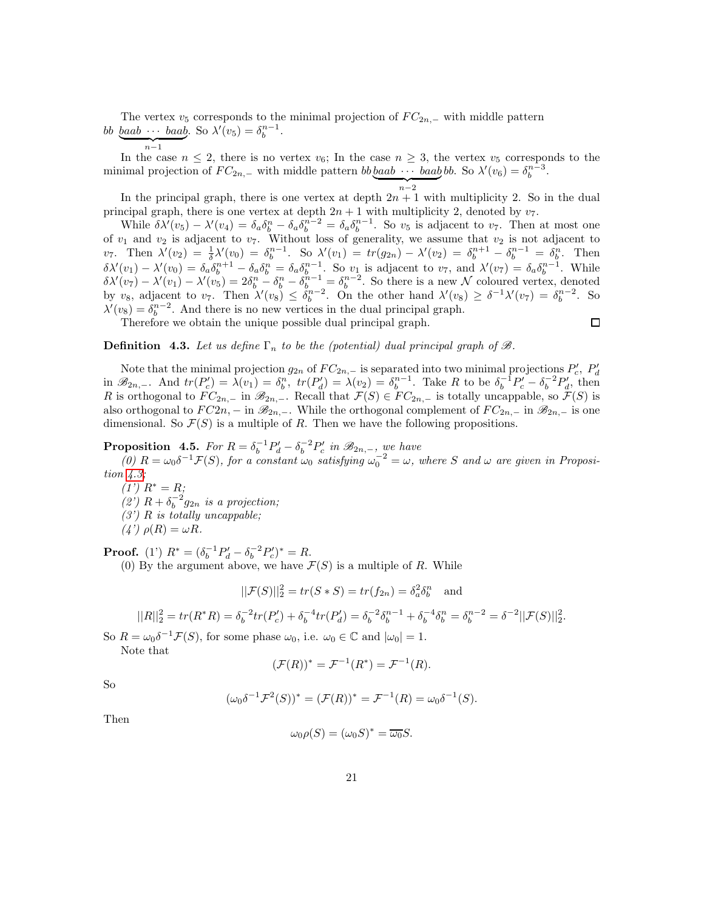The vertex  $v_5$  corresponds to the minimal projection of  $FC_{2n,-}$  with middle pattern bb <u>baab · · · baab</u>. So  $\lambda'(v_5) = \delta_b^{n-1}$ .  $\overline{n-1}$ 

In the case  $n \leq 2$ , there is no vertex  $v_6$ ; In the case  $n \geq 3$ , the vertex  $v_5$  corresponds to the minimal projection of  $FC_{2n,-}$  with middle pattern  $bb \underline{b}$  *baab*  $\cdots$  *baab*  $bb$ . So  $\lambda'(v_6) = \delta_b^{n-3}$ .

 $n-2$ 

In the principal graph, there is one vertex at depth  $2n + 1$  with multiplicity 2. So in the dual principal graph, there is one vertex at depth  $2n + 1$  with multiplicity 2, denoted by  $v_7$ .

While  $\delta \lambda'(v_5) - \lambda'(v_4) = \delta_a \delta_b^n - \delta_a \delta_b^{n-2} = \delta_a \delta_b^{n-1}$ . So  $v_5$  is adjacent to  $v_7$ . Then at most one of  $v_1$  and  $v_2$  is adjacent to  $v_7$ . Without loss of generality, we assume that  $v_2$  is not adjacent to  $v_7$ . Then  $\lambda'(v_2) = \frac{1}{\delta} \lambda'(v_0) = \delta_b^{n-1}$ . So  $\lambda'(v_1) = tr(g_{2n}) - \lambda'(v_2) = \delta_b^{n+1} - \delta_b^{n-1} = \delta_b^n$ . Then  $\delta \lambda'(v_1) - \lambda'(v_0) = \delta_a \delta_b^{n+1} - \delta_a \delta_b^n = \delta_a \delta_b^{n-1}$ . So  $v_1$  is adjacent to  $v_7$ , and  $\lambda'(v_7) = \delta_a \delta_b^{n-1}$ . While  $\delta\lambda'(v_7) - \lambda'(v_1) - \lambda'(v_5) = 2\delta_b^n - \delta_b^n - \delta_b^{n-1} = \delta_b^{n-2}$ . So there is a new N coloured vertex, denoted by  $v_8$ , adjacent to  $v_7$ . Then  $\lambda'(v_8) \le \delta_b^{n-2}$ . On the other hand  $\lambda'(v_8) \ge \delta^{-1}\lambda'(v_7) = \delta_b^{n-2}$ . So  $\lambda'(v_8) = \delta_b^{n-2}$ . And there is no new vertices in the dual principal graph.

Therefore we obtain the unique possible dual principal graph.

 $\Box$ 

## **Definition** 4.3. Let us define  $\Gamma_n$  to be the (potential) dual principal graph of  $\mathcal{B}$ .

Note that the minimal projection  $g_{2n}$  of  $FC_{2n,-}$  is separated into two minimal projections  $P'_c$ ,  $P'_d$ in  $\mathscr{B}_{2n,-}$ . And  $tr(P'_c) = \lambda(v_1) = \delta_b^n$ ,  $tr(P'_d) = \lambda(v_2) = \delta_b^{n-1}$ . Take R to be  $\delta_b^{-1}P'_c - \delta_b^{-2}P'_d$ , then R is orthogonal to  $FC_{2n,-}$  in  $\mathscr{B}_{2n,-}$ . Recall that  $\mathcal{F}(S) \in FC_{2n,-}$  is totally uncappable, so  $\mathcal{F}(S)$  is also orthogonal to  $FC2n$ , – in  $\mathscr{B}_{2n}$ , –. While the orthogonal complement of  $FC_{2n}$ , in  $\mathscr{B}_{2n}$ , is one dimensional. So  $\mathcal{F}(S)$  is a multiple of R. Then we have the following propositions.

# <span id="page-20-0"></span>**Proposition** 4.5. For  $R = \delta_b^{-1} P_d' - \delta_b^{-2} P_c'$  in  $\mathcal{B}_{2n,-}$ , we have

(0)  $R = \omega_0 \delta^{-1} \mathcal{F}(S)$ , for a constant  $\omega_0$  satisfying  $\omega_0^{-2} = \omega$ , where S and  $\omega$  are given in Proposition [4.3;](#page-19-0)

 $(1') R^* = R;$ (2')  $R + \delta_b^{-2} g_{2n}$  is a projection;

 $(3')$  R is totally uncappable;

 $(4') \rho(R) = \omega R.$ 

**Proof.** (1')  $R^* = (\delta_b^{-1} P_d' - \delta_b^{-2} P_c')^* = R$ .

(0) By the argument above, we have  $\mathcal{F}(S)$  is a multiple of R. While

$$
||\mathcal{F}(S)||_2^2 = tr(S * S) = tr(f_{2n}) = \delta_a^2 \delta_b^n \text{ and}
$$

$$
||R||_2^2 = tr(R^*R) = \delta_b^{-2}tr(P_c') + \delta_b^{-4}tr(P_d') = \delta_b^{-2}\delta_b^{n-1} + \delta_b^{-4}\delta_b^n = \delta_b^{n-2} = \delta^{-2}||\mathcal{F}(S)||_2^2.
$$

So  $R = \omega_0 \delta^{-1} \mathcal{F}(S)$ , for some phase  $\omega_0$ , i.e.  $\omega_0 \in \mathbb{C}$  and  $|\omega_0| = 1$ .

 $($ 

Note that

$$
(\mathcal{F}(R))^* = \mathcal{F}^{-1}(R^*) = \mathcal{F}^{-1}(R).
$$

So

$$
\omega_0 \delta^{-1} \mathcal{F}^2(S))^* = (\mathcal{F}(R))^* = \mathcal{F}^{-1}(R) = \omega_0 \delta^{-1}(S).
$$

Then

$$
\omega_0 \rho(S) = (\omega_0 S)^* = \overline{\omega_0} S.
$$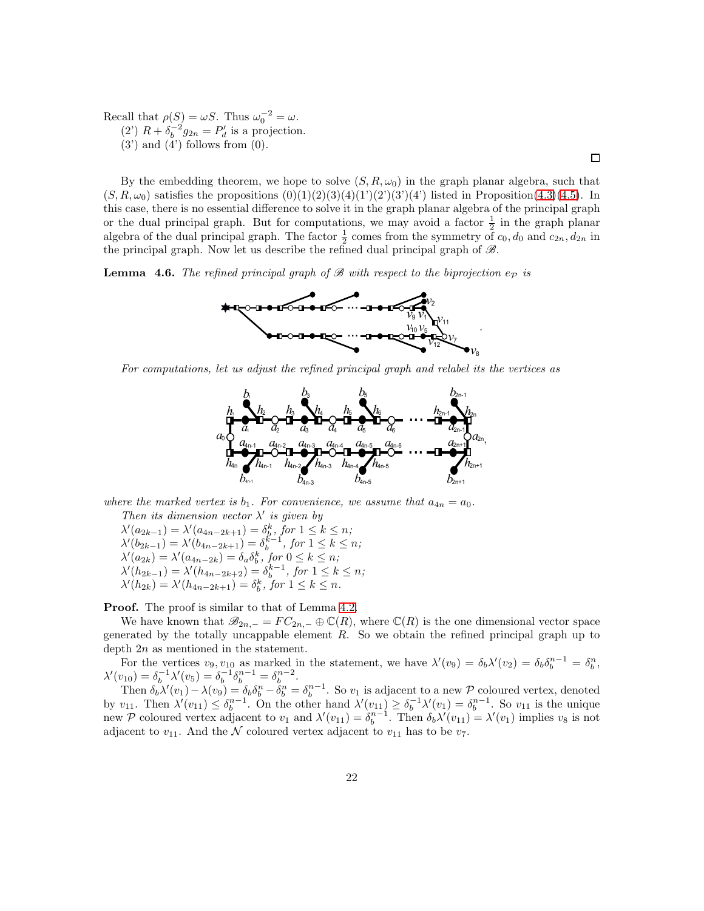Recall that  $\rho(S) = \omega S$ . Thus  $\omega_0^{-2} = \omega$ . (2)  $R + \delta_b^{-2} g_{2n} = P'_d$  is a projection.  $(3')$  and  $(4')$  follows from  $(0)$ .

By the embedding theorem, we hope to solve  $(S, R, \omega_0)$  in the graph planar algebra, such that  $(S, R, \omega_0)$  satisfies the propositions  $(0)(1)(2)(3)(4)(1')(2')(3')(4')$  listed in Proposition[\(4.3\)](#page-19-0)[\(4.5\)](#page-20-0). In this case, there is no essential difference to solve it in the graph planar algebra of the principal graph or the dual principal graph. But for computations, we may avoid a factor  $\frac{1}{2}$  in the graph planar algebra of the dual principal graph. The factor  $\frac{1}{2}$  comes from the symmetry of  $c_0$ ,  $d_0$  and  $c_{2n}$ ,  $d_{2n}$  in the principal graph. Now let us describe the refined dual principal graph of  $\mathscr{B}$ .

 $\Box$ 

<span id="page-21-0"></span>**Lemma 4.6.** The refined principal graph of B with respect to the biprojection  $e_p$  is



For computations, let us adjust the refined principal graph and relabel its the vertices as



where the marked vertex is  $b_1$ . For convenience, we assume that  $a_{4n} = a_0$ .

Then its dimension vector  $\lambda'$  is given by  $\lambda'(a_{2k-1}) = \lambda'(a_{4n-2k+1}) = \delta_k^k$ , for  $1 \le k \le n$ ;  $\lambda'(b_{2k-1}) = \lambda'(b_{4n-2k+1}) = \delta_b^{k-1}, \text{ for } 1 \leq k \leq n;$  $\lambda'(a_{2k}) = \lambda'(a_{4n-2k}) = \delta_a \delta_b^k$ , for  $0 \le k \le n$ ;  $\lambda'(h_{2k-1}) = \lambda'(h_{4n-2k+2}) = \delta_b^{k-1}, \text{ for } 1 \leq k \leq n;$  $\lambda'(h_{2k}) = \lambda'(h_{4n-2k+1}) = \delta_b^k$ , for  $1 \le k \le n$ .

**Proof.** The proof is similar to that of Lemma [4.2.](#page-17-0)

We have known that  $\mathscr{B}_{2n,-} = FC_{2n,-} \oplus \mathbb{C}(R)$ , where  $\mathbb{C}(R)$  is the one dimensional vector space generated by the totally uncappable element  $R$ . So we obtain the refined principal graph up to depth 2n as mentioned in the statement.

For the vertices  $v_9, v_{10}$  as marked in the statement, we have  $\lambda'(v_9) = \delta_b \lambda'(v_2) = \delta_b \delta_b^{n-1} = \delta_b^n$ , For the vertices  $\omega_9, \omega_{10}$  as marked in the statement, we have  $\lambda'(\omega_9) = \omega_b \lambda'(\omega_2) = \omega_b \omega_b = \omega_b$ <br>  $\lambda'(\nu_{10}) = \delta_b^{-1} \lambda'(\nu_5) = \delta_b^{-1} \delta_b^{n-1} = \delta_b^{n-2}$ .

Then  $\delta_b \lambda'(v_1) - \lambda(v_9) = \delta_b \delta_b^n - \delta_b^n = \delta_b^{n-1}$ . So  $v_1$  is adjacent to a new P coloured vertex, denoted by  $v_{11}$ . Then  $\lambda'(v_{11}) \leq \delta_b^{n-1}$ . On the other hand  $\lambda'(v_{11}) \geq \delta_b^{-1}\lambda'(v_1) = \delta_b^{n-1}$ . So  $v_{11}$  is the unique new P coloured vertex adjacent to  $v_1$  and  $\lambda'(v_{11}) = \delta_b^{n-1}$ . Then  $\delta_b \lambda'(v_{11}) = \lambda'(v_1)$  implies  $v_8$  is not adjacent to  $v_{11}$ . And the N coloured vertex adjacent to  $v_{11}$  has to be  $v_7$ .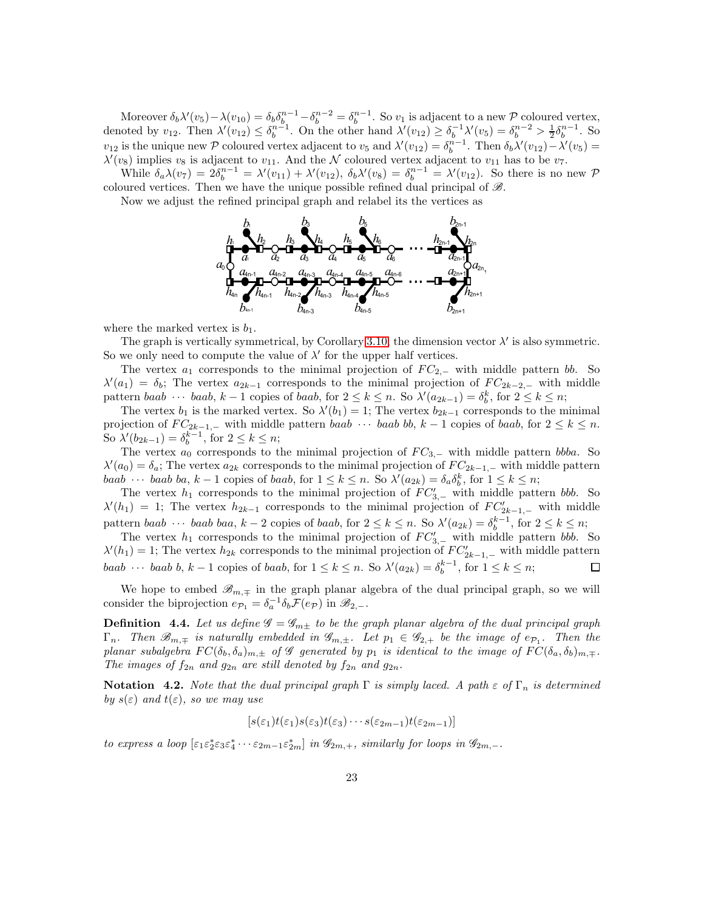Moreover  $\delta_b \lambda'(v_5) - \lambda(v_{10}) = \delta_b \delta_b^{n-1} - \delta_b^{n-2} = \delta_b^{n-1}$ . So  $v_1$  is adjacent to a new P coloured vertex, denoted by  $v_{12}$ . Then  $\lambda'(v_{12}) \leq \delta_b^{n-1}$ . On the other hand  $\lambda'(v_{12}) \geq \delta_b^{-1} \lambda'(v_5) = \delta_b^{n-2} > \frac{1}{2} \delta_b^{n-1}$ . So  $v_{12}$  is the unique new P coloured vertex adjacent to  $v_5$  and  $\lambda'(v_{12}) = \delta_b^{n-1}$ . Then  $\delta_b \lambda'(v_{12}) - \lambda'(v_5) =$  $\lambda'(v_8)$  implies  $v_8$  is adjacent to  $v_{11}$ . And the N coloured vertex adjacent to  $v_{11}$  has to be  $v_7$ .

While  $\delta_a \lambda(v_7) = 2\delta_b^{n-1} = \lambda'(v_{11}) + \lambda'(v_{12}), \ \delta_b \lambda'(v_8) = \delta_b^{n-1} = \lambda'(v_{12}).$  So there is no new P coloured vertices. Then we have the unique possible refined dual principal of  $\mathscr{B}$ .

Now we adjust the refined principal graph and relabel its the vertices as



where the marked vertex is  $b_1$ .

The graph is vertically symmetrical, by Corollary [3.10,](#page-15-0) the dimension vector  $\lambda'$  is also symmetric. So we only need to compute the value of  $\lambda'$  for the upper half vertices.

The vertex  $a_1$  corresponds to the minimal projection of  $FC_{2,-}$  with middle pattern bb. So  $\lambda'(a_1) = \delta_b$ ; The vertex  $a_{2k-1}$  corresponds to the minimal projection of  $FC_{2k-2,-}$  with middle pattern baab · · · baab, k – 1 copies of baab, for  $2 \le k \le n$ . So  $\lambda'(a_{2k-1}) = \delta_b^k$ , for  $2 \le k \le n$ ;

The vertex  $b_1$  is the marked vertex. So  $\lambda'(b_1) = 1$ ; The vertex  $b_{2k-1}$  corresponds to the minimal projection of  $FC_{2k-1,-}$  with middle pattern baab  $\cdots$  baab bb,  $k-1$  copies of baab, for  $2 \leq k \leq n$ . So  $\lambda'(b_{2k-1}) = \delta_b^{k-1}$ , for  $2 \le k \le n$ ;

The vertex  $a_0$  corresponds to the minimal projection of  $FC_{3,-}$  with middle pattern bbba. So  $\lambda'(a_0) = \delta_a$ ; The vertex  $a_{2k}$  corresponds to the minimal projection of  $FC_{2k-1,-}$  with middle pattern baab ··· baab ba,  $k-1$  copies of baab, for  $1 \leq k \leq n$ . So  $\lambda'(a_{2k}) = \delta_a \delta_b^k$ , for  $1 \leq k \leq n$ ;

The vertex  $h_1$  corresponds to the minimal projection of  $FC'_{3,-}$  with middle pattern bbb. So  $\lambda'(h_1) = 1$ ; The vertex  $h_{2k-1}$  corresponds to the minimal projection of  $FC'_{2k-1,-}$  with middle pattern baab · · · · baab baa,  $k-2$  copies of baab, for  $2 \le k \le n$ . So  $\lambda'(a_{2k}) = \delta_b^{k-1}$ , for  $2 \le k \le n$ ;

The vertex  $h_1$  corresponds to the minimal projection of  $FC'_{3,-}$  with middle pattern bbb. So  $\lambda'(h_1) = 1$ ; The vertex  $h_{2k}$  corresponds to the minimal projection of  $FC'_{2k-1,-}$  with middle pattern baab ··· baab b,  $k-1$  copies of baab, for  $1 \leq k \leq n$ . So  $\lambda'(a_{2k}) = \delta_b^{k-1}$ , for  $1 \leq k \leq n$ ;

We hope to embed  $\mathscr{B}_{m,\pm}$  in the graph planar algebra of the dual principal graph, so we will consider the biprojection  $e_{\mathcal{P}_1} = \delta_a^{-1} \delta_b \mathcal{F}(e_{\mathcal{P}})$  in  $\mathscr{B}_{2,-}$ .

**Definition 4.4.** Let us define  $\mathscr{G} = \mathscr{G}_{m\pm}$  to be the graph planar algebra of the dual principal graph  $\Gamma_n$ . Then  $\mathscr{B}_{m,\mp}$  is naturally embedded in  $\mathscr{G}_{m,\pm}$ . Let  $p_1 \in \mathscr{G}_{2,+}$  be the image of  $e_{\mathcal{P}_1}$ . Then the planar subalgebra  $FC(\delta_b, \delta_a)_{m,\pm}$  of G generated by  $p_1$  is identical to the image of  $FC(\delta_a, \delta_b)_{m,\mp}$ . The images of  $f_{2n}$  and  $g_{2n}$  are still denoted by  $f_{2n}$  and  $g_{2n}$ .

**Notation** 4.2. Note that the dual principal graph  $\Gamma$  is simply laced. A path  $\varepsilon$  of  $\Gamma_n$  is determined by  $s(\varepsilon)$  and  $t(\varepsilon)$ , so we may use

$$
[s(\varepsilon_1)t(\varepsilon_1)s(\varepsilon_3)t(\varepsilon_3)\cdots s(\varepsilon_{2m-1})t(\varepsilon_{2m-1})]
$$

to express a loop  $[\varepsilon_1 \varepsilon_2^* \varepsilon_3 \varepsilon_4^* \cdots \varepsilon_{2m-1} \varepsilon_{2m}^*]$  in  $\mathscr{G}_{2m,+}$ , similarly for loops in  $\mathscr{G}_{2m,-}$ .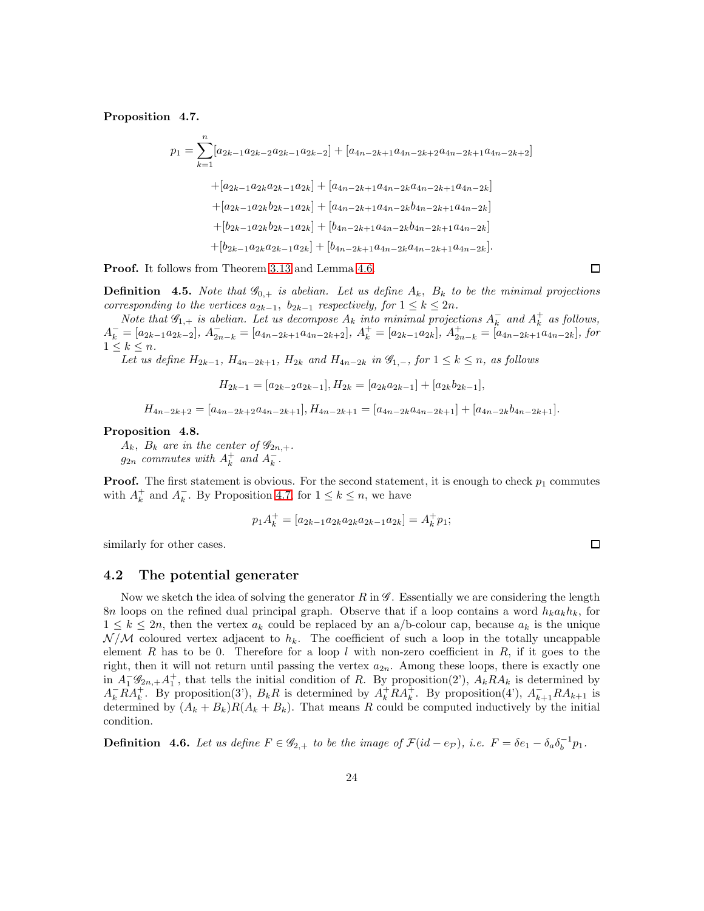<span id="page-23-0"></span>Proposition 4.7.

$$
p_{1} = \sum_{k=1}^{n} [a_{2k-1}a_{2k-2}a_{2k-1}a_{2k-2}] + [a_{4n-2k+1}a_{4n-2k+2}a_{4n-2k+1}a_{4n-2k+2}]
$$
  
+ 
$$
[a_{2k-1}a_{2k}a_{2k-1}a_{2k}] + [a_{4n-2k+1}a_{4n-2k}a_{4n-2k+1}a_{4n-2k}]
$$
  
+ 
$$
[a_{2k-1}a_{2k}b_{2k-1}a_{2k}] + [a_{4n-2k+1}a_{4n-2k}b_{4n-2k+1}a_{4n-2k}]
$$
  
+ 
$$
[b_{2k-1}a_{2k}b_{2k-1}a_{2k}] + [b_{4n-2k+1}a_{4n-2k}b_{4n-2k+1}a_{4n-2k}]
$$
  
+ 
$$
[b_{2k-1}a_{2k}a_{2k-1}a_{2k}] + [b_{4n-2k+1}a_{4n-2k}a_{4n-2k+1}a_{4n-2k}].
$$

**Proof.** It follows from Theorem [3.13](#page-16-0) and Lemma [4.6.](#page-21-0)

**Definition** 4.5. Note that  $\mathscr{G}_{0,+}$  is abelian. Let us define  $A_k$ ,  $B_k$  to be the minimal projections corresponding to the vertices  $a_{2k-1}$ ,  $b_{2k-1}$  respectively, for  $1 \leq k \leq 2n$ .

Note that  $\mathscr{G}_{1,+}$  is abelian. Let us decompose  $A_k$  into minimal projections  $A_k^-$  and  $A_k^+$  as follows,  $A_k^- = [a_{2k-1}a_{2k-2}], A_{2n-k}^- = [a_{4n-2k+1}a_{4n-2k+2}], A_k^+ = [a_{2k-1}a_{2k}], A_{2n-k}^+ = [a_{4n-2k+1}a_{4n-2k}],$  for  $1 \leq k \leq n$ .

Let us define  $H_{2k-1}$ ,  $H_{4n-2k+1}$ ,  $H_{2k}$  and  $H_{4n-2k}$  in  $\mathscr{G}_{1,-}$ , for  $1 \leq k \leq n$ , as follows

 $H_{2k-1} = [a_{2k-2}a_{2k-1}], H_{2k} = [a_{2k}a_{2k-1}] + [a_{2k}b_{2k-1}],$ 

 $H_{4n-2k+2} = [a_{4n-2k+2}a_{4n-2k+1}],$   $H_{4n-2k+1} = [a_{4n-2k}a_{4n-2k+1}] + [a_{4n-2k}b_{4n-2k+1}].$ 

#### <span id="page-23-1"></span>Proposition 4.8.

 $A_k$ ,  $B_k$  are in the center of  $\mathscr{G}_{2n,+}$ .  $g_{2n}$  commutes with  $A_k^+$  and  $A_k^-$ .

**Proof.** The first statement is obvious. For the second statement, it is enough to check  $p_1$  commutes with  $A_k^+$  and  $A_k^-$ . By Proposition [4.7,](#page-23-0) for  $1 \leq k \leq n$ , we have

$$
p_1 A_k^+ = [a_{2k-1} a_{2k} a_{2k} a_{2k-1} a_{2k}] = A_k^+ p_1;
$$

similarly for other cases.

#### 4.2 The potential generater

Now we sketch the idea of solving the generator  $R$  in  $\mathscr{G}$ . Essentially we are considering the length 8n loops on the refined dual principal graph. Observe that if a loop contains a word  $h_k a_k h_k$ , for  $1 \leq k \leq 2n$ , then the vertex  $a_k$  could be replaced by an a/b-colour cap, because  $a_k$  is the unique  $\mathcal{N}/\mathcal{M}$  coloured vertex adjacent to  $h_k$ . The coefficient of such a loop in the totally uncappable element R has to be 0. Therefore for a loop l with non-zero coefficient in R, if it goes to the right, then it will not return until passing the vertex  $a_{2n}$ . Among these loops, there is exactly one in  $A_1^-\mathscr{G}_{2n,+}A_1^+$ , that tells the initial condition of R. By proposition(2'),  $A_k R A_k$  is determined by  $A_k^- R A_k^+$ . By proposition(3'),  $B_k R$  is determined by  $A_k^+ R A_k^+$ . By proposition(4'),  $A_{k+1}^- R A_{k+1}$  is determined by  $(A_k + B_k)R(A_k + B_k)$ . That means R could be computed inductively by the initial condition.

**Definition** 4.6. Let us define  $F \in \mathscr{G}_{2,+}$  to be the image of  $\mathcal{F}(id - e_{\mathcal{P}})$ , i.e.  $F = \delta e_1 - \delta_a \delta_b^{-1} p_1$ .

 $\Box$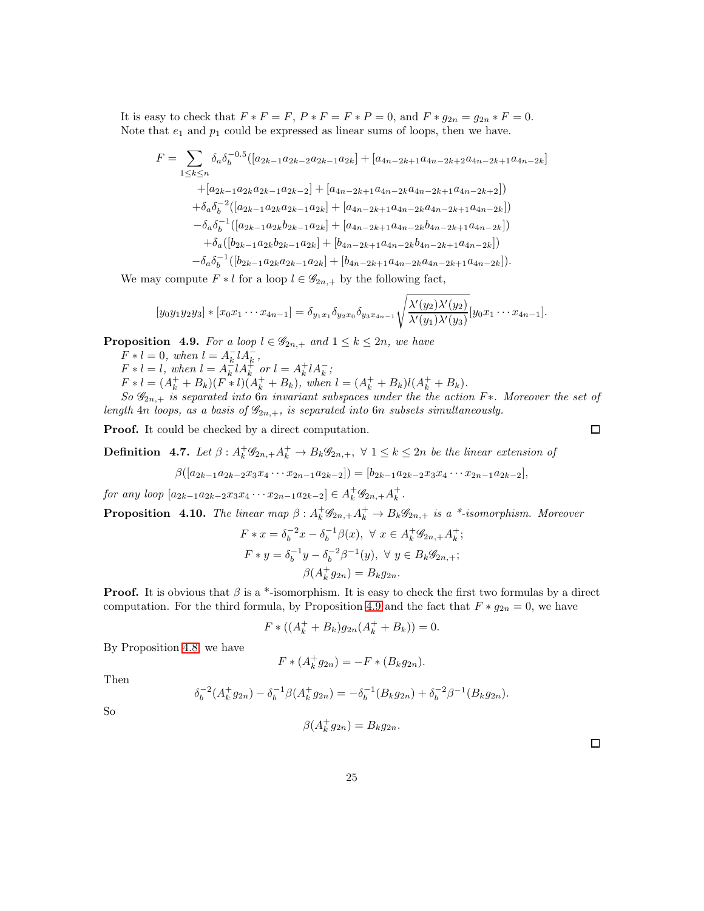It is easy to check that  $F * F = F$ ,  $P * F = F * P = 0$ , and  $F * g_{2n} = g_{2n} * F = 0$ . Note that  $e_1$  and  $p_1$  could be expressed as linear sums of loops, then we have.

$$
F = \sum_{1 \le k \le n} \delta_a \delta_b^{-0.5} ([a_{2k-1} a_{2k-2} a_{2k-1} a_{2k}] + [a_{4n-2k+1} a_{4n-2k+2} a_{4n-2k+1} a_{4n-2k}] + [a_{2k-1} a_{2k} a_{2k-1} a_{2k-2}] + [a_{4n-2k+1} a_{4n-2k} a_{4n-2k+1} a_{4n-2k+2}]) + \delta_a \delta_b^{-2} ([a_{2k-1} a_{2k} a_{2k-1} a_{2k}] + [a_{4n-2k+1} a_{4n-2k} a_{4n-2k+1} a_{4n-2k}] ) - \delta_a \delta_b^{-1} ([a_{2k-1} a_{2k} b_{2k-1} a_{2k}] + [a_{4n-2k+1} a_{4n-2k} b_{4n-2k+1} a_{4n-2k}] ) + \delta_a ([b_{2k-1} a_{2k} b_{2k-1} a_{2k}] + [b_{4n-2k+1} a_{4n-2k} b_{4n-2k+1} a_{4n-2k}] ) - \delta_a \delta_b^{-1} ([b_{2k-1} a_{2k} a_{2k-1} a_{2k}] + [b_{4n-2k+1} a_{4n-2k} a_{4n-2k+1} a_{4n-2k}]).
$$

We may compute  $F * l$  for a loop  $l \in \mathscr{G}_{2n,+}$  by the following fact,

$$
[y_0y_1y_2y_3]*[x_0x_1\cdots x_{4n-1}]=\delta_{y_1x_1}\delta_{y_2x_0}\delta_{y_3x_{4n-1}}\sqrt{\frac{\lambda'(y_2)\lambda'(y_2)}{\lambda'(y_1)\lambda'(y_3)}}[y_0x_1\cdots x_{4n-1}].
$$

<span id="page-24-0"></span>**Proposition 4.9.** For a loop  $l \in \mathscr{G}_{2n,+}$  and  $1 \leq k \leq 2n$ , we have

 $F * l = 0, when l = A_k^- l A_k^-,$  $F * l = l$ , when  $l = A_k^{-1} l A_k^{+}$  or  $l = A_k^{+} l A_k^{-}$ ;  $F * l = (A_k^+ + B_k)(F * l)(A_k^+ + B_k)$ , when  $l = (A_k^+ + B_k)l(A_k^+ + B_k)$ . So  $\mathscr{G}_{2n,+}$  is separated into  $6n$  invariant subspaces under the the action F\*. Moreover the set of

length 4n loops, as a basis of  $\mathcal{G}_{2n,+}$ , is separated into 6n subsets simultaneously.

Proof. It could be checked by a direct computation.

**Definition** 4.7. Let  $\beta: A_k^+ \mathscr{G}_{2n,+} A_k^+ \to B_k \mathscr{G}_{2n,+}$ ,  $\forall 1 \leq k \leq 2n$  be the linear extension of

$$
\beta([a_{2k-1}a_{2k-2}x_3x_4\cdots x_{2n-1}a_{2k-2}])=[b_{2k-1}a_{2k-2}x_3x_4\cdots x_{2n-1}a_{2k-2}],
$$

for any loop  $[a_{2k-1}a_{2k-2}x_3x_4\cdots x_{2n-1}a_{2k-2}]\in A_k^+\mathscr{G}_{2n,+}A_k^+$ .

<span id="page-24-1"></span>**Proposition 4.10.** The linear map  $\beta: A_k^+ \mathscr{G}_{2n,+} A_k^+ \to B_k \mathscr{G}_{2n,+}$  is a \*-isomorphism. Moreover

$$
F * x = \delta_b^{-2} x - \delta_b^{-1} \beta(x), \ \forall \ x \in A_k^+ \mathscr{G}_{2n,+} A_k^+;
$$
  

$$
F * y = \delta_b^{-1} y - \delta_b^{-2} \beta^{-1}(y), \ \forall \ y \in B_k \mathscr{G}_{2n,+};
$$
  

$$
\beta(A_k^+ g_{2n}) = B_k g_{2n}.
$$

**Proof.** It is obvious that  $\beta$  is a \*-isomorphism. It is easy to check the first two formulas by a direct computation. For the third formula, by Proposition [4.9](#page-24-0) and the fact that  $F * g_{2n} = 0$ , we have

$$
F * ((Ak+ + Bk)g2n(Ak+ + Bk)) = 0.
$$

By Proposition [4.8,](#page-23-1) we have

$$
F * (A_k^+ g_{2n}) = -F * (B_k g_{2n}).
$$

Then

$$
\delta_b^{-2}(A_k^+g_{2n}) - \delta_b^{-1}\beta(A_k^+g_{2n}) = -\delta_b^{-1}(B_kg_{2n}) + \delta_b^{-2}\beta^{-1}(B_kg_{2n}).
$$

So

$$
\beta(A_k^+g_{2n})=B_kg_{2n}.
$$

 $\Box$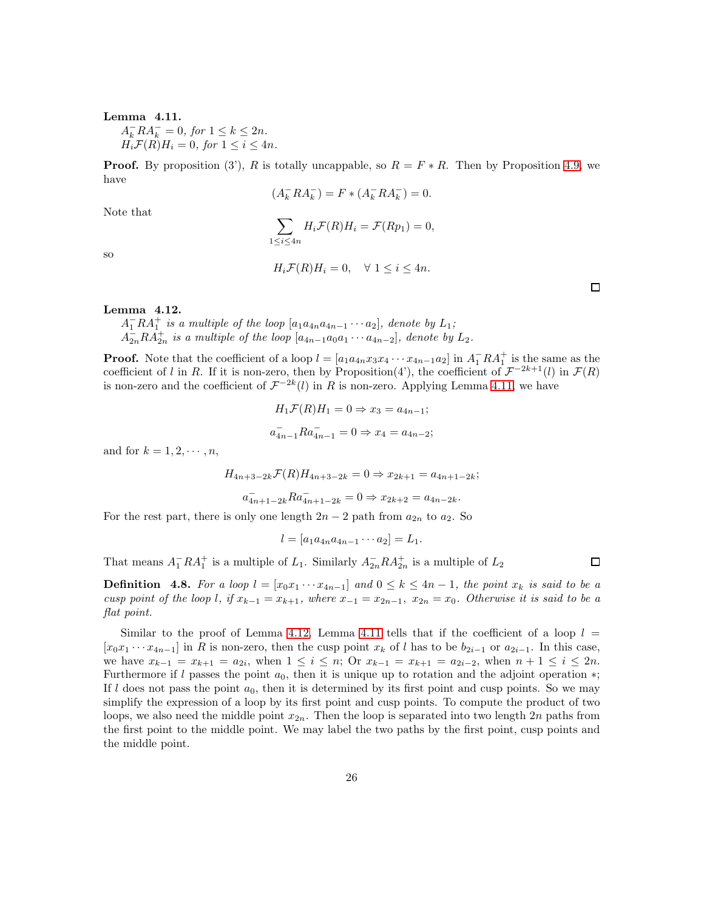#### <span id="page-25-0"></span>Lemma 4.11.

 $A_k^- R A_k^- = 0$ , for  $1 \le k \le 2n$ .  $H_i\mathcal{F}(R)H_i = 0$ , for  $1 \leq i \leq 4n$ .

**Proof.** By proposition (3'), R is totally uncappable, so  $R = F \ast R$ . Then by Proposition [4.9,](#page-24-0) we have

 $(A_k^- R A_k^-) = F * (A_k^- R A_k^-) = 0.$ 

so

Note that

$$
\sum_{1 \le i \le 4n} H_i \mathcal{F}(R) H_i = \mathcal{F}(R p_1) = 0,
$$
  

$$
H_i \mathcal{F}(R) H_i = 0, \quad \forall \ 1 \le i \le 4n.
$$

<span id="page-25-1"></span>Lemma 4.12.

 $A_1^-RA_1^+$  is a multiple of the loop  $[a_1a_{4n}a_{4n-1}\cdots a_2]$ , denote by  $L_1$ ;  $A_{2n}^{-}RA_{2n}^{+}$  is a multiple of the loop  $[a_{4n-1}a_0a_1\cdots a_{4n-2}]$ , denote by  $L_2$ .

**Proof.** Note that the coefficient of a loop  $l = [a_1 a_{4n} x_3 x_4 \cdots x_{4n-1} a_2]$  in  $A_1^- R A_1^+$  is the same as the coefficient of l in R. If it is non-zero, then by Proposition(4'), the coefficient of  $\mathcal{F}^{-2k+1}(l)$  in  $\mathcal{F}(R)$ is non-zero and the coefficient of  $\mathcal{F}^{-2k}(l)$  in R is non-zero. Applying Lemma [4.11,](#page-25-0) we have

$$
H_1 \mathcal{F}(R) H_1 = 0 \Rightarrow x_3 = a_{4n-1};
$$
  

$$
a_{4n-1}^- R a_{4n-1}^- = 0 \Rightarrow x_4 = a_{4n-2};
$$

and for  $k = 1, 2, \cdots, n$ ,

$$
H_{4n+3-2k} \mathcal{F}(R) H_{4n+3-2k} = 0 \Rightarrow x_{2k+1} = a_{4n+1-2k};
$$

$$
a_{4n+1-2k}^- R a_{4n+1-2k}^- = 0 \Rightarrow x_{2k+2} = a_{4n-2k}.
$$

For the rest part, there is only one length  $2n-2$  path from  $a_{2n}$  to  $a_2$ . So

$$
l = [a_1 a_{4n} a_{4n-1} \cdots a_2] = L_1.
$$

That means  $A_1^- R A_1^+$  is a multiple of  $L_1$ . Similarly  $A_{2n}^- R A_{2n}^+$  is a multiple of  $L_2$ 

**Definition** 4.8. For a loop  $l = [x_0x_1 \cdots x_{4n-1}]$  and  $0 \le k \le 4n-1$ , the point  $x_k$  is said to be a cusp point of the loop l, if  $x_{k-1} = x_{k+1}$ , where  $x_{-1} = x_{2n-1}$ ,  $x_{2n} = x_0$ . Otherwise it is said to be a flat point.

Similar to the proof of Lemma [4.12,](#page-25-1) Lemma [4.11](#page-25-0) tells that if the coefficient of a loop  $l =$  $[x_0x_1 \cdots x_{4n-1}]$  in R is non-zero, then the cusp point  $x_k$  of l has to be  $b_{2i-1}$  or  $a_{2i-1}$ . In this case, we have  $x_{k-1} = x_{k+1} = a_{2i}$ , when  $1 \leq i \leq n$ ; Or  $x_{k-1} = x_{k+1} = a_{2i-2}$ , when  $n+1 \leq i \leq 2n$ . Furthermore if l passes the point  $a_0$ , then it is unique up to rotation and the adjoint operation  $*$ ; If l does not pass the point  $a_0$ , then it is determined by its first point and cusp points. So we may simplify the expression of a loop by its first point and cusp points. To compute the product of two loops, we also need the middle point  $x_{2n}$ . Then the loop is separated into two length 2n paths from the first point to the middle point. We may label the two paths by the first point, cusp points and the middle point.

 $\Box$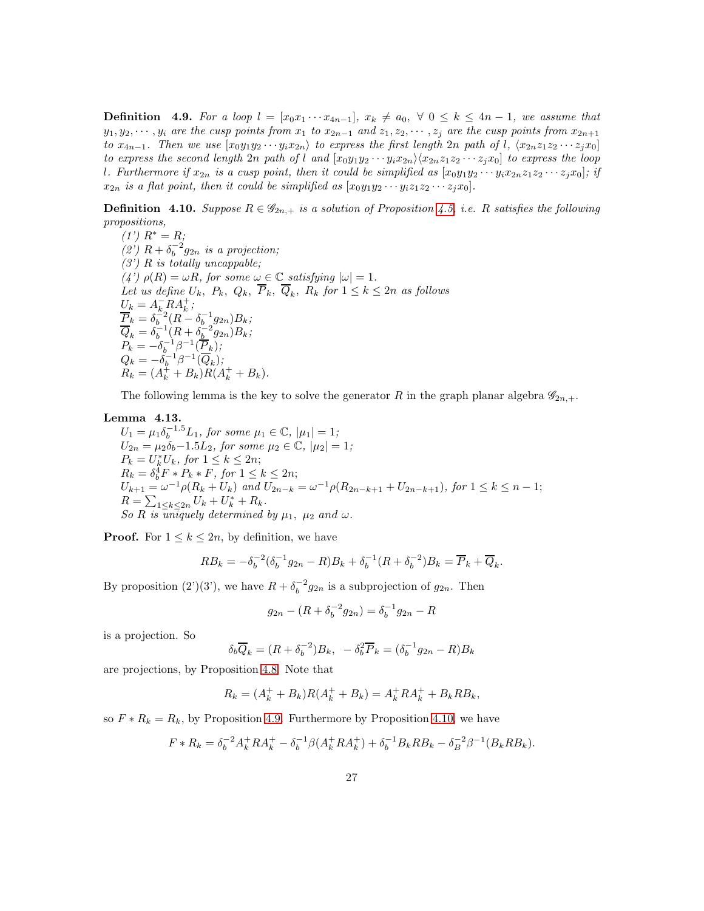**Definition** 4.9. For a loop  $l = [x_0x_1 \cdots x_{4n-1}], x_k \neq a_0, \forall 0 \leq k \leq 4n-1$ , we assume that  $y_1, y_2, \dots, y_i$  are the cusp points from  $x_1$  to  $x_{2n-1}$  and  $z_1, z_2, \dots, z_i$  are the cusp points from  $x_{2n+1}$ to  $x_{4n-1}$ . Then we use  $[x_0y_1y_2\cdots y_ix_{2n}]$  to express the first length 2n path of l,  $\langle x_{2n}z_1z_2\cdots z_jx_0]$ to express the second length 2n path of l and  $[x_0y_1y_2\cdots y_ix_{2n}\rangle\langle x_{2n}z_1z_2\cdots z_jx_0]$  to express the loop l. Furthermore if  $x_{2n}$  is a cusp point, then it could be simplified as  $[x_0y_1y_2 \cdots y_ix_{2n}z_1z_2 \cdots z_ix_0]$ ; if  $x_{2n}$  is a flat point, then it could be simplified as  $[x_0y_1y_2\cdots y_iz_1z_2\cdots z_jx_0].$ 

**Definition** 4.10. Suppose  $R \in \mathscr{G}_{2n,+}$  is a solution of Proposition [4.5,](#page-20-0) i.e. R satisfies the following propositions,

 $(1') R^* = R;$ (2')  $R + \delta_b^{-2} g_{2n}$  is a projection;  $(3')$  R is totally uncappable; (4')  $\rho(R) = \omega R$ , for some  $\omega \in \mathbb{C}$  satisfying  $|\omega| = 1$ . Let us define  $U_k$ ,  $P_k$ ,  $Q_k$ ,  $P_k$ ,  $Q_k$ ,  $R_k$  for  $1 \leq k \leq 2n$  as follows  $U_k = A_k^- R A_k^+,$  $\frac{\overline{P}_k}{\overline{P}_k} = \delta_b^{-2} (R - \delta_b^{-1} g_{2n}) B_k;$  $\overline{Q}_k = \delta_b^{-1} (R + \delta_b^{-2} g_{2n}) B_k;$  $P_k = -\delta_b^{-1}\beta^{-1}(\overline{P}_k);$  $Q_k = -\delta_b^{-1}\beta^{-1}(\overline{Q}_k)$ ;  $R_k = (A_k^+ + B_k)R(A_k^+ + B_k).$ 

The following lemma is the key to solve the generator R in the graph planar algebra  $\mathscr{G}_{2n,+}$ .

## <span id="page-26-0"></span>Lemma 4.13.

 $U_1 = \mu_1 \delta_b^{-1.5} L_1$ , for some  $\mu_1 \in \mathbb{C}$ ,  $|\mu_1| = 1$ ;  $U_{2n} = \mu_2 \delta_b - 1.5L_2$ , for some  $\mu_2 \in \mathbb{C}$ ,  $|\mu_2| = 1$ ;  $P_k = U_k^* U_k$ , for  $1 \leq k \leq 2n$ ;  $R_k = \delta_b^4 F * P_k * F$ , for  $1 \leq k \leq 2n$ ;  $U_{k+1} = \omega^{-1} \rho (R_k + U_k)$  and  $U_{2n-k} = \omega^{-1} \rho (R_{2n-k+1} + U_{2n-k+1}),$  for  $1 \leq k \leq n-1$ ;  $R = \sum_{1 \leq k \leq 2n} U_k + U_k^* + R_k.$ So R is uniquely determined by  $\mu_1$ ,  $\mu_2$  and  $\omega$ .

**Proof.** For  $1 \leq k \leq 2n$ , by definition, we have

$$
RB_k = -\delta_b^{-2}(\delta_b^{-1}g_{2n} - R)B_k + \delta_b^{-1}(R + \delta_b^{-2})B_k = \overline{P}_k + \overline{Q}_k.
$$

By proposition (2')(3'), we have  $R + \delta_b^{-2} g_{2n}$  is a subprojection of  $g_{2n}$ . Then

$$
g_{2n} - (R + \delta_b^{-2} g_{2n}) = \delta_b^{-1} g_{2n} - R
$$

is a projection. So

$$
\delta_b \overline{Q}_k = (R + \delta_b^{-2}) B_k, \quad -\delta_b^2 \overline{P}_k = (\delta_b^{-1} g_{2n} - R) B_k
$$

are projections, by Proposition [4.8.](#page-23-1) Note that

$$
R_k = (A_k^+ + B_k)R(A_k^+ + B_k) = A_k^+RA_k^+ + B_kRB_k,
$$

so  $F * R_k = R_k$ , by Proposition [4.9.](#page-24-0) Furthermore by Proposition [4.10,](#page-24-1) we have

$$
F * R_k = \delta_b^{-2} A_k^+ R A_k^+ - \delta_b^{-1} \beta (A_k^+ R A_k^+) + \delta_b^{-1} B_k R B_k - \delta_B^{-2} \beta^{-1} (B_k R B_k).
$$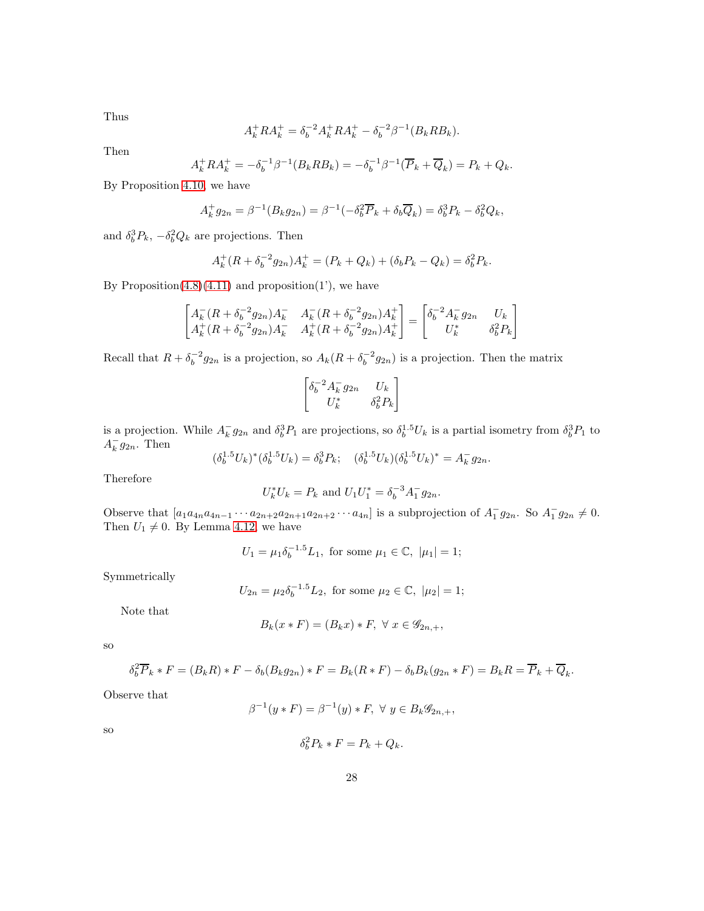Thus

$$
A_k^+ R A_k^+ = \delta_b^{-2} A_k^+ R A_k^+ - \delta_b^{-2} \beta^{-1} (B_k R B_k).
$$

Then

$$
A_k^+ R A_k^+ = -\delta_b^{-1} \beta^{-1} (B_k R B_k) = -\delta_b^{-1} \beta^{-1} (\overline{P}_k + \overline{Q}_k) = P_k + Q_k.
$$

By Proposition [4.10,](#page-24-1) we have

$$
A_k^+ g_{2n} = \beta^{-1}(B_k g_{2n}) = \beta^{-1}(-\delta_b^2 \overline{P}_k + \delta_b \overline{Q}_k) = \delta_b^3 P_k - \delta_b^2 Q_k,
$$

and  $\delta_b^3 P_k$ ,  $-\delta_b^2 Q_k$  are projections. Then

$$
A_k^+(R + \delta_b^{-2}g_{2n})A_k^+ = (P_k + Q_k) + (\delta_b P_k - Q_k) = \delta_b^2 P_k.
$$

By Proposition $(4.8)(4.11)$  $(4.8)(4.11)$  and proposition $(1')$ , we have

$$
\begin{bmatrix} A_k^-(R+\delta_b^{-2}g_{2n})A_k^- & A_k^-(R+\delta_b^{-2}g_{2n})A_k^+ \\ A_k^+(R+\delta_b^{-2}g_{2n})A_k^- & A_k^+(R+\delta_b^{-2}g_{2n})A_k^+ \end{bmatrix} = \begin{bmatrix} \delta_b^{-2}A_k^-g_{2n} & U_k \\ U_k^* & \delta_b^2P_k \end{bmatrix}
$$

Recall that  $R + \delta_b^{-2} g_{2n}$  is a projection, so  $A_k(R + \delta_b^{-2} g_{2n})$  is a projection. Then the matrix

$$
\begin{bmatrix} \delta_b^{-2} A_k^- g_{2n} & U_k \\ U_k^* & \delta_b^2 P_k \end{bmatrix}
$$

is a projection. While  $A_k^- g_{2n}$  and  $\delta_b^3 P_1$  are projections, so  $\delta_b^{1.5} U_k$  is a partial isometry from  $\delta_b^3 P_1$  to  $A_k^- g_{2n}$ . Then

$$
(\delta_b^{1.5} U_k)^* (\delta_b^{1.5} U_k) = \delta_b^3 P_k; \quad (\delta_b^{1.5} U_k) (\delta_b^{1.5} U_k)^* = A_k^- g_{2n}.
$$

Therefore

$$
U_k^* U_k = P_k \text{ and } U_1 U_1^* = \delta_b^{-3} A_1^- g_{2n}.
$$

Observe that  $[a_1a_{4n}a_{4n-1}\cdots a_{2n+2}a_{2n+1}a_{2n+2}\cdots a_{4n}]$  is a subprojection of  $A_1^-g_{2n}$ . So  $A_1^-g_{2n} \neq 0$ . Then  $U_1 \neq 0$ . By Lemma [4.12,](#page-25-1) we have

 $U_1 = \mu_1 \delta_b^{-1.5} L_1$ , for some  $\mu_1 \in \mathbb{C}$ ,  $|\mu_1| = 1$ ;

Symmetrically

$$
U_{2n} = \mu_2 \delta_b^{-1.5} L_2
$$
, for some  $\mu_2 \in \mathbb{C}$ ,  $|\mu_2| = 1$ ;

Note that

$$
B_k(x * F) = (B_k x) * F, \ \forall \ x \in \mathscr{G}_{2n,+},
$$

so

$$
\delta_b^2 \overline{P}_k * F = (B_k R) * F - \delta_b (B_k g_{2n}) * F = B_k (R * F) - \delta_b B_k (g_{2n} * F) = B_k R = \overline{P}_k + \overline{Q}_k.
$$

Observe that

$$
\beta^{-1}(y * F) = \beta^{-1}(y) * F, \ \forall \ y \in B_k \mathscr{G}_{2n,+},
$$

so

$$
\delta_b^2 P_k * F = P_k + Q_k.
$$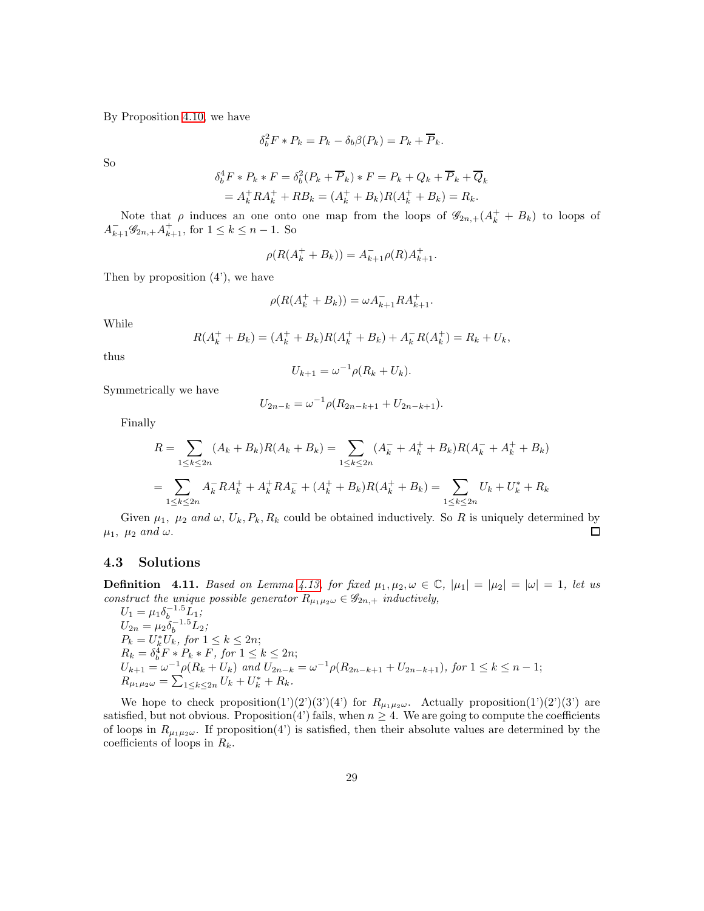By Proposition [4.10,](#page-24-1) we have

$$
\delta_b^2 F * P_k = P_k - \delta_b \beta(P_k) = P_k + \overline{P}_k.
$$

So

$$
\delta_b^4 F * P_k * F = \delta_b^2 (P_k + \overline{P}_k) * F = P_k + Q_k + \overline{P}_k + \overline{Q}_k
$$
  
=  $A_k^+ R A_k^+ + R B_k = (A_k^+ + B_k) R (A_k^+ + B_k) = R_k.$ 

Note that  $\rho$  induces an one onto one map from the loops of  $\mathscr{G}_{2n,+}(A_k^+ + B_k)$  to loops of  $A_{k+1}^-\mathscr{G}_{2n,+}A_{k+1}^+$ , for  $1 \leq k \leq n-1$ . So

$$
\rho(R(A_k^+ + B_k)) = A_{k+1}^- \rho(R) A_{k+1}^+.
$$

Then by proposition  $(4')$ , we have

$$
\rho(R(A_k^+ + B_k)) = \omega A_{k+1}^- R A_{k+1}^+.
$$

While

$$
R(Ak+ + Bk) = (Ak+ + Bk)R(Ak+ + Bk) + Ak-R(Ak+) = Rk + Uk,
$$

thus

$$
U_{k+1} = \omega^{-1} \rho (R_k + U_k).
$$

Symmetrically we have

$$
U_{2n-k} = \omega^{-1} \rho(R_{2n-k+1} + U_{2n-k+1}).
$$

Finally

$$
R = \sum_{1 \le k \le 2n} (A_k + B_k)R(A_k + B_k) = \sum_{1 \le k \le 2n} (A_k^- + A_k^+ + B_k)R(A_k^- + A_k^+ + B_k)
$$
  
= 
$$
\sum_{1 \le k \le 2n} A_k^- R A_k^+ + A_k^+ R A_k^- + (A_k^+ + B_k)R(A_k^+ + B_k) = \sum_{1 \le k \le 2n} U_k + U_k^* + R_k
$$

Given  $\mu_1$ ,  $\mu_2$  and  $\omega$ ,  $U_k$ ,  $P_k$ ,  $R_k$  could be obtained inductively. So R is uniquely determined by  $\mu_1$ ,  $\mu_2$  and  $\omega$ .  $\Box$ 

## 4.3 Solutions

**Definition** 4.11. Based on Lemma [4.13,](#page-26-0) for fixed  $\mu_1, \mu_2, \omega \in \mathbb{C}$ ,  $|\mu_1| = |\mu_2| = |\omega| = 1$ , let us construct the unique possible generator  $R_{\mu_1\mu_2\omega} \in \mathscr{G}_{2n,+}$  inductively,

 $U_1 = \mu_1 \delta_b^{-1.5} L_1;$  $U_{2n} = \mu_2 \delta_b^{-1.5} L_2;$  $P_k = U_k^* U_k$ , for  $1 \leq k \leq 2n$ ;  $R_k = \delta_b^4 F * P_k * F$ , for  $1 \leq k \leq 2n$ ;  $U_{k+1} = \omega^{-1} \rho(R_k + U_k)$  and  $U_{2n-k} = \omega^{-1} \rho(R_{2n-k+1} + U_{2n-k+1}),$  for  $1 \leq k \leq n-1$ ;  $R_{\mu_1\mu_2\omega} = \sum_{1 \leq k \leq 2n} U_k + U_k^* + R_k.$ 

We hope to check proposition(1')(2')(3')(4') for  $R_{\mu_1\mu_2\omega}$ . Actually proposition(1')(2')(3') are satisfied, but not obvious. Proposition(4') fails, when  $n \geq 4$ . We are going to compute the coefficients of loops in  $R_{\mu_1\mu_2\omega}$ . If proposition(4') is satisfied, then their absolute values are determined by the coefficients of loops in  $R_k$ .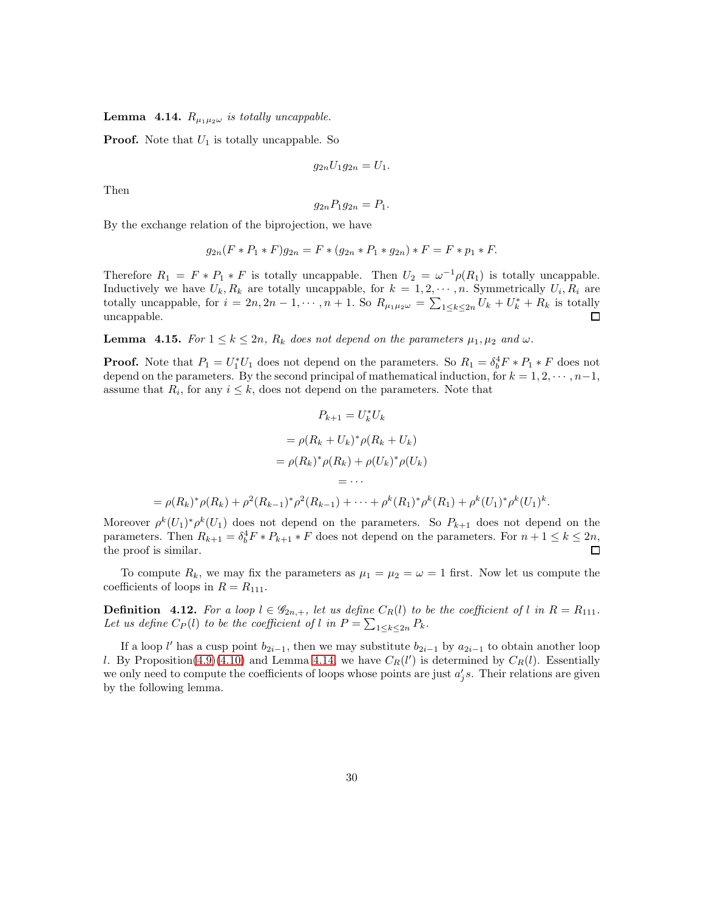<span id="page-29-0"></span>**Lemma 4.14.**  $R_{\mu_1\mu_2\omega}$  is totally uncappable.

**Proof.** Note that  $U_1$  is totally uncappable. So

$$
g_{2n}U_1g_{2n}=U_1.
$$

Then

$$
g_{2n}P_1g_{2n}=P_1.
$$

By the exchange relation of the biprojection, we have

$$
g_{2n}(F * P_1 * F)g_{2n} = F * (g_{2n} * P_1 * g_{2n}) * F = F * p_1 * F.
$$

Therefore  $R_1 = F * P_1 * F$  is totally uncappable. Then  $U_2 = \omega^{-1} \rho(R_1)$  is totally uncappable. Inductively we have  $U_k, R_k$  are totally uncappable, for  $k = 1, 2, \dots, n$ . Symmetrically  $U_i, R_i$  are totally uncappable, for  $i = 2n, 2n - 1, \dots, n + 1$ . So  $R_{\mu_1 \mu_2 \omega} = \sum_{1 \le k \le 2n} U_k + U_k^* + R_k$  is totally uncappable.

<span id="page-29-1"></span>**Lemma 4.15.** For  $1 \leq k \leq 2n$ ,  $R_k$  does not depend on the parameters  $\mu_1, \mu_2$  and  $\omega$ .

**Proof.** Note that  $P_1 = U_1^* U_1$  does not depend on the parameters. So  $R_1 = \delta_b^4 F * P_1 * F$  does not depend on the parameters. By the second principal of mathematical induction, for  $k = 1, 2, \dots, n-1$ , assume that  $R_i$ , for any  $i \leq k$ , does not depend on the parameters. Note that

$$
P_{k+1} = U_k^* U_k
$$
  
=  $\rho(R_k + U_k)^* \rho(R_k + U_k)$   
=  $\rho(R_k)^* \rho(R_k) + \rho(U_k)^* \rho(U_k)$   
=  $\cdots$   
=  $\rho(R_k)^* \rho(R_k) + \rho^2(R_{k-1})^* \rho^2(R_{k-1}) + \cdots + \rho^k(R_1)^* \rho^k(R_1) + \rho^k(U_1)^* \rho^k(U_1)$ 

Moreover  $\rho^k(U_1)^*\rho^k(U_1)$  does not depend on the parameters. So  $P_{k+1}$  does not depend on the parameters. Then  $R_{k+1} = \delta_b^4 F * P_{k+1} * F$  does not depend on the parameters. For  $n+1 \leq k \leq 2n$ , the proof is similar.

k .

To compute  $R_k$ , we may fix the parameters as  $\mu_1 = \mu_2 = \omega = 1$  first. Now let us compute the coefficients of loops in  $R = R_{111}$ .

**Definition** 4.12. For a loop  $l \in \mathscr{G}_{2n,+}$ , let us define  $C_R(l)$  to be the coefficient of l in  $R = R_{111}$ . Let us define  $C_P(l)$  to be the coefficient of l in  $P = \sum_{1 \leq k \leq 2n} P_k$ .

If a loop l' has a cusp point  $b_{2i-1}$ , then we may substitute  $b_{2i-1}$  by  $a_{2i-1}$  to obtain another loop l. By Proposition[\(4.9\)](#page-24-0)[\(4.10\)](#page-24-1) and Lemma [4.14,](#page-29-0) we have  $C_R(l')$  is determined by  $C_R(l)$ . Essentially we only need to compute the coefficients of loops whose points are just  $a'_j s$ . Their relations are given by the following lemma.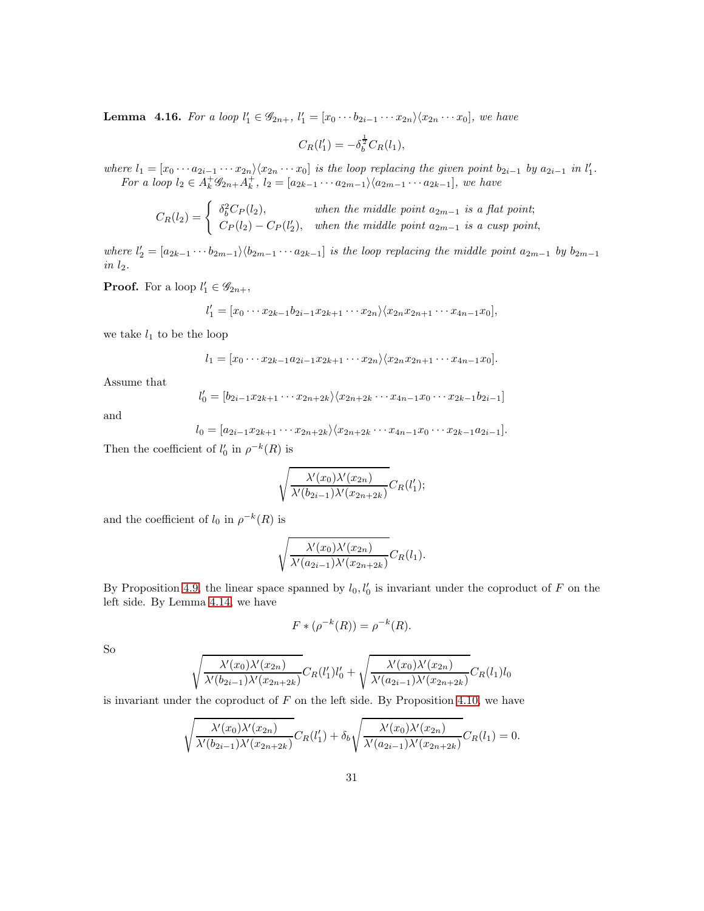<span id="page-30-0"></span>**Lemma 4.16.** For a loop  $l'_1 \in \mathscr{G}_{2n+}$ ,  $l'_1 = [x_0 \cdots b_{2i-1} \cdots x_{2n} \setminus \langle x_{2n} \cdots x_0],$  we have

$$
C_R(l'_1) = -\delta_b^{\frac{1}{2}} C_R(l_1),
$$

where  $l_1 = [x_0 \cdots a_{2i-1} \cdots x_{2n} \rangle \langle x_{2n} \cdots x_0]$  is the loop replacing the given point  $b_{2i-1}$  by  $a_{2i-1}$  in  $l'_1$ . For a loop  $l_2 \in A_k^+ \mathscr{G}_{2n+} A_k^+, l_2 = [a_{2k-1} \cdots a_{2m-1}] \setminus \langle a_{2m-1} \cdots a_{2k-1}],$  we have

$$
C_R(l_2) = \begin{cases} \delta_b^2 C_P(l_2), & when \ the \ middle \ point \ a_{2m-1} \ is \ a \ flat \ point; \\ C_P(l_2) - C_P(l_2'), & when \ the \ middle \ point \ a_{2m-1} \ is \ a \ cusp \ point, \end{cases}
$$

where  $l'_2 = [a_{2k-1} \cdots b_{2m-1}] \setminus \langle b_{2m-1} \cdots a_{2k-1}]$  is the loop replacing the middle point  $a_{2m-1}$  by  $b_{2m-1}$ in  $l_2$ .

**Proof.** For a loop  $l'_1 \in \mathscr{G}_{2n+}$ ,

$$
l'_1 = [x_0 \cdots x_{2k-1} b_{2i-1} x_{2k+1} \cdots x_{2n} \rangle \langle x_{2n} x_{2n+1} \cdots x_{4n-1} x_0],
$$

we take  $l_1$  to be the loop

$$
l_1 = [x_0 \cdots x_{2k-1} a_{2i-1} x_{2k+1} \cdots x_{2n} \rangle \langle x_{2n} x_{2n+1} \cdots x_{4n-1} x_0].
$$

Assume that

$$
l'_0 = [b_{2i-1}x_{2k+1} \cdots x_{2n+2k} \rangle \langle x_{2n+2k} \cdots x_{4n-1}x_0 \cdots x_{2k-1}b_{2i-1}]
$$

and

$$
l_0 = [a_{2i-1}x_{2k+1}\cdots x_{2n+2k} \rangle \langle x_{2n+2k}\cdots x_{4n-1}x_0\cdots x_{2k-1}a_{2i-1}].
$$

Then the coefficient of  $l'_0$  in  $\rho^{-k}(R)$  is

$$
\sqrt{\frac{\lambda'(x_0)\lambda'(x_{2n})}{\lambda'(b_{2i-1})\lambda'(x_{2n+2k})}}C_R(l'_1);
$$

and the coefficient of  $l_0$  in  $\rho^{-k}(R)$  is

$$
\sqrt{\frac{\lambda'(x_0)\lambda'(x_{2n})}{\lambda'(a_{2i-1})\lambda'(x_{2n+2k})}}C_R(l_1).
$$

By Proposition [4.9,](#page-24-0) the linear space spanned by  $l_0, l'_0$  is invariant under the coproduct of F on the left side. By Lemma [4.14,](#page-29-0) we have

$$
F * (\rho^{-k}(R)) = \rho^{-k}(R).
$$

So

$$
\sqrt{\frac{\lambda'(x_0)\lambda'(x_{2n})}{\lambda'(b_{2i-1})\lambda'(x_{2n+2k})}}C_R(l'_1)l'_0 + \sqrt{\frac{\lambda'(x_0)\lambda'(x_{2n})}{\lambda'(a_{2i-1})\lambda'(x_{2n+2k})}}C_R(l_1)l_0
$$

is invariant under the coproduct of  $F$  on the left side. By Proposition [4.10,](#page-24-1) we have

$$
\sqrt{\frac{\lambda'(x_0)\lambda'(x_{2n})}{\lambda'(b_{2i-1})\lambda'(x_{2n+2k})}}C_R(l'_1)+\delta_b\sqrt{\frac{\lambda'(x_0)\lambda'(x_{2n})}{\lambda'(a_{2i-1})\lambda'(x_{2n+2k})}}C_R(l_1)=0.
$$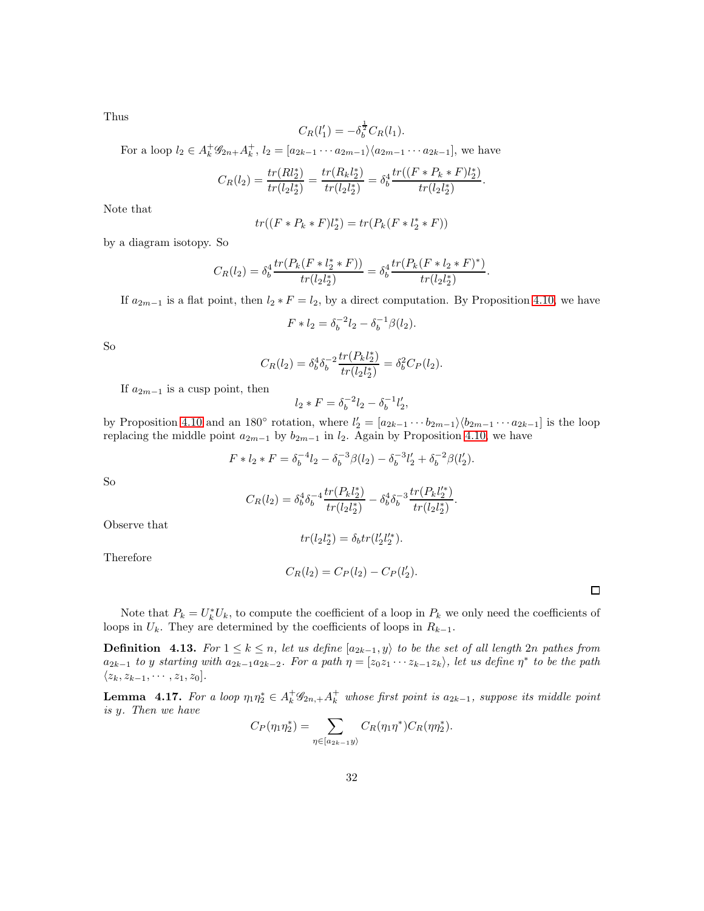Thus

$$
C_R(l'_1) = -\delta_b^{\frac{1}{2}} C_R(l_1).
$$

For a loop  $l_2 \in A_k^+ \mathscr{G}_{2n+} A_k^+$ ,  $l_2 = [a_{2k-1} \cdots a_{2m-1}] \langle a_{2m-1} \cdots a_{2k-1}]$ , we have

$$
C_R(l_2) = \frac{tr(Rl_2^*)}{tr(l_2l_2^*)} = \frac{tr(R_kl_2^*)}{tr(l_2l_2^*)} = \delta_b^4 \frac{tr((F * P_k * F)l_2^*)}{tr(l_2l_2^*)}.
$$

Note that

$$
tr((F * P_k * F)l_2^*) = tr(P_k(F * l_2^* * F))
$$

by a diagram isotopy. So

$$
C_R(l_2) = \delta_b^4 \frac{tr(P_k(F * l_2^* * F))}{tr(l_2 l_2^*)} = \delta_b^4 \frac{tr(P_k(F * l_2 * F)^*)}{tr(l_2 l_2^*)}.
$$

If  $a_{2m-1}$  is a flat point, then  $l_2 * F = l_2$ , by a direct computation. By Proposition [4.10,](#page-24-1) we have

$$
F * l_2 = \delta_b^{-2} l_2 - \delta_b^{-1} \beta(l_2).
$$

So

$$
C_R(l_2) = \delta_b^4 \delta_b^{-2} \frac{tr(P_k l_2^*)}{tr(l_2 l_2^*)} = \delta_b^2 C_P(l_2).
$$

If  $a_{2m-1}$  is a cusp point, then

$$
l_2 * F = \delta_b^{-2} l_2 - \delta_b^{-1} l_2',
$$

by Proposition [4.10](#page-24-1) and an 180 $\degree$  rotation, where  $l'_2 = [a_{2k-1} \cdots b_{2m-1} \setminus (b_{2m-1} \cdots a_{2k-1}]$  is the loop replacing the middle point  $a_{2m-1}$  by  $b_{2m-1}$  in  $l_2$ . Again by Proposition [4.10,](#page-24-1) we have

$$
F * l_2 * F = \delta_b^{-4} l_2 - \delta_b^{-3} \beta(l_2) - \delta_b^{-3} l_2' + \delta_b^{-2} \beta(l_2').
$$

So

$$
C_R(l_2) = \delta_b^4 \delta_b^{-4} \frac{tr(P_k l_2^*)}{tr(l_2 l_2^*)} - \delta_b^4 \delta_b^{-3} \frac{tr(P_k l_2'^*)}{tr(l_2 l_2^*)}.
$$

Observe that

 $tr(l_2l_2^*) = \delta_b tr(l_2' l_2'^*).$ 

Therefore

$$
C_R(l_2) = C_P(l_2) - C_P(l'_2).
$$

 $\Box$ 

Note that  $P_k = U_k^* U_k$ , to compute the coefficient of a loop in  $P_k$  we only need the coefficients of loops in  $U_k$ . They are determined by the coefficients of loops in  $R_{k-1}$ .

**Definition** 4.13. For  $1 \leq k \leq n$ , let us define  $[a_{2k-1}, y]$  to be the set of all length 2n pathes from  $a_{2k-1}$  to y starting with  $a_{2k-1}a_{2k-2}$ . For a path  $\eta = [z_0z_1 \cdots z_{k-1}z_k)$ , let us define  $\eta^*$  to be the path  $\langle z_k, z_{k-1}, \cdots, z_1, z_0].$ 

<span id="page-31-0"></span>**Lemma** 4.17. For a loop  $\eta_1 \eta_2^* \in A_k^+ \mathscr{G}_{2n,+} A_k^+$  whose first point is  $a_{2k-1}$ , suppose its middle point is y. Then we have

$$
C_P(\eta_1 \eta_2^*) = \sum_{\eta \in [a_{2k-1}y)} C_R(\eta_1 \eta^*) C_R(\eta \eta_2^*).
$$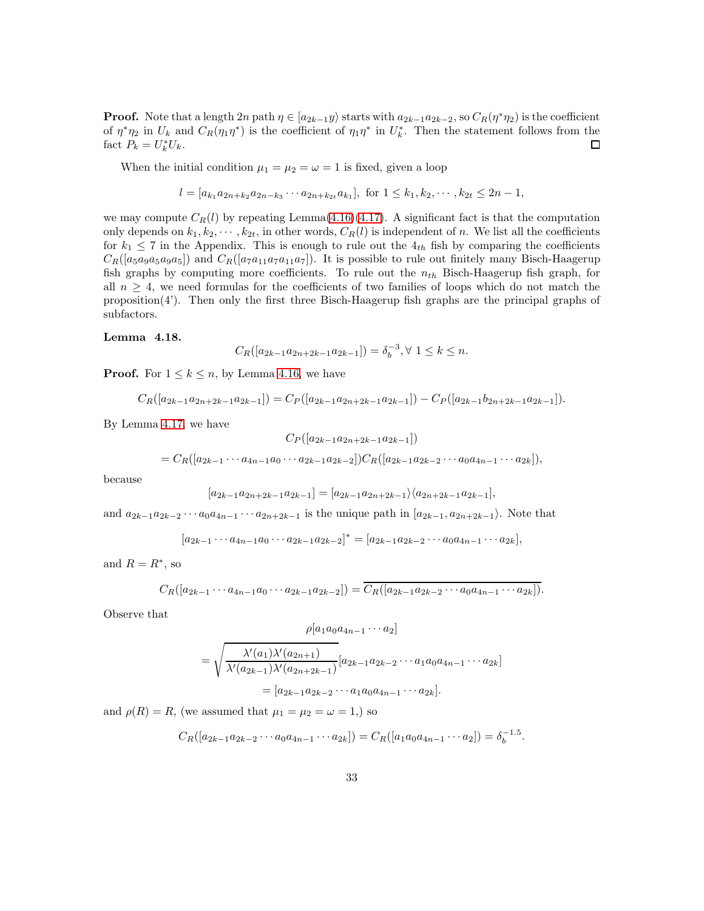**Proof.** Note that a length  $2n$  path  $\eta \in [a_{2k-1}y)$  starts with  $a_{2k-1}a_{2k-2}$ , so  $C_R(\eta^*\eta_2)$  is the coefficient of  $\eta^*\eta_2$  in  $U_k$  and  $C_R(\eta_1\eta^*)$  is the coefficient of  $\eta_1\eta^*$  in  $U_k^*$ . Then the statement follows from the fact  $P_k = U_k^* U_k$ .  $\Box$ 

When the initial condition  $\mu_1 = \mu_2 = \omega = 1$  is fixed, given a loop

$$
l = [a_{k_1}a_{2n+k_2}a_{2n-k_3}\cdots a_{2n+k_{2t}}a_{k_1}], \text{ for } 1 \leq k_1, k_2, \cdots, k_{2t} \leq 2n-1,
$$

we may compute  $C_R(l)$  by repeating Lemma[\(4.16\)](#page-30-0)[\(4.17\)](#page-31-0). A significant fact is that the computation only depends on  $k_1, k_2, \dots, k_{2t}$ , in other words,  $C_R(l)$  is independent of n. We list all the coefficients for  $k_1 \leq 7$  in the Appendix. This is enough to rule out the  $4<sub>th</sub>$  fish by comparing the coefficients  $C_R([a_5a_9a_5a_9a_5])$  and  $C_R([a_7a_{11}a_7a_{11}a_7])$ . It is possible to rule out finitely many Bisch-Haagerup fish graphs by computing more coefficients. To rule out the  $n_{th}$  Bisch-Haagerup fish graph, for all  $n \geq 4$ , we need formulas for the coefficients of two families of loops which do not match the proposition(4'). Then only the first three Bisch-Haagerup fish graphs are the principal graphs of subfactors.

#### <span id="page-32-0"></span>Lemma 4.18.

$$
C_R([a_{2k-1}a_{2n+2k-1}a_{2k-1}]) = \delta_b^{-3}, \forall 1 \le k \le n.
$$

**Proof.** For  $1 \leq k \leq n$ , by Lemma [4.16,](#page-30-0) we have

$$
C_R([a_{2k-1}a_{2n+2k-1}a_{2k-1}]) = C_P([a_{2k-1}a_{2n+2k-1}a_{2k-1}]) - C_P([a_{2k-1}b_{2n+2k-1}a_{2k-1}]).
$$

By Lemma [4.17,](#page-31-0) we have

$$
C_P([a_{2k-1}a_{2n+2k-1}a_{2k-1}])
$$

$$
=C_R([a_{2k-1}\cdots a_{4n-1}a_0\cdots a_{2k-1}a_{2k-2}])C_R([a_{2k-1}a_{2k-2}\cdots a_0a_{4n-1}\cdots a_{2k}]),
$$

because

$$
[a_{2k-1}a_{2n+2k-1}a_{2k-1}] = [a_{2k-1}a_{2n+2k-1} \rangle \langle a_{2n+2k-1}a_{2k-1}],
$$

and  $a_{2k-1}a_{2k-2}\cdots a_0a_{4n-1}\cdots a_{2n+2k-1}$  is the unique path in  $[a_{2k-1}, a_{2n+2k-1})$ . Note that

$$
[a_{2k-1}\cdots a_{4n-1}a_0\cdots a_{2k-1}a_{2k-2}]^*=[a_{2k-1}a_{2k-2}\cdots a_0a_{4n-1}\cdots a_{2k}],
$$

and  $R = R^*$ , so

$$
C_R([a_{2k-1}\cdots a_{4n-1}a_0\cdots a_{2k-1}a_{2k-2}])=\overline{C_R([a_{2k-1}a_{2k-2}\cdots a_0a_{4n-1}\cdots a_{2k}])}.
$$

Observe that

$$
\rho[a_1a_0a_{4n-1}\cdots a_2]
$$

$$
= \sqrt{\frac{\lambda'(a_1)\lambda'(a_{2n+1})}{\lambda'(a_{2k-1})\lambda'(a_{2n+2k-1})}} [a_{2k-1}a_{2k-2}\cdots a_1a_0a_{4n-1}\cdots a_{2k}]
$$
  
=  $[a_{2k-1}a_{2k-2}\cdots a_1a_0a_{4n-1}\cdots a_{2k}].$ 

and  $\rho(R) = R$ , (we assumed that  $\mu_1 = \mu_2 = \omega = 1$ .) so

$$
C_R([a_{2k-1}a_{2k-2}\cdots a_0a_{4n-1}\cdots a_{2k}])=C_R([a_1a_0a_{4n-1}\cdots a_2])=\delta_b^{-1.5}.
$$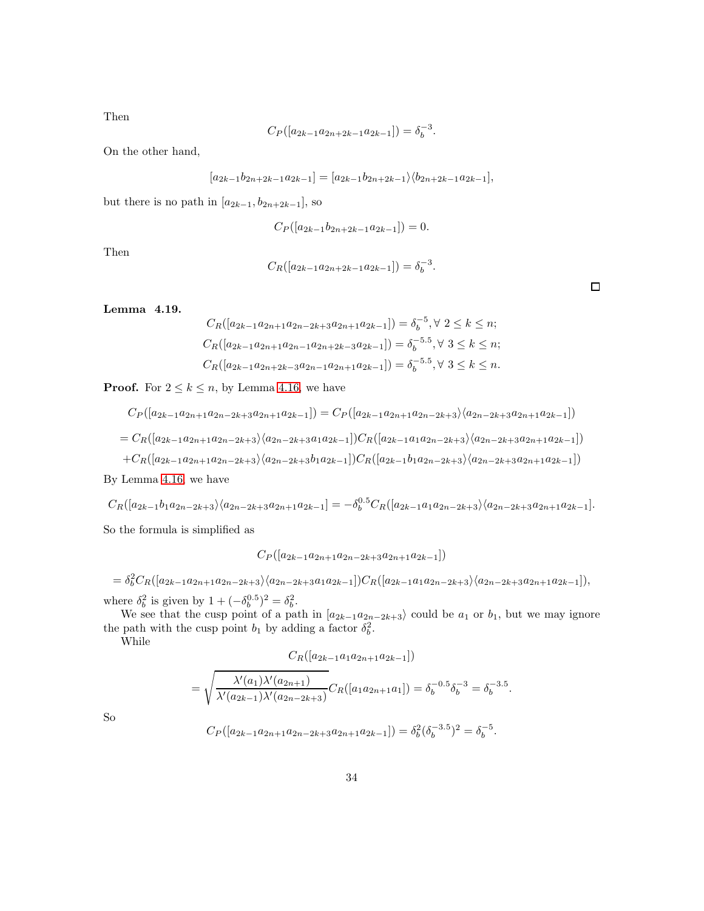Then

$$
C_P([a_{2k-1}a_{2n+2k-1}a_{2k-1}]) = \delta_b^{-3}.
$$

On the other hand,

$$
[a_{2k-1}b_{2n+2k-1}a_{2k-1}] = [a_{2k-1}b_{2n+2k-1} \rangle \langle b_{2n+2k-1}a_{2k-1}],
$$

but there is no path in  $[a_{2k-1}, b_{2n+2k-1}]$ , so

$$
C_P([a_{2k-1}b_{2n+2k-1}a_{2k-1}]) = 0.
$$

Then

$$
C_R([a_{2k-1}a_{2n+2k-1}a_{2k-1}]) = \delta_b^{-3}.
$$

 $\Box$ 

## <span id="page-33-0"></span>Lemma 4.19.

$$
C_R([a_{2k-1}a_{2n+1}a_{2n-2k+3}a_{2n+1}a_{2k-1}]) = \delta_b^{-5}, \forall 2 \le k \le n;
$$
  
\n
$$
C_R([a_{2k-1}a_{2n+1}a_{2n-1}a_{2n+2k-3}a_{2k-1}]) = \delta_b^{-5.5}, \forall 3 \le k \le n;
$$
  
\n
$$
C_R([a_{2k-1}a_{2n+2k-3}a_{2n-1}a_{2n+1}a_{2k-1}]) = \delta_b^{-5.5}, \forall 3 \le k \le n.
$$

**Proof.** For  $2 \leq k \leq n$ , by Lemma [4.16,](#page-30-0) we have

$$
C_P([a_{2k-1}a_{2n+1}a_{2n-2k+3}a_{2n+1}a_{2k-1}]) = C_P([a_{2k-1}a_{2n+1}a_{2n-2k+3}\rangle\langle a_{2n-2k+3}a_{2n+1}a_{2k-1}])
$$
  
=  $C_R([a_{2k-1}a_{2n+1}a_{2n-2k+3}\rangle\langle a_{2n-2k+3}a_{1}a_{2k-1}])C_R([a_{2k-1}a_{1}a_{2n-2k+3}\rangle\langle a_{2n-2k+3}a_{2n+1}a_{2k-1}])$   
+ $C_R([a_{2k-1}a_{2n+1}a_{2n-2k+3}\rangle\langle a_{2n-2k+3}b_{1}a_{2k-1}])C_R([a_{2k-1}b_{1}a_{2n-2k+3}\rangle\langle a_{2n-2k+3}a_{2n+1}a_{2k-1}])$ 

By Lemma [4.16,](#page-30-0) we have

$$
C_R([a_{2k-1}b_1a_{2n-2k+3}\rangle\langle a_{2n-2k+3}a_{2n+1}a_{2k-1}] = -\delta_b^{0.5}C_R([a_{2k-1}a_1a_{2n-2k+3}\rangle\langle a_{2n-2k+3}a_{2n+1}a_{2k-1}].
$$

So the formula is simplified as

$$
C_P([a_{2k-1}a_{2n+1}a_{2n-2k+3}a_{2n+1}a_{2k-1}])
$$

 $=\delta_b^2 C_R([a_{2k-1}a_{2n+1}a_{2n-2k+3}\rangle\langle a_{2n-2k+3}a_1a_{2k-1}])C_R([a_{2k-1}a_1a_{2n-2k+3}\rangle\langle a_{2n-2k+3}a_{2n+1}a_{2k-1}]),$ where  $\delta_b^2$  is given by  $1 + (-\delta_b^{0.5})^2 = \delta_b^2$ .

We see that the cusp point of a path in  $[a_{2k-1}a_{2n-2k+3}]$  could be  $a_1$  or  $b_1$ , but we may ignore the path with the cusp point  $b_1$  by adding a factor  $\delta_b^2$ .

While

$$
C_R([a_{2k-1}a_1a_{2n+1}a_{2k-1}])
$$

$$
= \sqrt{\frac{\lambda'(a_1)\lambda'(a_{2n+1})}{\lambda'(a_{2k-1})\lambda'(a_{2n-2k+3})}} C_R([a_1a_{2n+1}a_1]) = \delta_b^{-0.5} \delta_b^{-3} = \delta_b^{-3.5}.
$$

So

$$
C_P([a_{2k-1}a_{2n+1}a_{2n-2k+3}a_{2n+1}a_{2k-1}]) = \delta_b^2(\delta_b^{-3.5})^2 = \delta_b^{-5}.
$$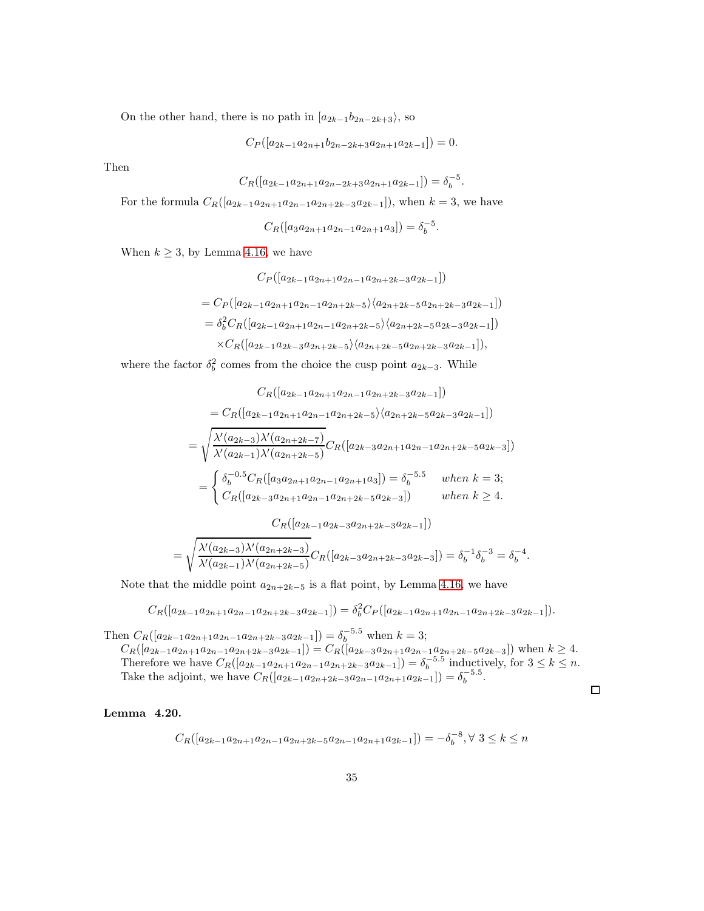On the other hand, there is no path in  $[a_{2k-1}b_{2n-2k+3}\rangle$ , so

 $C_P([a_{2k-1}a_{2n+1}b_{2n-2k+3}a_{2n+1}a_{2k-1}]) = 0.$ 

Then

$$
C_R([a_{2k-1}a_{2n+1}a_{2n-2k+3}a_{2n+1}a_{2k-1}]) = \delta_b^{-5}.
$$

For the formula  $C_R([a_{2k-1}a_{2n+1}a_{2n-1}a_{2n+2k-3}a_{2k-1}])$ , when  $k=3$ , we have

$$
C_R([a_3a_{2n+1}a_{2n-1}a_{2n+1}a_3]) = \delta_b^{-5}.
$$

When  $k \geq 3$ , by Lemma [4.16,](#page-30-0) we have

$$
C_P([a_{2k-1}a_{2n+1}a_{2n-1}a_{2n+2k-3}a_{2k-1}])
$$
  
=  $C_P([a_{2k-1}a_{2n+1}a_{2n-1}a_{2n+2k-5}\rangle\langle a_{2n+2k-5}a_{2n+2k-3}a_{2k-1}])$   
=  $\delta_b^2 C_R([a_{2k-1}a_{2n+1}a_{2n-1}a_{2n+2k-5}\rangle\langle a_{2n+2k-5}a_{2k-3}a_{2k-1}])$   
 $\times C_R([a_{2k-1}a_{2k-3}a_{2n+2k-5}\rangle\langle a_{2n+2k-5}a_{2n+2k-3}a_{2k-1}]),$ 

where the factor  $\delta_b^2$  comes from the choice the cusp point  $a_{2k-3}$ . While

$$
C_{R}([a_{2k-1}a_{2n+1}a_{2n-1}a_{2n+2k-3}a_{2k-1}])
$$
\n
$$
= C_{R}([a_{2k-1}a_{2n+1}a_{2n-1}a_{2n+2k-5}\rangle\langle a_{2n+2k-5}a_{2k-3}a_{2k-1}])
$$
\n
$$
= \sqrt{\frac{\lambda'(a_{2k-3})\lambda'(a_{2n+2k-7})}{\lambda'(a_{2k-1})\lambda'(a_{2n+2k-5})}}C_{R}([a_{2k-3}a_{2n+1}a_{2n-1}a_{2n+2k-5}a_{2k-3}])
$$
\n
$$
= \begin{cases} \delta_b^{-0.5}C_R([a_3a_{2n+1}a_{2n-1}a_{2n+1}a_3]) = \delta_b^{-5.5} & when \ k = 3; \\ C_R([a_{2k-3}a_{2n+1}a_{2n-1}a_{2n+2k-5}a_{2k-3}]) & when \ k \ge 4. \end{cases}
$$
\n
$$
C_R([a_{2k-1}a_{2k-3}a_{2n+2k-3}a_{2k-1}])
$$
\n
$$
= \sqrt{\frac{\lambda'(a_{2k-3})\lambda'(a_{2n+2k-3})}{\lambda'(a_{2k-1})\lambda'(a_{2n+2k-5})}}C_R([a_{2k-3}a_{2n+2k-3}a_{2k-3}]) = \delta_b^{-1}\delta_b^{-3} = \delta_b^{-4}.
$$

Note that the middle point  $a_{2n+2k-5}$  is a flat point, by Lemma [4.16,](#page-30-0) we have

$$
C_R([a_{2k-1}a_{2n+1}a_{2n-1}a_{2n+2k-3}a_{2k-1}]) = \delta_b^2 C_P([a_{2k-1}a_{2n+1}a_{2n-1}a_{2n+2k-3}a_{2k-1}]).
$$

Then  $C_R([a_{2k-1}a_{2n+1}a_{2n-1}a_{2n+2k-3}a_{2k-1}]) = \delta_b^{-5.5}$  when  $k = 3$ ;  $C_R([a_{2k-1}a_{2n+1}a_{2n-1}a_{2n+2k-3}a_{2k-1}]) = C_R([a_{2k-3}a_{2n+1}a_{2n-1}a_{2n+2k-5}a_{2k-3}])$  when  $k \ge 4$ . Therefore we have  $C_R([a_{2k-1}a_{2n+1}a_{2n-1}a_{2n+2k-3}a_{2k-1}]) = \delta_b^{-5.5}$  inductively, for  $3 \leq k \leq n$ . Take the adjoint, we have  $C_R([a_{2k-1}a_{2n+2k-3}a_{2n-1}a_{2n+1}a_{2k-1}]) = \delta_b^{-5.5}$ .

#### <span id="page-34-0"></span>Lemma 4.20.

$$
C_R([a_{2k-1}a_{2n+1}a_{2n-1}a_{2n+2k-5}a_{2n-1}a_{2n+1}a_{2k-1}]) = -\delta_b^{-8}, \forall \ 3 \le k \le n
$$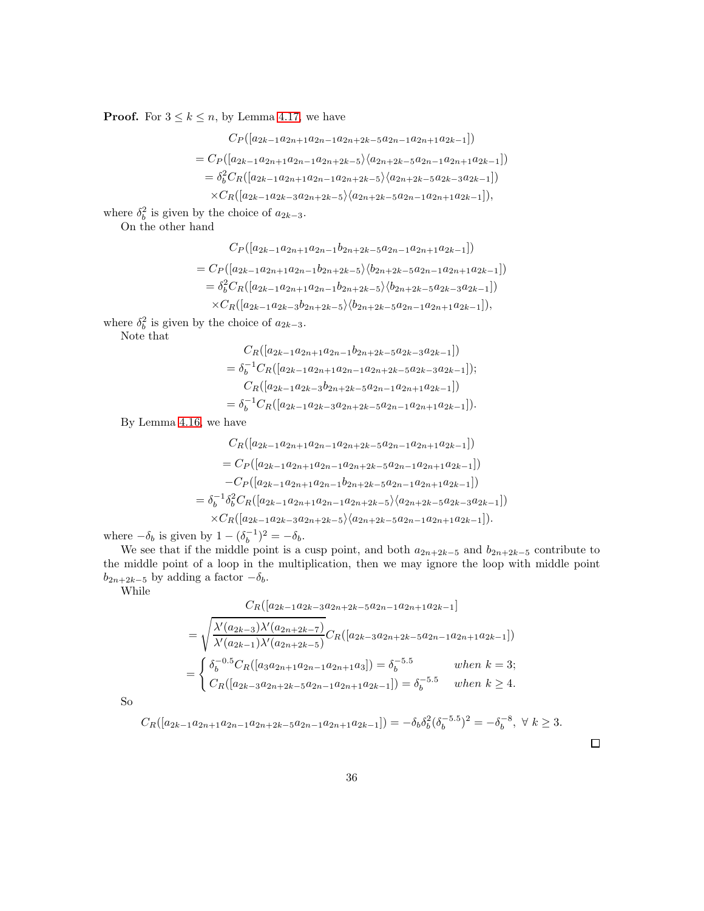**Proof.** For  $3 \le k \le n$ , by Lemma [4.17,](#page-31-0) we have

$$
C_P([a_{2k-1}a_{2n+1}a_{2n-1}a_{2n+2k-5}a_{2n-1}a_{2n+1}a_{2k-1}])
$$
  
=  $C_P([a_{2k-1}a_{2n+1}a_{2n-1}a_{2n+2k-5}\rangle\langle a_{2n+2k-5}a_{2n-1}a_{2n+1}a_{2k-1}])$   
=  $\delta_b^2 C_R([a_{2k-1}a_{2n+1}a_{2n-1}a_{2n+2k-5}\rangle\langle a_{2n+2k-5}a_{2k-3}a_{2k-1}])$   
 $\times C_R([a_{2k-1}a_{2k-3}a_{2n+2k-5}\rangle\langle a_{2n+2k-5}a_{2n-1}a_{2n+1}a_{2k-1}]),$ 

where  $\delta_b^2$  is given by the choice of  $a_{2k-3}$ .

On the other hand

$$
C_P([a_{2k-1}a_{2n+1}a_{2n-1}b_{2n+2k-5}a_{2n-1}a_{2n+1}a_{2k-1}])
$$
  
=  $C_P([a_{2k-1}a_{2n+1}a_{2n-1}b_{2n+2k-5}\rangle\langle b_{2n+2k-5}a_{2n-1}a_{2n+1}a_{2k-1}] )$   
=  $\delta_b^2 C_R([a_{2k-1}a_{2n+1}a_{2n-1}b_{2n+2k-5}\rangle\langle b_{2n+2k-5}a_{2k-3}a_{2k-1}])$   
 $\times C_R([a_{2k-1}a_{2k-3}b_{2n+2k-5}\rangle\langle b_{2n+2k-5}a_{2n-1}a_{2n+1}a_{2k-1}]),$ 

where  $\delta_b^2$  is given by the choice of  $a_{2k-3}$ .

Note that

$$
C_R([a_{2k-1}a_{2n+1}a_{2n-1}b_{2n+2k-5}a_{2k-3}a_{2k-1}])
$$
  
=  $\delta_b^{-1}C_R([a_{2k-1}a_{2n+1}a_{2n-1}a_{2n+2k-5}a_{2k-3}a_{2k-1}]);$   

$$
C_R([a_{2k-1}a_{2k-3}b_{2n+2k-5}a_{2n-1}a_{2n+1}a_{2k-1}])
$$
  
=  $\delta_b^{-1}C_R([a_{2k-1}a_{2k-3}a_{2n+2k-5}a_{2n-1}a_{2n+1}a_{2k-1}]).$ 

By Lemma [4.16,](#page-30-0) we have

$$
C_R([a_{2k-1}a_{2n+1}a_{2n-1}a_{2n+2k-5}a_{2n-1}a_{2n+1}a_{2k-1}])
$$
  
=  $C_P([a_{2k-1}a_{2n+1}a_{2n-1}a_{2n+2k-5}a_{2n-1}a_{2n+1}a_{2k-1}])$   
 $-C_P([a_{2k-1}a_{2n+1}a_{2n-1}b_{2n+2k-5}a_{2n-1}a_{2n+1}a_{2k-1}])$   
=  $\delta_b^{-1} \delta_b^2 C_R([a_{2k-1}a_{2n+1}a_{2n-1}a_{2n+2k-5}\langle a_{2n+2k-5}a_{2k-3}a_{2k-1}])$   
 $\times C_R([a_{2k-1}a_{2k-3}a_{2n+2k-5}\langle a_{2n+2k-5}a_{2n-1}a_{2n+1}a_{2k-1}]).$ 

where  $-\delta_b$  is given by  $1 - (\delta_b^{-1})^2 = -\delta_b$ .

We see that if the middle point is a cusp point, and both  $a_{2n+2k-5}$  and  $b_{2n+2k-5}$  contribute to the middle point of a loop in the multiplication, then we may ignore the loop with middle point  $b_{2n+2k-5}$  by adding a factor  $-\delta_b$ .

While

$$
C_R([a_{2k-1}a_{2k-3}a_{2n+2k-5}a_{2n-1}a_{2n+1}a_{2k-1}]
$$
  
=  $\sqrt{\frac{\lambda'(a_{2k-3})\lambda'(a_{2n+2k-7})}{\lambda'(a_{2k-1})\lambda'(a_{2n+2k-5})}}C_R([a_{2k-3}a_{2n+2k-5}a_{2n-1}a_{2n+1}a_{2k-1}])$   
=  $\begin{cases} \delta_b^{-0.5}C_R([a_3a_{2n+1}a_{2n-1}a_{2n+1}a_3]) = \delta_b^{-5.5} & when \ k = 3; \\ C_R([a_{2k-3}a_{2n+2k-5}a_{2n-1}a_{2n+1}a_{2k-1}]) = \delta_b^{-5.5} & when \ k \ge 4. \end{cases}$ 

So

$$
C_R([a_{2k-1}a_{2n+1}a_{2n-1}a_{2n+2k-5}a_{2n-1}a_{2n+1}a_{2k-1}]) = -\delta_b \delta_b^2 (\delta_b^{-5.5})^2 = -\delta_b^{-8}, \ \forall \ k \ge 3.
$$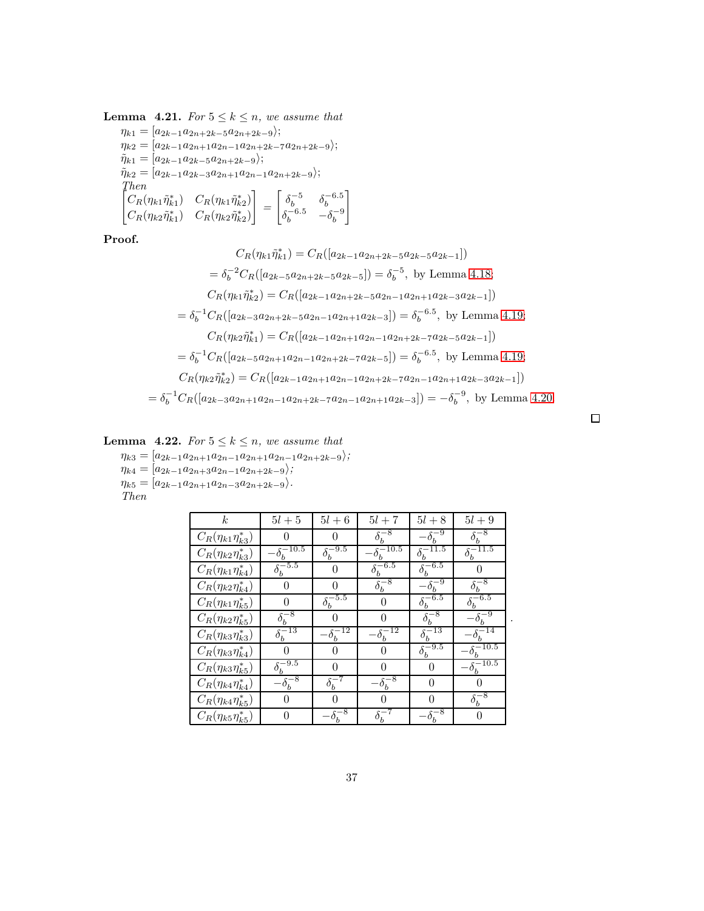<span id="page-36-0"></span>**Lemma 4.21.** For  $5 \leq k \leq n$ , we assume that  $\eta_{k1} = [a_{2k-1}a_{2n+2k-5}a_{2n+2k-9}];$  $\eta_{k2} = [a_{2k-1}a_{2n+1}a_{2n-1}a_{2n+2k-7}a_{2n+2k-9}\rangle;$  $\tilde{\eta}_{k1} = [a_{2k-1}a_{2k-5}a_{2n+2k-9}];$  $\tilde{\eta}_{k2} = [a_{2k-1}a_{2k-3}a_{2n+1}a_{2n-1}a_{2n+2k-9}\rangle;$ Then  $\begin{bmatrix} C_R(\eta_{k1}\tilde{\eta}_{k1}^*) & C_R(\eta_{k1}\tilde{\eta}_{k2}^*) \end{bmatrix}$  $C_R(\eta_{k2}\tilde{\eta}_{k1}^*)\quad C_R(\eta_{k2}\tilde{\eta}_{k2}^*)$ 1 =  $\begin{bmatrix} \delta_b^{-5} & \delta_b^{-6.5} \end{bmatrix}$  $\delta_b^{-6.5} \quad -\delta_b^{-9}$ 1

Proof.

$$
C_R(\eta_{k1}\tilde{\eta}_{k1}^*) = C_R([a_{2k-1}a_{2n+2k-5}a_{2k-5}a_{2k-1}])
$$
  
\n
$$
= \delta_b^{-2}C_R([a_{2k-5}a_{2n+2k-5}a_{2k-5}]) = \delta_b^{-5}, \text{ by Lemma 4.18;}
$$
  
\n
$$
C_R(\eta_{k1}\tilde{\eta}_{k2}^*) = C_R([a_{2k-1}a_{2n+2k-5}a_{2n-1}a_{2n+1}a_{2k-3}a_{2k-1}])
$$
  
\n
$$
= \delta_b^{-1}C_R([a_{2k-3}a_{2n+2k-5}a_{2n-1}a_{2n+1}a_{2k-3}]) = \delta_b^{-6.5}, \text{ by Lemma 4.19;}
$$
  
\n
$$
C_R(\eta_{k2}\tilde{\eta}_{k1}^*) = C_R([a_{2k-1}a_{2n+1}a_{2n-1}a_{2n+2k-7}a_{2k-5}a_{2k-1}])
$$
  
\n
$$
= \delta_b^{-1}C_R([a_{2k-5}a_{2n+1}a_{2n-1}a_{2n+2k-7}a_{2k-5}]) = \delta_b^{-6.5}, \text{ by Lemma 4.19;}
$$
  
\n
$$
C_R(\eta_{k2}\tilde{\eta}_{k2}^*) = C_R([a_{2k-1}a_{2n+1}a_{2n-1}a_{2n+2k-7}a_{2n-1}a_{2n+1}a_{2k-3}a_{2k-1}])
$$
  
\n
$$
= \delta_b^{-1}C_R([a_{2k-3}a_{2n+1}a_{2n-1}a_{2n+2k-7}a_{2n-1}a_{2n+1}a_{2k-3}]) = -\delta_b^{-9}, \text{ by Lemma 4.20.}
$$

<span id="page-36-1"></span>**Lemma** 4.22. For 
$$
5 \leq k \leq n
$$
, we assume that

 $\eta_{k3} = [a_{2k-1}a_{2n+1}a_{2n-1}a_{2n+1}a_{2n-1}a_{2n+2k-9}\rangle;$ 

 $\eta_{k4} = [a_{2k-1}a_{2n+3}a_{2n-1}a_{2n+2k-9};$ 

 $\eta_{k5} = [a_{2k-1}a_{2n+1}a_{2n-3}a_{2n+2k-9} \rangle.$ 

Then

| k.                           | $5l+5$                          | $5l+6$                            | $5l+7$                           | $5l+8$                     | $5l+9$                          |
|------------------------------|---------------------------------|-----------------------------------|----------------------------------|----------------------------|---------------------------------|
| $C_R(\eta_{k1}\eta_{k3}^*)$  | ∩                               | 0                                 | $\delta_b^{-8}$                  | $-\delta_b^{-9}$           | $\delta_b^{-8}$                 |
| $C_R(\eta_{k2}\eta^*_{k3})$  | $-\underline{\delta_b^{-10.5}}$ | $\delta_{\underline{b}}^{-9.5}$   | $-\delta_b$ <sup>-10.5</sup>     | 11.5<br>$\delta_b^-$       | 11.5                            |
| $C_R(\eta_{k1}\eta_{k4}^*)$  | $\delta_b^{\overline{-5.5}}$    | $\theta$                          | $\delta_b^{\overline{-6.5}}$     | $\delta_b^{-6.5}$          | 0                               |
| $C_R(\eta_{k2}\eta^*_{k4})$  | $\theta$                        | 0                                 | $\delta_b^{\overline{-8}}$       | $\delta_b^{\overline{-9}}$ |                                 |
| $C_R(\eta_{k1}\eta^*_{k5})$  | $\theta$                        | $\delta_b^{-5.5}$                 | 0                                | $\delta_b^{-6.5}$          | $\delta_b^{-6.5}$               |
| $C_R(\eta_{k2}\eta^*_{k5})$  | $\delta_b^{\overline{-8}}$      |                                   | 0                                | $\delta_b^{\overline{-8}}$ |                                 |
| $C_R(\eta_{k3}\eta^*_{k3})$  | $\delta_b^{-13}$                | $\cdot \delta_b^{\overline{-12}}$ | $\cdot\delta_b^{\overline{-12}}$ | $\delta_b^{-13}$           |                                 |
| $C_R(\eta_{k3}\eta^*_{k4})$  | 0                               | 0                                 | 0                                | $\delta_b^{-9.5}$          | 10.5                            |
| $C_R(\eta_{k3}\eta^*_{k5})$  | $\delta_b^{\overline{-9.5}}$    | 0                                 | 0                                | 0                          | $-\underline{\delta_b^{-10.5}}$ |
| $C_R(\eta_{k4} \eta^*_{k4})$ | $-\delta_b^{\overline{-8}}$     | $\delta_b^{-7}$                   | $-\delta_b^{-8}$                 | $\theta$                   | $\Omega$                        |
| $C_R(\eta_{k4} \eta^*_{k5})$ | $\theta$                        | $\Omega$                          | 0                                | 0                          | $\delta_b^{-8}$                 |
| $C_R(\eta_{k5}\eta^*_{k5})$  | $\theta$                        | $-\delta_b^{-8}$                  | $\delta_b^{-7}$                  | $\delta_b^{-8}$            | 0                               |

 $\Box$ 

.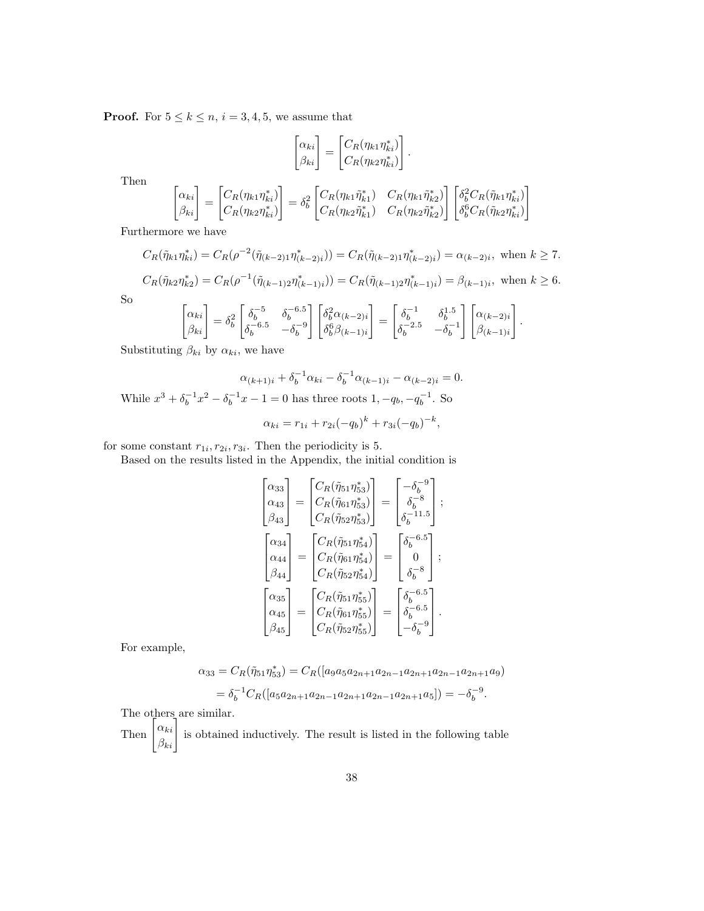**Proof.** For  $5 \leq k \leq n$ ,  $i = 3, 4, 5$ , we assume that

$$
\begin{bmatrix} \alpha_{ki} \\ \beta_{ki} \end{bmatrix} = \begin{bmatrix} C_R(\eta_{k1}\eta_{ki}^*) \\ C_R(\eta_{k2}\eta_{ki}^*) \end{bmatrix}.
$$

Then

$$
\begin{bmatrix} \alpha_{ki} \\ \beta_{ki} \end{bmatrix} = \begin{bmatrix} C_R(\eta_{k1}\eta_{ki}^*) \\ C_R(\eta_{k2}\eta_{ki}^*) \end{bmatrix} = \delta_b^2 \begin{bmatrix} C_R(\eta_{k1}\tilde{\eta}_{k1}^*) & C_R(\eta_{k1}\tilde{\eta}_{k2}^*) \\ C_R(\eta_{k2}\tilde{\eta}_{k1}^*) & C_R(\eta_{k2}\tilde{\eta}_{k2}^*) \end{bmatrix} \begin{bmatrix} \delta_b^2 C_R(\tilde{\eta}_{k1}\eta_{ki}^*) \\ \delta_b^6 C_R(\tilde{\eta}_{k2}\eta_{ki}^*) \end{bmatrix}
$$

Furthermore we have

$$
C_R(\tilde{\eta}_{k1}\eta_{ki}^*) = C_R(\rho^{-2}(\tilde{\eta}_{(k-2)1}\eta_{(k-2)i}^*)) = C_R(\tilde{\eta}_{(k-2)1}\eta_{(k-2)i}^*) = \alpha_{(k-2)i}, \text{ when } k \ge 7.
$$

 $C_R(\tilde{\eta}_{k2}\eta_{k2}^*) = C_R(\rho^{-1}(\tilde{\eta}_{(k-1)2}\eta_{(k-1)i}^*)) = C_R(\tilde{\eta}_{(k-1)2}\eta_{(k-1)i}^*) = \beta_{(k-1)i}, \text{ when } k \ge 6.$ 

So

$$
\begin{bmatrix} \alpha_{ki} \\ \beta_{ki} \end{bmatrix} = \delta_b^2 \begin{bmatrix} \delta_b^{-5} & \delta_b^{-6.5} \\ \delta_b^{-6.5} & -\delta_b^{-9} \end{bmatrix} \begin{bmatrix} \delta_b^2 \alpha_{(k-2)i} \\ \delta_b^6 \beta_{(k-1)i} \end{bmatrix} = \begin{bmatrix} \delta_b^{-1} & \delta_b^{1.5} \\ \delta_b^{-2.5} & -\delta_b^{-1} \end{bmatrix} \begin{bmatrix} \alpha_{(k-2)i} \\ \beta_{(k-1)i} \end{bmatrix}.
$$

Substituting  $\beta_{ki}$  by  $\alpha_{ki}$ , we have

$$
\alpha_{(k+1)i} + \delta_b^{-1} \alpha_{ki} - \delta_b^{-1} \alpha_{(k-1)i} - \alpha_{(k-2)i} = 0.
$$
  
While  $x^3 + \delta_b^{-1} x^2 - \delta_b^{-1} x - 1 = 0$  has three roots  $1, -q_b, -q_b^{-1}$ . So  

$$
\alpha_{ki} = r_{1i} + r_{2i}(-q_b)^k + r_{3i}(-q_b)^{-k},
$$

for some constant  $r_{1i}, r_{2i}, r_{3i}$ . Then the periodicity is 5.

Based on the results listed in the Appendix, the initial condition is

$$
\begin{bmatrix}\n\alpha_{33} \\
\alpha_{43} \\
\beta_{43}\n\end{bmatrix} = \begin{bmatrix}\nC_R(\tilde{\eta}_{51}\eta_{53}^*) \\
C_R(\tilde{\eta}_{61}\eta_{53}^*) \\
C_R(\tilde{\eta}_{52}\eta_{53}^*)\n\end{bmatrix} = \begin{bmatrix}\n-\delta_b^{-9} \\
\delta_b^{-8} \\
\delta_b^{-11.5}\n\end{bmatrix};
$$
\n
$$
\begin{bmatrix}\n\alpha_{34} \\
\alpha_{44} \\
\beta_{44}\n\end{bmatrix} = \begin{bmatrix}\nC_R(\tilde{\eta}_{51}\eta_{54}^*) \\
C_R(\tilde{\eta}_{61}\eta_{54}^*) \\
C_R(\tilde{\eta}_{61}\eta_{54}^*)\n\end{bmatrix} = \begin{bmatrix}\n\delta_b^{-6.5} \\
0 \\
\delta_b^{-8}\n\end{bmatrix};
$$
\n
$$
\begin{bmatrix}\n\alpha_{35} \\
\alpha_{45} \\
\beta_{45}\n\end{bmatrix} = \begin{bmatrix}\nC_R(\tilde{\eta}_{51}\eta_{55}^*) \\
C_R(\tilde{\eta}_{52}\eta_{55}^*)\n\end{bmatrix} = \begin{bmatrix}\n\delta_b^{-6.5} \\
\delta_b^{-6.5} \\
-\delta_b^{-9}\n\end{bmatrix}.
$$

For example,

$$
\alpha_{33} = C_R(\tilde{\eta}_{51}\eta_{53}^*) = C_R([a_9a_5a_{2n+1}a_{2n-1}a_{2n+1}a_{2n-1}a_{2n+1}a_9)]
$$
  
=  $\delta_b^{-1}C_R([a_5a_{2n+1}a_{2n-1}a_{2n+1}a_{2n-1}a_{2n+1}a_5]) = -\delta_b^{-9}.$ 

The others are similar.

Then  $\begin{bmatrix} \alpha_{ki} \\ \beta_{ki} \end{bmatrix}$  is obtained inductively. The result is listed in the following table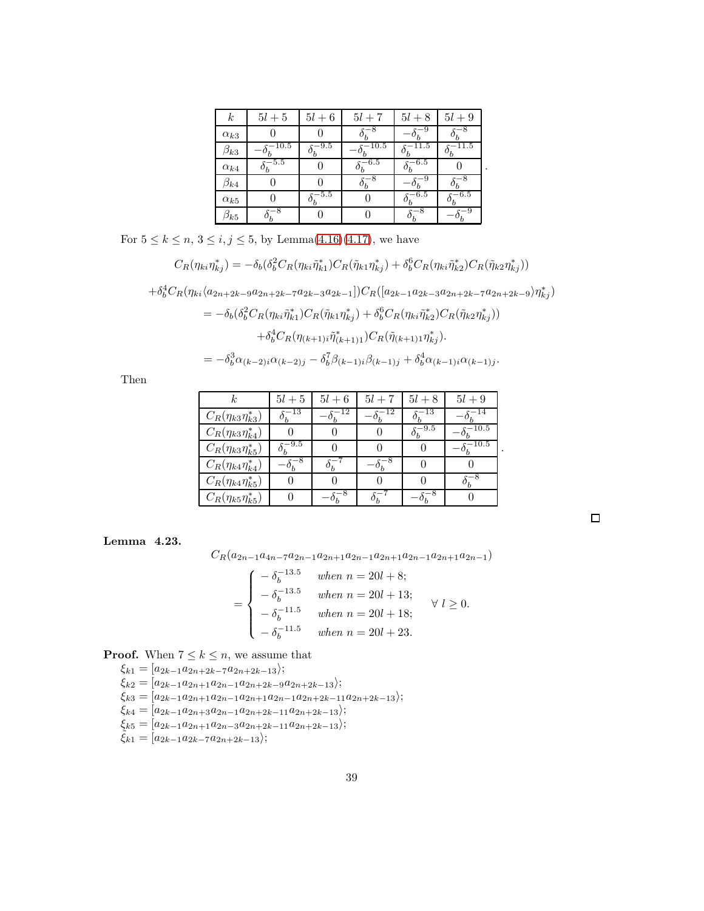| $_{k}$        | $5l+5$     | $5l+6$        | $5l+7$  | $5l+8$             | $5l+9$ |
|---------------|------------|---------------|---------|--------------------|--------|
| $\alpha_{k3}$ |            |               | -8      | -9                 | -8     |
| $\beta_{k3}$  | $s - 10.5$ | $^{\rm -9.5}$ | $-10.5$ | 11.5               | -11.5  |
| $\alpha_{k4}$ | $x - 5.5$  |               | $-6.5$  | $-6.5$             |        |
| $\beta_{k4}$  |            |               | -8      |                    |        |
| $\alpha_{k5}$ |            | $-5.5$        |         | $\mathrm{c}{-6.5}$ | $-6.5$ |
| $\beta_{k5}$  |            |               |         |                    | -9     |

.

.

For  $5 \le k \le n$ ,  $3 \le i, j \le 5$ , by Lemma[\(4.16\)](#page-30-0)[\(4.17\)](#page-31-0), we have

$$
C_R(\eta_{ki}\eta_{kj}^*) = -\delta_b(\delta_b^2 C_R(\eta_{ki}\tilde{\eta}_{k1}^*) C_R(\tilde{\eta}_{k1}\eta_{kj}^*) + \delta_b^6 C_R(\eta_{ki}\tilde{\eta}_{k2}^*) C_R(\tilde{\eta}_{k2}\eta_{kj}^*)
$$

 $+\delta_b^4 C_R(\eta_{ki} \langle a_{2n+2k-9} a_{2n+2k-7} a_{2k-3} a_{2k-1}] ) C_R([a_{2k-1} a_{2k-3} a_{2n+2k-7} a_{2n+2k-9} \rangle \eta_{kj}^*)$ 

$$
= -\delta_b(\delta_b^2 C_R(\eta_{ki}\tilde{\eta}_{k1}^*) C_R(\tilde{\eta}_{k1}\eta_{kj}^*) + \delta_b^6 C_R(\eta_{ki}\tilde{\eta}_{k2}^*) C_R(\tilde{\eta}_{k2}\eta_{kj}^*) )
$$
  
+ 
$$
\delta_b^4 C_R(\eta_{(k+1)i}\tilde{\eta}_{(k+1)1}^*) C_R(\tilde{\eta}_{(k+1)1}\eta_{kj}^*).
$$
  
= 
$$
-\delta_b^3 \alpha_{(k-2)i} \alpha_{(k-2)j} - \delta_b^7 \beta_{(k-1)i} \beta_{(k-1)j} + \delta_b^4 \alpha_{(k-1)i} \alpha_{(k-1)j}.
$$

Then

|                             | $5l+5$              | $5l+6$ | $5l+7$ | $5l+8$    | $5l+9$     |
|-----------------------------|---------------------|--------|--------|-----------|------------|
| $C_R(\eta_{k3}\eta^*_{k3})$ | $\delta_b^{-13}$    | -12    | -12    | 5-13      | -14        |
| $C_R(\eta_{k3}\eta_{k4}^*)$ |                     |        |        | $^{-9.5}$ | -10.5      |
| $C_R(\eta_{k3}\eta^*_{k5})$ | $\delta_b^{-9.5}$   |        |        |           | $^{-10.5}$ |
| $C_R(\eta_{k4}\eta^*_{k4})$ | $-8$<br>$-\delta_b$ |        | $-o_h$ |           |            |
| $C_R(\eta_{k4}\eta^*_{k5})$ |                     |        |        |           |            |
| $C_R(\eta_{k5}\eta^*_{k5})$ |                     |        |        |           |            |

<span id="page-38-0"></span>Lemma 4.23.

$$
C_R(a_{2n-1}a_{4n-7}a_{2n-1}a_{2n+1}a_{2n-1}a_{2n+1}a_{2n-1}a_{2n+1}a_{2n-1})
$$

$$
= \begin{cases}\n- \delta_b^{-13.5} & when \ n = 20l + 8; \\
- \delta_b^{-13.5} & when \ n = 20l + 13; \\
- \delta_b^{-11.5} & when \ n = 20l + 18; \\
- \delta_b^{-11.5} & when \ n = 20l + 23.\n\end{cases} \forall l \ge 0.
$$

**Proof.** When  $7 \leq k \leq n$ , we assume that

 $\xi_{k1} = [a_{2k-1}a_{2n+2k-7}a_{2n+2k-13};$  $\xi_{k2} = [a_{2k-1}a_{2n+1}a_{2n-1}a_{2n+2k-9}a_{2n+2k-13};$  $\xi_{k3} = [a_{2k-1}a_{2n+1}a_{2n-1}a_{2n+1}a_{2n-1}a_{2n+2k-11}a_{2n+2k-13}];$  $\xi_{k4} = [a_{2k-1}a_{2n+3}a_{2n-1}a_{2n+2k-11}a_{2n+2k-13}\rangle;$  $\xi_{k5} = [a_{2k-1}a_{2n+1}a_{2n-3}a_{2n+2k-11}a_{2n+2k-13});$  $\tilde{\xi}_{k1} = [a_{2k-1}a_{2k-7}a_{2n+2k-13}\rangle;$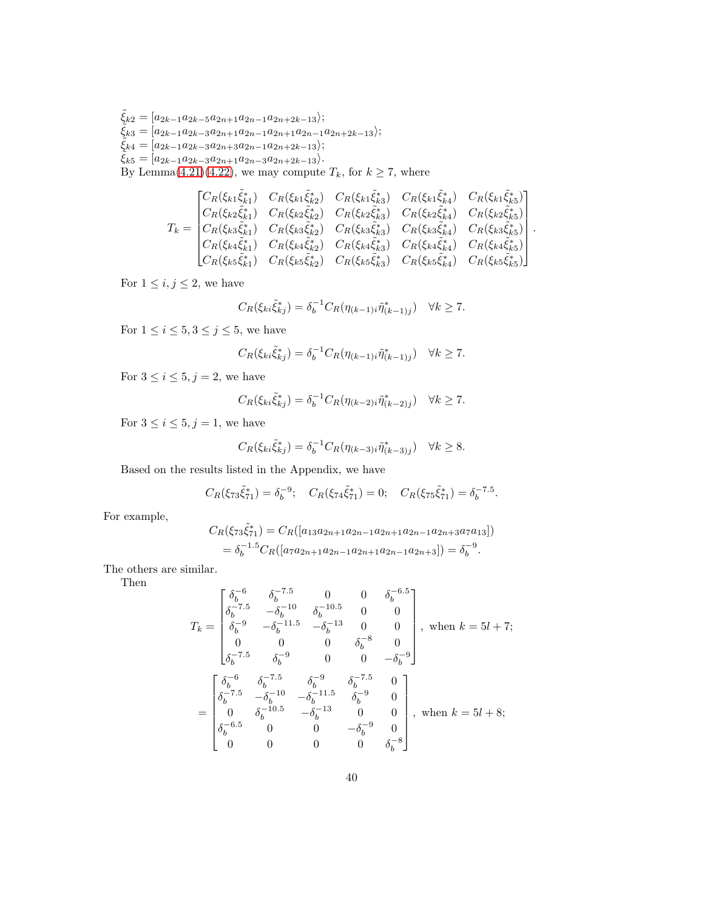$\tilde{\xi}_{k2} = [a_{2k-1}a_{2k-5}a_{2n+1}a_{2n-1}a_{2n+2k-13});$  $\tilde{\xi}_{k3} = [a_{2k-1}a_{2k-3}a_{2n+1}a_{2n-1}a_{2n+1}a_{2n-1}a_{2n+2k-13});$  $\tilde{\xi}_{k4} = [a_{2k-1}a_{2k-3}a_{2n+3}a_{2n-1}a_{2n+2k-13});$  $\tilde{\xi}_{k5} = [a_{2k-1}a_{2k-3}a_{2n+1}a_{2n-3}a_{2n+2k-13}\rangle.$ By Lemma[\(4.21\)](#page-36-0)[\(4.22\)](#page-36-1), we may compute  $T_k$ , for  $k \ge 7$ , where

$$
T_{k} = \begin{bmatrix} C_{R}(\xi_{k1}\tilde{\xi}_{k1}^{*}) & C_{R}(\xi_{k1}\tilde{\xi}_{k2}^{*}) & C_{R}(\xi_{k1}\tilde{\xi}_{k3}^{*}) & C_{R}(\xi_{k1}\tilde{\xi}_{k4}^{*}) & C_{R}(\xi_{k1}\tilde{\xi}_{k5}^{*})\\ C_{R}(\xi_{k2}\tilde{\xi}_{k1}^{*}) & C_{R}(\xi_{k2}\tilde{\xi}_{k2}^{*}) & C_{R}(\xi_{k2}\tilde{\xi}_{k3}^{*}) & C_{R}(\xi_{k2}\tilde{\xi}_{k4}^{*}) & C_{R}(\xi_{k2}\tilde{\xi}_{k5}^{*})\\ C_{R}(\xi_{k3}\tilde{\xi}_{k1}^{*}) & C_{R}(\xi_{k3}\tilde{\xi}_{k2}^{*}) & C_{R}(\xi_{k3}\tilde{\xi}_{k3}^{*}) & C_{R}(\xi_{k3}\tilde{\xi}_{k4}^{*}) & C_{R}(\xi_{k3}\tilde{\xi}_{k5}^{*})\\ C_{R}(\xi_{k4}\tilde{\xi}_{k1}^{*}) & C_{R}(\xi_{k4}\tilde{\xi}_{k2}^{*}) & C_{R}(\xi_{k4}\tilde{\xi}_{k3}^{*}) & C_{R}(\xi_{k4}\tilde{\xi}_{k4}^{*}) & C_{R}(\xi_{k4}\tilde{\xi}_{k5}^{*})\\ C_{R}(\xi_{k5}\tilde{\xi}_{k1}^{*}) & C_{R}(\xi_{k5}\tilde{\xi}_{k2}^{*}) & C_{R}(\xi_{k5}\tilde{\xi}_{k3}^{*}) & C_{R}(\xi_{k5}\tilde{\xi}_{k4}^{*}) & C_{R}(\xi_{k5}\tilde{\xi}_{k5}^{*})\end{bmatrix}.
$$

For  $1 \leq i, j \leq 2$ , we have

$$
C_R(\xi_{ki}\tilde{\xi}_{kj}^*) = \delta_b^{-1} C_R(\eta_{(k-1)i}\tilde{\eta}_{(k-1)j}^*) \quad \forall k \ge 7.
$$

For  $1 \leq i \leq 5, 3 \leq j \leq 5$ , we have

$$
C_R(\xi_{ki}\tilde{\xi}_{kj}^*) = \delta_b^{-1} C_R(\eta_{(k-1)i}\tilde{\eta}_{(k-1)j}^*) \quad \forall k \ge 7.
$$

For  $3 \le i \le 5, j = 2$ , we have

$$
C_R(\xi_{ki}\tilde{\xi}_{kj}^*) = \delta_b^{-1} C_R(\eta_{(k-2)i}\tilde{\eta}_{(k-2)j}^*) \quad \forall k \ge 7.
$$

For  $3 \leq i \leq 5, j = 1$ , we have

$$
C_R(\xi_{ki}\tilde{\xi}_{kj}^*) = \delta_b^{-1} C_R(\eta_{(k-3)i}\tilde{\eta}_{(k-3)j}^*) \quad \forall k \ge 8.
$$

Based on the results listed in the Appendix, we have

$$
C_R(\xi_{73}\tilde{\xi}_{71}^*) = \delta_b^{-9}; \quad C_R(\xi_{74}\tilde{\xi}_{71}^*) = 0; \quad C_R(\xi_{75}\tilde{\xi}_{71}^*) = \delta_b^{-7.5}.
$$

For example,

$$
C_R(\xi_{73}\tilde{\xi}_{71}^*) = C_R([a_{13}a_{2n+1}a_{2n-1}a_{2n+1}a_{2n-1}a_{2n+3}a_7a_{13}])
$$
  
=  $\delta_b^{-1.5}C_R([a_7a_{2n+1}a_{2n-1}a_{2n+1}a_{2n-1}a_{2n+3}]) = \delta_b^{-9}.$ 

The others are similar.

Then

$$
T_k = \begin{bmatrix} \delta_b^{-6} & \delta_b^{-7.5} & 0 & 0 & \delta_b^{-6.5} \\ \delta_b^{-7.5} & -\delta_b^{-10} & \delta_b^{-10.5} & 0 & 0 \\ \delta_b^{-9} & -\delta_b^{-11.5} & -\delta_b^{-13} & 0 & 0 \\ 0 & 0 & 0 & \delta_b^{-8} & 0 \\ \delta_b^{-7.5} & \delta_b^{-9} & 0 & 0 & -\delta_b^{-9} \end{bmatrix}, \text{ when } k = 5l + 7; \\ = \begin{bmatrix} \delta_b^{-6} & \delta_b^{-7.5} & \delta_b^{-9} & \delta_b^{-7.5} & 0 \\ \delta_b^{-7.5} & -\delta_b^{-10} & -\delta_b^{-11.5} & \delta_b^{-9} & 0 \\ 0 & \delta_b^{-10.5} & -\delta_b^{-13} & 0 & 0 \\ \delta_b^{-6.5} & 0 & 0 & -\delta_b^{-9} & 0 \\ 0 & 0 & 0 & 0 & \delta_b^{-8} \end{bmatrix}, \text{ when } k = 5l + 8; \\ = 5l + 8; \label{eq:4}
$$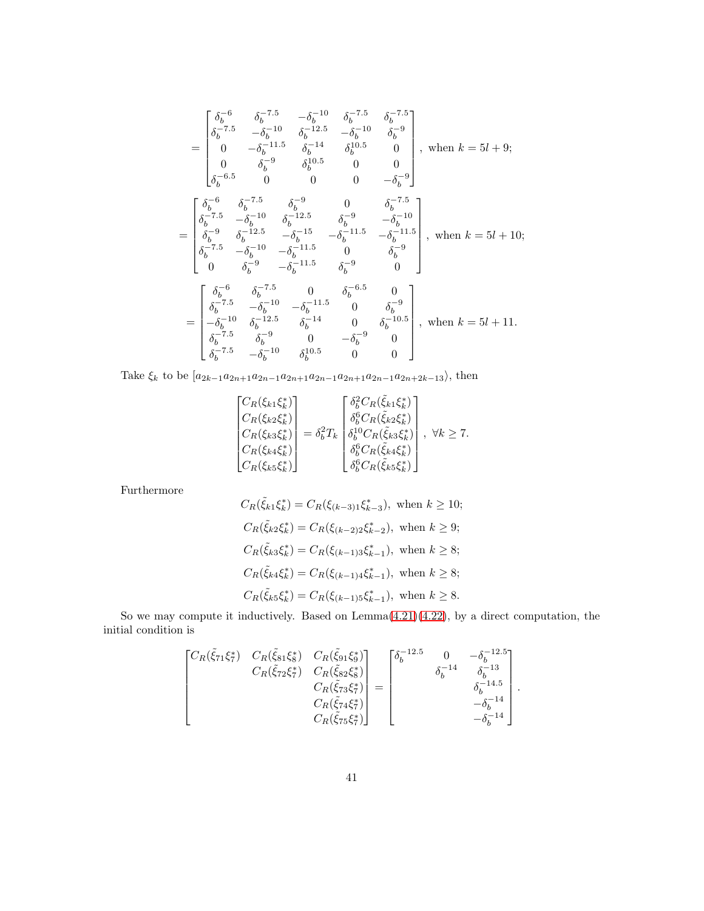$$
\begin{split} &=\begin{bmatrix} \delta_b^{-6} & \delta_b^{-7.5} & -\delta_b^{-10} & \delta_b^{-7.5} & \delta_b^{-7.5} \\ \delta_b^{-7.5} & -\delta_b^{-10} & \delta_b^{-12.5} & -\delta_b^{-10} & \delta_b^{-9} \\ 0 & -\delta_b^{-11.5} & \delta_b^{-14} & \delta_b^{10.5} & 0 \\ \delta_b^{-6.5} & 0 & 0 & 0 & -\delta_b^{-9} \end{bmatrix}, \text{ when } k = 5l + 9; \\ &\begin{bmatrix} \delta_b^{-6} & \delta_b^{-7.5} & \delta_b^{-9} & 0 & \delta_b^{-7.5} \\ \delta_b^{-7.5} & -\delta_b^{-10} & \delta_b^{-12.5} & \delta_b^{-9} & -\delta_b^{-10} \\ \delta_b^{-7.5} & -\delta_b^{-10} & \delta_b^{-12.5} & \delta_b^{-9} & -\delta_b^{-11.5} \\ \delta_b^{-7.5} & -\delta_b^{-10} & -\delta_b^{-11.5} & 0 & \delta_b^{-9} \\ 0 & \delta_b^{-9} & -\delta_b^{-11.5} & 0 & \delta_b^{-9} \\ 0 & \delta_b^{-9} & -\delta_b^{-11.5} & \delta_b^{-9} & 0 \end{bmatrix}, \text{ when } k = 5l + 10; \\ &\begin{bmatrix} \delta_b^{-6} & \delta_b^{-7.5} & 0 & \delta_b^{-6.5} & 0 \\ \delta_b^{-7.5} & -\delta_b^{-10} & -\delta_b^{-11.5} & 0 & \delta_b^{-9} \\ -\delta_b^{-10} & \delta_b^{-12.5} & \delta_b^{-14} & 0 & \delta_b^{-10.5} \\ -\delta_b^{-7.5} & \delta_b^{-9} & 0 & -\delta_b^{-9} & 0 \\ \delta_b^{-7.5} & -\delta_b^{-10} & \delta_b^{10.5} & 0 & 0 \end{bmatrix}, \text{ when } k = 5l + 11. \end{split}
$$

Take  $\xi_k$  to be  $[a_{2k-1}a_{2n+1}a_{2n-1}a_{2n+1}a_{2n-1}a_{2n+1}a_{2n-1}a_{2n+2k-13}\rangle$ , then

$$
\begin{bmatrix}\nC_R(\xi_{k1}\xi_k^*) \\
C_R(\xi_{k2}\xi_k^*) \\
C_R(\xi_{k3}\xi_k^*) \\
C_R(\xi_{k4}\xi_k^*) \\
C_R(\xi_{k5}\xi_k^*)\n\end{bmatrix} = \delta_b^2 T_k \begin{bmatrix}\n\delta_b^6 C_R(\tilde{\xi}_{k1}\xi_k^*) \\
\delta_b^6 C_R(\tilde{\xi}_{k2}\xi_k^*) \\
\delta_b^1 C_R(\tilde{\xi}_{k3}\xi_k^*) \\
\delta_b^6 C_R(\tilde{\xi}_{k4}\xi_k^*) \\
\delta_b^6 C_R(\tilde{\xi}_{k5}\xi_k^*)\n\end{bmatrix}, \forall k \ge 7.
$$

Furthermore

$$
C_R(\tilde{\xi}_{k1}\xi_k^*) = C_R(\xi_{(k-3)1}\xi_{k-3}^*), \text{ when } k \ge 10;
$$
  
\n
$$
C_R(\tilde{\xi}_{k2}\xi_k^*) = C_R(\xi_{(k-2)2}\xi_{k-2}^*), \text{ when } k \ge 9;
$$
  
\n
$$
C_R(\tilde{\xi}_{k3}\xi_k^*) = C_R(\xi_{(k-1)3}\xi_{k-1}^*), \text{ when } k \ge 8;
$$
  
\n
$$
C_R(\tilde{\xi}_{k4}\xi_k^*) = C_R(\xi_{(k-1)4}\xi_{k-1}^*), \text{ when } k \ge 8;
$$
  
\n
$$
C_R(\tilde{\xi}_{k5}\xi_k^*) = C_R(\xi_{(k-1)5}\xi_{k-1}^*), \text{ when } k \ge 8.
$$

So we may compute it inductively. Based on Lemma[\(4.21\)](#page-36-0)[\(4.22\)](#page-36-1), by a direct computation, the initial condition is

$$
\begin{bmatrix}\nC_R(\tilde{\xi}_{71}\xi_7^*) & C_R(\tilde{\xi}_{81}\xi_8^*) & C_R(\tilde{\xi}_{91}\xi_9^*) \\
 & C_R(\tilde{\xi}_{72}\xi_7^*) & C_R(\tilde{\xi}_{82}\xi_8^*) \\
 & & C_R(\tilde{\xi}_{73}\xi_7^*) \\
 & & & C_R(\tilde{\xi}_{74}\xi_7^*) \\
 & & & & & \delta_b^{-14} \\
 & & & & & \delta_b^{-14,5} \\
 & & & & & & \delta_b^{-14,5} \\
 & & & & & & -\delta_b^{-14} \\
 & & & & & & -\delta_b^{-14}\n\end{bmatrix}.
$$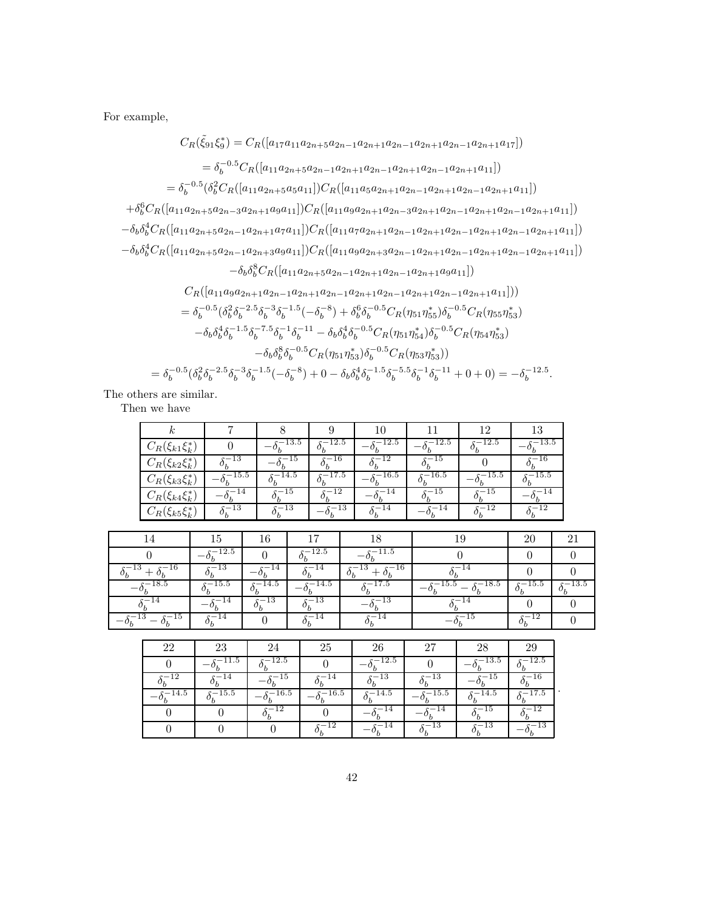For example,

$$
C_{R}(\tilde{\xi}_{91}\xi_{9}^{*}) = C_{R}([a_{17}a_{11}a_{2n+5}a_{2n-1}a_{2n+1}a_{2n-1}a_{2n+1}a_{2n-1}a_{2n+1}a_{17}])
$$
\n
$$
= \delta_{b}^{-0.5}C_{R}([a_{11}a_{2n+5}a_{2n-1}a_{2n+1}a_{2n-1}a_{2n+1}a_{2n-1}a_{2n+1}a_{11}])
$$
\n
$$
= \delta_{b}^{-0.5}(\delta_{b}^{2}C_{R}([a_{11}a_{2n+5}a_{5}a_{11}])C_{R}([a_{11}a_{5}a_{2n+1}a_{2n-1}a_{2n+1}a_{2n-1}a_{2n+1}a_{11}])
$$
\n
$$
+ \delta_{b}^{6}C_{R}([a_{11}a_{2n+5}a_{2n-3}a_{2n+1}a_{9}a_{11}])C_{R}([a_{11}a_{9}a_{2n+1}a_{2n-3}a_{2n+1}a_{2n-1}a_{2n+1}a_{2n-1}a_{2n+1}a_{11}])
$$
\n
$$
- \delta_{b}\delta_{b}^{4}C_{R}([a_{11}a_{2n+5}a_{2n-1}a_{2n+3}a_{9}a_{11}])C_{R}([a_{11}a_{7}a_{2n+1}a_{2n-1}a_{2n+1}a_{2n-1}a_{2n+1}a_{2n-1}a_{2n+1}a_{11}])
$$
\n
$$
- \delta_{b}\delta_{b}^{8}C_{R}([a_{11}a_{2n+5}a_{2n-1}a_{2n+3}a_{9}a_{11}])C_{R}([a_{11}a_{9}a_{2n+3}a_{2n-1}a_{2n+1}a_{2n-1}a_{2n+1}a_{2n-1}a_{2n+1}a_{11}])
$$
\n
$$
- \delta_{b}\delta_{b}^{8}C_{R}([a_{11}a_{2n+5}a_{2n-1}a_{2n+1}a_{2n-1}a_{2n+1}a_{2n-1}a
$$

The others are similar.

Then we have

|                        |       |           |          |         |         |              | 13      |
|------------------------|-------|-----------|----------|---------|---------|--------------|---------|
| $C_R(\xi_{k1}\xi_k^*)$ |       | $-13.5$   | $-12.5$  | $-12.5$ | $-12.5$ | $-12.5$      | $-13.5$ |
| $C_R(\xi_{k2}\xi_k^*)$ | 10    |           | 16       |         |         |              |         |
| $C_R(\xi_{k3}\xi_k^*)$ | 15.5  | $-14.5\,$ | $-17.5$  | 16.5    | $-16.5$ | 15.5         | $-15.5$ |
| $C_R(\xi_{k4}\xi_k^*)$ | -14   | $-15$     | $-12$    | -14     | $-15$   | ·—15         | $-14$   |
| $C_R(\xi_{k5})$        | $-13$ | -13       | $^{-13}$ | $-14$   | -14     | $^{\rm -12}$ |         |

| $\overline{a}$    | ĿЭ           |              |             |                         |                    | 20         |            |
|-------------------|--------------|--------------|-------------|-------------------------|--------------------|------------|------------|
|                   | $-12.5$      |              | 12.5        | $^{-11.5}$              |                    |            |            |
| $s-16$<br>$-13$ . | 13<br>$\sim$ | 14           | 14          | $-16$<br>13<br>._<br>ο, | 14                 |            |            |
| 18.5              | $-15.5$      | $-14.5$      | $-14.5$     | $-17.5$                 | $-15.5$<br>$-18.5$ | $s - 15.5$ | $s - 13.5$ |
|                   | 4            | 13<br>$\sim$ | $\cdot -13$ | 15.                     | 14                 |            |            |
| $-15$<br>$^{-13}$ | 14           |              | 14          |                         |                    | $-12$      |            |

| ດດ  | 23        |            | 25   | 26      | 27      | റാ         |            |
|-----|-----------|------------|------|---------|---------|------------|------------|
|     | $-11.5\,$ | $s - 12.5$ |      | $-12.5$ |         | $s - 13.5$ | $s - 12.5$ |
| 12  | 14        | 15         |      | 13      | 3       | .b         | 16         |
| 4.b | 15.5      | 16.5       | 16.5 | 14.5    | $-15.5$ | 14.5       | $-17.5$    |
|     |           | $^{-12}$   |      | 4       | 14      | $-15$      | $-12$      |
|     |           |            |      |         | د.      | 13         | 13         |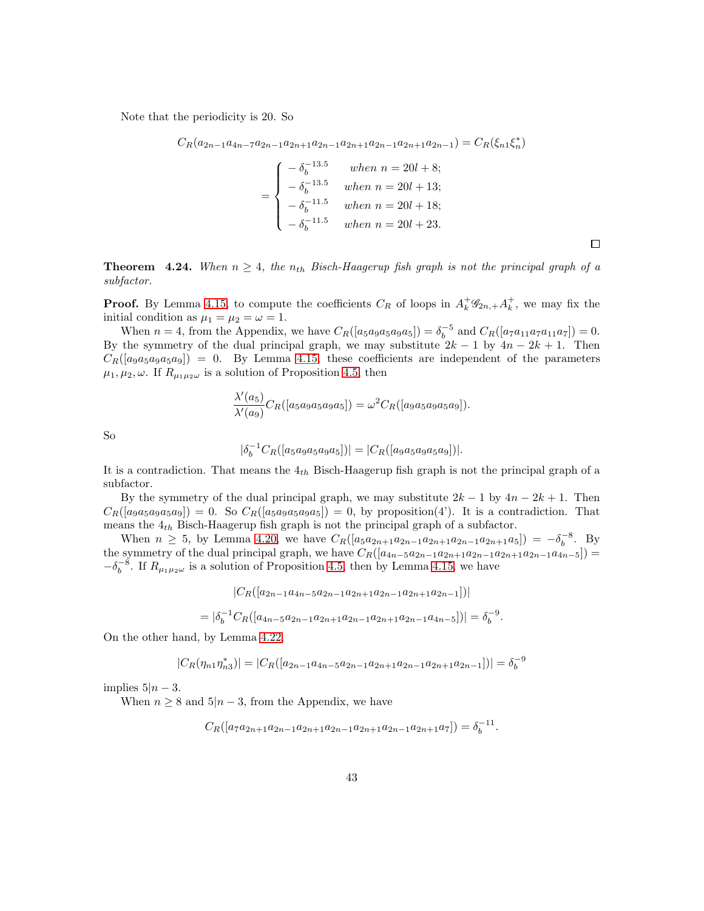Note that the periodicity is 20. So

$$
C_R(a_{2n-1}a_{4n-7}a_{2n-1}a_{2n+1}a_{2n-1}a_{2n+1}a_{2n-1}a_{2n+1}a_{2n-1}) = C_R(\xi_{n1}\xi_n^*)
$$

$$
= \begin{cases}\n-\delta_b^{-13.5} & when \ n = 20l + 8; \\
-\delta_b^{-13.5} & when \ n = 20l + 13; \\
-\delta_b^{-11.5} & when \ n = 20l + 18; \\
-\delta_b^{-11.5} & when \ n = 20l + 23.\n\end{cases}
$$

**Theorem 4.24.** When  $n \geq 4$ , the  $n_{th}$  Bisch-Haagerup fish graph is not the principal graph of a subfactor.

**Proof.** By Lemma [4.15,](#page-29-1) to compute the coefficients  $C_R$  of loops in  $A_k^+ \mathscr{G}_{2n,+} A_k^+$ , we may fix the initial condition as  $\mu_1 = \mu_2 = \omega = 1$ .

When  $n = 4$ , from the Appendix, we have  $C_R([a_5a_9a_5a_9a_5]) = \delta_b^{-5}$  and  $C_R([a_7a_{11}a_7a_{11}a_7]) = 0$ . By the symmetry of the dual principal graph, we may substitute  $2k - 1$  by  $4n - 2k + 1$ . Then  $C_R([a_{9a5a9a5a9}) = 0$ . By Lemma [4.15,](#page-29-1) these coefficients are independent of the parameters  $\mu_1, \mu_2, \omega$ . If  $R_{\mu_1 \mu_2 \omega}$  is a solution of Proposition [4.5,](#page-20-0) then

$$
\frac{\lambda'(a_5)}{\lambda'(a_9)}C_R([a_5a_9a_5a_9a_5]) = \omega^2 C_R([a_9a_5a_9a_5a_9]).
$$

So

$$
|\delta_b^{-1} C_R([a_5a_9a_5a_9a_5])| = |C_R([a_9a_5a_9a_5a_9])|.
$$

It is a contradiction. That means the  $4<sub>th</sub>$  Bisch-Haagerup fish graph is not the principal graph of a subfactor.

By the symmetry of the dual principal graph, we may substitute  $2k - 1$  by  $4n - 2k + 1$ . Then  $C_R([a_9a_5a_9a_5a_9]) = 0$ . So  $C_R([a_5a_9a_5a_9a_5]) = 0$ , by proposition(4'). It is a contradiction. That means the  $\mathfrak{4}_{th}$  Bisch-Haagerup fish graph is not the principal graph of a subfactor.

When  $n \geq 5$ , by Lemma [4.20,](#page-34-0) we have  $C_R([a_5a_{2n+1}a_{2n-1}a_{2n+1}a_{2n-1}a_{2n+1}a_5]) = -\delta_5^{-8}$ . By the symmetry of the dual principal graph, we have  $C_R([a_{4n-5}a_{2n-1}a_{2n+1}a_{2n-1}a_{2n+1}a_{2n-1}a_{4n-5}])$  $-\delta_b^{-8}$ . If  $R_{\mu_1\mu_2\omega}$  is a solution of Proposition [4.5,](#page-20-0) then by Lemma [4.15,](#page-29-1) we have

$$
|C_R([a_{2n-1}a_{4n-5}a_{2n-1}a_{2n+1}a_{2n-1}a_{2n+1}a_{2n-1}])|
$$
  
=  $|\delta_b^{-1}C_R([a_{4n-5}a_{2n-1}a_{2n+1}a_{2n-1}a_{2n+1}a_{2n-1}a_{4n-5}])| = \delta_b^{-9}.$ 

On the other hand, by Lemma [4.22,](#page-36-1)

$$
|C_R(\eta_{n1}\eta_{n3}^*)| = |C_R([a_{2n-1}a_{4n-5}a_{2n-1}a_{2n+1}a_{2n-1}a_{2n+1}a_{2n-1}])| = \delta_b^{-9}
$$

implies  $5|n-3$ .

When  $n \geq 8$  and  $5|n-3$ , from the Appendix, we have

$$
C_R([a_7a_{2n+1}a_{2n-1}a_{2n+1}a_{2n-1}a_{2n+1}a_{2n-1}a_{2n+1}a_{7}]) = \delta_b^{-11}
$$

.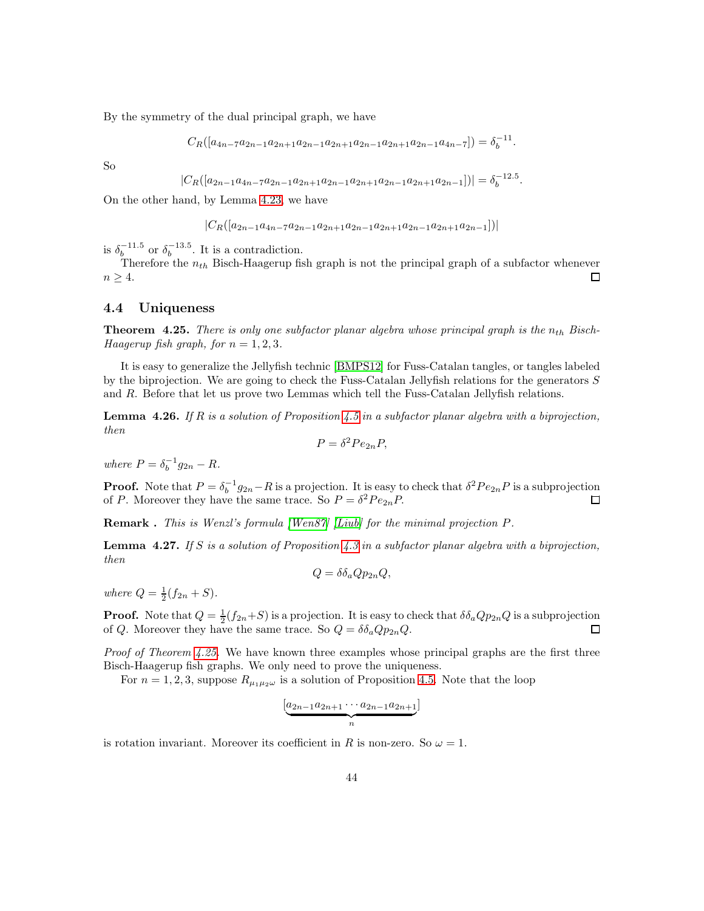By the symmetry of the dual principal graph, we have

$$
C_R([a_{4n-7}a_{2n-1}a_{2n+1}a_{2n-1}a_{2n+1}a_{2n-1}a_{2n+1}a_{2n-1}a_{4n-7}]) = \delta_b^{-11}.
$$

So

$$
|C_R([a_{2n-1}a_{4n-7}a_{2n-1}a_{2n+1}a_{2n-1}a_{2n+1}a_{2n-1}a_{2n+1}a_{2n-1}])| = \delta_b^{-12.5}.
$$

On the other hand, by Lemma [4.23,](#page-38-0) we have

$$
|C_R([a_{2n-1}a_{4n-7}a_{2n-1}a_{2n+1}a_{2n-1}a_{2n+1}a_{2n-1}a_{2n+1}a_{2n-1}])|
$$

is  $\delta_b^{-11.5}$  or  $\delta_b^{-13.5}$ . It is a contradiction.

Therefore the  $n_{th}$  Bisch-Haagerup fish graph is not the principal graph of a subfactor whenever  $n \geq 4$ .  $\Box$ 

## 4.4 Uniqueness

<span id="page-43-0"></span>**Theorem 4.25.** There is only one subfactor planar algebra whose principal graph is the  $n_{th}$  Bisch-Haagerup fish graph, for  $n = 1, 2, 3$ .

It is easy to generalize the Jellyfish technic [\[BMPS12\]](#page-47-7) for Fuss-Catalan tangles, or tangles labeled by the biprojection. We are going to check the Fuss-Catalan Jellyfish relations for the generators S and R. Before that let us prove two Lemmas which tell the Fuss-Catalan Jellyfish relations.

<span id="page-43-1"></span>**Lemma 4.26.** If R is a solution of Proposition [4.5](#page-20-0) in a subfactor planar algebra with a biprojection, then

$$
P = \delta^2 P e_{2n} P,
$$

where  $P = \delta_b^{-1} g_{2n} - R$ .

**Proof.** Note that  $P = \delta_b^{-1} g_{2n} - R$  is a projection. It is easy to check that  $\delta^2 Pe_{2n}P$  is a subprojection of P. Moreover they have the same trace. So  $P = \delta^2 Pe_{2n}P$ .  $\Box$ 

Remark . This is Wenzl's formula [\[Wen87\]](#page-48-12) [\[Liub\]](#page-48-3) for the minimal projection P.

<span id="page-43-2"></span>**Lemma 4.27.** If S is a solution of Proposition [4.3](#page-19-0) in a subfactor planar algebra with a biprojection, then

$$
Q = \delta \delta_a Q p_{2n} Q,
$$

where  $Q = \frac{1}{2}(f_{2n} + S)$ .

**Proof.** Note that  $Q = \frac{1}{2}(f_{2n}+S)$  is a projection. It is easy to check that  $\delta \delta_a Q p_{2n} Q$  is a subprojection of Q. Moreover they have the same trace. So  $Q = \delta \delta_a Q p_{2n} Q$ .  $\Box$ 

*Proof of Theorem [4.25.](#page-43-0)* We have known three examples whose principal graphs are the first three Bisch-Haagerup fish graphs. We only need to prove the uniqueness.

For  $n = 1, 2, 3$ , suppose  $R_{\mu_1 \mu_2 \omega}$  is a solution of Proposition [4.5.](#page-20-0) Note that the loop

$$
\underbrace{[a_{2n-1}a_{2n+1}\cdots a_{2n-1}a_{2n+1}]}_{n}]
$$

is rotation invariant. Moreover its coefficient in R is non-zero. So  $\omega = 1$ .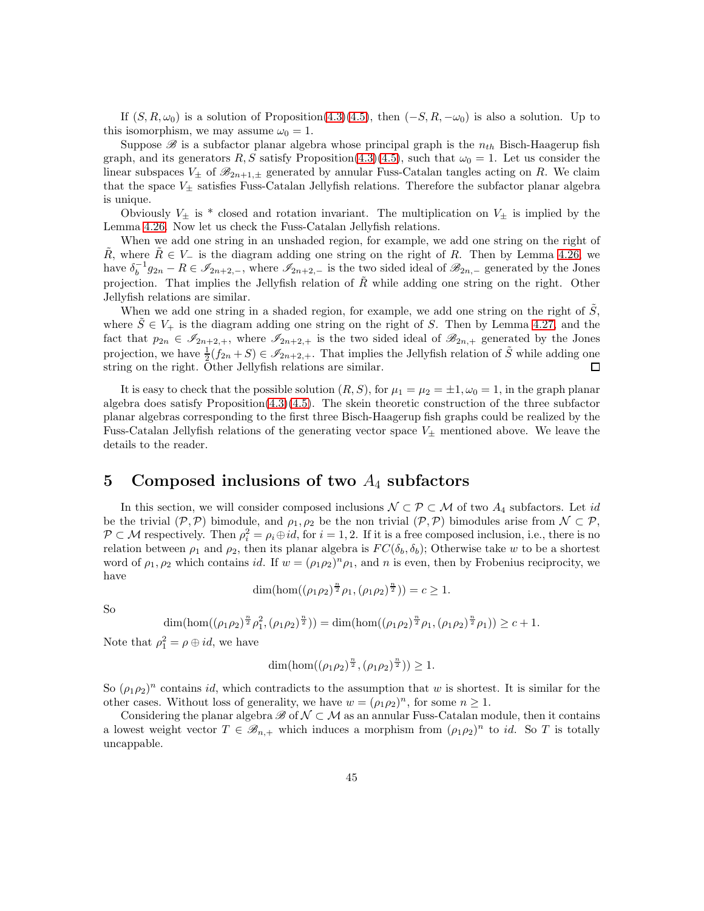If  $(S, R, \omega_0)$  is a solution of Proposition[\(4.3\)](#page-19-0)[\(4.5\)](#page-20-0), then  $(-S, R, -\omega_0)$  is also a solution. Up to this isomorphism, we may assume  $\omega_0 = 1$ .

Suppose  $\mathscr B$  is a subfactor planar algebra whose principal graph is the  $n_{th}$  Bisch-Haagerup fish graph, and its generators R, S satisfy Proposition[\(4.3\)](#page-19-0)[\(4.5\)](#page-20-0), such that  $\omega_0 = 1$ . Let us consider the linear subspaces  $V_{\pm}$  of  $\mathscr{B}_{2n+1,\pm}$  generated by annular Fuss-Catalan tangles acting on R. We claim that the space  $V_{\pm}$  satisfies Fuss-Catalan Jellyfish relations. Therefore the subfactor planar algebra is unique.

Obviously  $V_{\pm}$  is \* closed and rotation invariant. The multiplication on  $V_{\pm}$  is implied by the Lemma [4.26.](#page-43-1) Now let us check the Fuss-Catalan Jellyfish relations.

When we add one string in an unshaded region, for example, we add one string on the right of R, where  $R \in V_-\$  is the diagram adding one string on the right of R. Then by Lemma [4.26,](#page-43-1) we have  $\delta_b^{-1}g_{2n} - R \in \mathscr{I}_{2n+2,-}$ , where  $\mathscr{I}_{2n+2,-}$  is the two sided ideal of  $\mathscr{B}_{2n,-}$  generated by the Jones projection. That implies the Jellyfish relation of  $\tilde{R}$  while adding one string on the right. Other Jellyfish relations are similar.

When we add one string in a shaded region, for example, we add one string on the right of  $\tilde{S}$ , where  $S \in V_+$  is the diagram adding one string on the right of S. Then by Lemma [4.27,](#page-43-2) and the fact that  $p_{2n} \in \mathscr{I}_{2n+2,+}$ , where  $\mathscr{I}_{2n+2,+}$  is the two sided ideal of  $\mathscr{B}_{2n,+}$  generated by the Jones projection, we have  $\frac{1}{2}(f_{2n}+S) \in \mathscr{I}_{2n+2,+}$ . That implies the Jellyfish relation of  $\tilde{S}$  while adding one string on the right. Other Jellyfish relations are similar.

It is easy to check that the possible solution  $(R, S)$ , for  $\mu_1 = \mu_2 = \pm 1, \omega_0 = 1$ , in the graph planar algebra does satisfy Proposition[\(4.3\)](#page-19-0)[\(4.5\)](#page-20-0). The skein theoretic construction of the three subfactor planar algebras corresponding to the first three Bisch-Haagerup fish graphs could be realized by the Fuss-Catalan Jellyfish relations of the generating vector space  $V_{\pm}$  mentioned above. We leave the details to the reader.

# 5 Composed inclusions of two  $A_4$  subfactors

In this section, we will consider composed inclusions  $\mathcal{N} \subset \mathcal{P} \subset \mathcal{M}$  of two  $A_4$  subfactors. Let id be the trivial  $(\mathcal{P}, \mathcal{P})$  bimodule, and  $\rho_1, \rho_2$  be the non trivial  $(\mathcal{P}, \mathcal{P})$  bimodules arise from  $\mathcal{N} \subset \mathcal{P}$ ,  $\mathcal{P} \subset \mathcal{M}$  respectively. Then  $\rho_i^2 = \rho_i \oplus id$ , for  $i = 1, 2$ . If it is a free composed inclusion, i.e., there is no relation between  $\rho_1$  and  $\rho_2$ , then its planar algebra is  $FC(\delta_b, \delta_b)$ ; Otherwise take w to be a shortest word of  $\rho_1, \rho_2$  which contains id. If  $w = (\rho_1 \rho_2)^n \rho_1$ , and n is even, then by Frobenius reciprocity, we have

$$
\dim(\hom((\rho_1\rho_2)^{\frac{n}{2}}\rho_1,(\rho_1\rho_2)^{\frac{n}{2}}))=c\geq 1.
$$

So

$$
\dim(\hom((\rho_1\rho_2)^{\frac{n}{2}}\rho_1^2,(\rho_1\rho_2)^{\frac{n}{2}})) = \dim(\hom((\rho_1\rho_2)^{\frac{n}{2}}\rho_1,(\rho_1\rho_2)^{\frac{n}{2}}\rho_1)) \ge c+1.
$$

Note that  $\rho_1^2 = \rho \oplus id$ , we have

$$
\dim(\hom((\rho_1\rho_2)^{\frac{n}{2}},(\rho_1\rho_2)^{\frac{n}{2}}))\geq 1.
$$

So  $(\rho_1 \rho_2)^n$  contains *id*, which contradicts to the assumption that w is shortest. It is similar for the other cases. Without loss of generality, we have  $w = (\rho_1 \rho_2)^n$ , for some  $n \ge 1$ .

Considering the planar algebra  $\mathscr{B}$  of  $\mathcal{N} \subset \mathcal{M}$  as an annular Fuss-Catalan module, then it contains a lowest weight vector  $T \in \mathcal{B}_{n,+}$  which induces a morphism from  $(\rho_1 \rho_2)^n$  to *id.* So T is totally uncappable.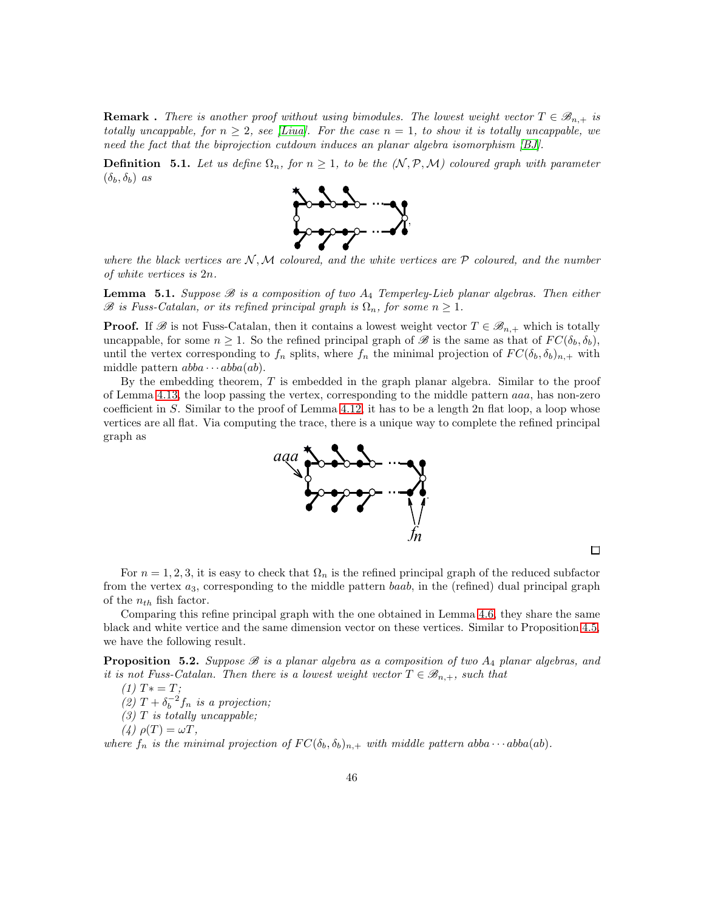**Remark**. There is another proof without using bimodules. The lowest weight vector  $T \in \mathcal{B}_{n,+}$  is totally uncappable, for  $n \geq 2$ , see [\[Liua\]](#page-48-11). For the case  $n = 1$ , to show it is totally uncappable, we need the fact that the biprojection cutdown induces an planar algebra isomorphism [\[BJ\]](#page-47-15).

**Definition** 5.1. Let us define  $\Omega_n$ , for  $n \geq 1$ , to be the  $(N, \mathcal{P}, \mathcal{M})$  coloured graph with parameter  $(\delta_b, \delta_b)$  as



where the black vertices are  $\mathcal{N}, \mathcal{M}$  coloured, and the white vertices are  $\mathcal{P}$  coloured, and the number of white vertices is 2n.

**Lemma** 5.1. Suppose  $\mathcal{B}$  is a composition of two  $A_4$  Temperley-Lieb planar algebras. Then either  $\mathscr B$  is Fuss-Catalan, or its refined principal graph is  $\Omega_n$ , for some  $n \geq 1$ .

**Proof.** If  $\mathscr{B}$  is not Fuss-Catalan, then it contains a lowest weight vector  $T \in \mathscr{B}_{n,+}$  which is totally uncappable, for some  $n \geq 1$ . So the refined principal graph of B is the same as that of  $FC(\delta_b, \delta_b)$ , until the vertex corresponding to  $f_n$  splits, where  $f_n$  the minimal projection of  $FC(\delta_b, \delta_b)_{n,+}$  with middle pattern  $abba \cdots abba(ab)$ .

By the embedding theorem, T is embedded in the graph planar algebra. Similar to the proof of Lemma [4.13,](#page-26-0) the loop passing the vertex, corresponding to the middle pattern aaa, has non-zero coefficient in  $S$ . Similar to the proof of Lemma [4.12,](#page-25-1) it has to be a length 2n flat loop, a loop whose vertices are all flat. Via computing the trace, there is a unique way to complete the refined principal graph as



For  $n = 1, 2, 3$ , it is easy to check that  $\Omega_n$  is the refined principal graph of the reduced subfactor from the vertex  $a_3$ , corresponding to the middle pattern  $baab$ , in the (refined) dual principal graph of the  $n_{th}$  fish factor.

 $\Box$ 

Comparing this refine principal graph with the one obtained in Lemma [4.6,](#page-21-0) they share the same black and white vertice and the same dimension vector on these vertices. Similar to Proposition [4.5,](#page-20-0) we have the following result.

**Proposition 5.2.** Suppose  $\mathscr B$  is a planar algebra as a composition of two  $A_4$  planar algebras, and it is not Fuss-Catalan. Then there is a lowest weight vector  $T \in \mathscr{B}_{n,+}$ , such that

 $(1)$   $T* = T;$ (2)  $T + \delta_b^{-2} f_n$  is a projection;  $(3)$  T is totally uncappable; (4)  $\rho(T) = \omega T$ ,

where  $f_n$  is the minimal projection of  $FC(\delta_b, \delta_b)_{n,+}$  with middle pattern abba  $\cdots$  abba(ab).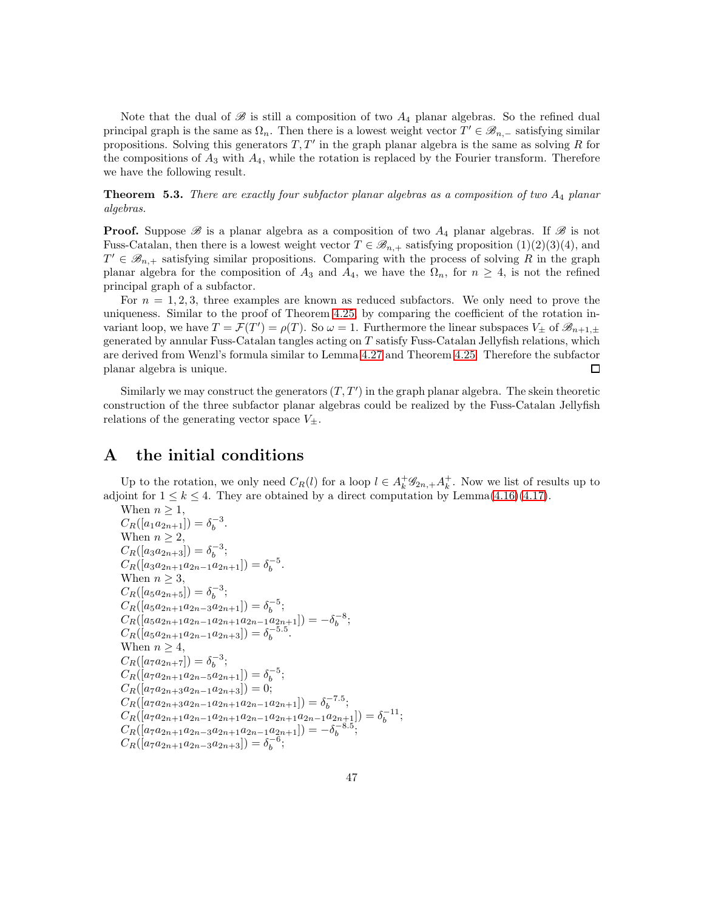Note that the dual of  $\mathscr B$  is still a composition of two  $A_4$  planar algebras. So the refined dual principal graph is the same as  $\Omega_n$ . Then there is a lowest weight vector  $T' \in \mathscr{B}_{n,-}$  satisfying similar propositions. Solving this generators  $T, T'$  in the graph planar algebra is the same as solving R for the compositions of  $A_3$  with  $A_4$ , while the rotation is replaced by the Fourier transform. Therefore we have the following result.

**Theorem 5.3.** There are exactly four subfactor planar algebras as a composition of two  $A_4$  planar algebras.

**Proof.** Suppose  $\mathscr{B}$  is a planar algebra as a composition of two  $A_4$  planar algebras. If  $\mathscr{B}$  is not Fuss-Catalan, then there is a lowest weight vector  $T \in \mathcal{B}_{n,+}$  satisfying proposition  $(1)(2)(3)(4)$ , and  $T' \in \mathscr{B}_{n,+}$  satisfying similar propositions. Comparing with the process of solving R in the graph planar algebra for the composition of  $A_3$  and  $A_4$ , we have the  $\Omega_n$ , for  $n \geq 4$ , is not the refined principal graph of a subfactor.

For  $n = 1, 2, 3$ , three examples are known as reduced subfactors. We only need to prove the uniqueness. Similar to the proof of Theorem [4.25,](#page-43-0) by comparing the coefficient of the rotation invariant loop, we have  $T = \mathcal{F}(T') = \rho(T)$ . So  $\omega = 1$ . Furthermore the linear subspaces  $V_{\pm}$  of  $\mathscr{B}_{n+1,\pm}$ generated by annular Fuss-Catalan tangles acting on  $T$  satisfy Fuss-Catalan Jellyfish relations, which are derived from Wenzl's formula similar to Lemma [4.27](#page-43-2) and Theorem [4.25.](#page-43-0) Therefore the subfactor planar algebra is unique.  $\Box$ 

Similarly we may construct the generators  $(T, T')$  in the graph planar algebra. The skein theoretic construction of the three subfactor planar algebras could be realized by the Fuss-Catalan Jellyfish relations of the generating vector space  $V_{\pm}$ .

# A the initial conditions

Up to the rotation, we only need  $C_R(l)$  for a loop  $l \in A_k^+ \mathscr{G}_{2n,+} A_k^+$ . Now we list of results up to adjoint for  $1 \leq k \leq 4$ . They are obtained by a direct computation by Lemma $(4.16)(4.17)$  $(4.16)(4.17)$ .

When 
$$
n \ge 1
$$
,  
\n $C_R([a_1a_{2n+1}]) = \delta_b^{-3}$ .  
\nWhen  $n \ge 2$ ,  
\n $C_R([a_3a_{2n+3}]) = \delta_b^{-3}$ ;  
\n $C_R([a_3a_{2n+1}a_{2n-1}a_{2n+1}]) = \delta_b^{-5}$ .  
\nWhen  $n \ge 3$ ,  
\n $C_R([a_5a_{2n+5}]) = \delta_b^{-3}$ ;  
\n $C_R([a_5a_{2n+1}a_{2n-3}a_{2n+1}]) = \delta_b^{-5}$ ;  
\n $C_R([a_5a_{2n+1}a_{2n-1}a_{2n+1}a_{2n-1}a_{2n+1}]) = -\delta_b^{-8}$ ;  
\n $C_R([a_5a_{2n+1}a_{2n-1}a_{2n+3}]) = \delta_b^{-5.5}$ .  
\nWhen  $n \ge 4$ ,  
\n $C_R([a_7a_{2n+7}]) = \delta_b^{-3}$ ;  
\n $C_R([a_7a_{2n+1}a_{2n-5}a_{2n+1}]) = \delta_b^{-5}$ ;  
\n $C_R([a_7a_{2n+3}a_{2n-1}a_{2n+1}a_{2n-1}a_{2n+1}]) = \delta_b^{-7.5}$ ;  
\n $C_R([a_7a_{2n+1}a_{2n-1}a_{2n+1}a_{2n-1}a_{2n+1}a_{2n-1}a_{2n+1}]) = \delta_b^{-11}$ ;  
\n $C_R([a_7a_{2n+1}a_{2n-3}a_{2n+1}a_{2n-1}a_{2n+1}a_{2n-1}a_{2n+1}]} = -\delta_b^{-8.5}$ ;  
\n $C_R([a_7a_{2n+1}a_{2n-3}a_{2n+1}a_{2n-1}a_{2n+1}]) = -\delta_b^{-8.5}$ ;  
\n $C_R([a_7a_{2n+1}a_{2n-3}a_{2n+3}]) = \delta_b^{-6}$ ;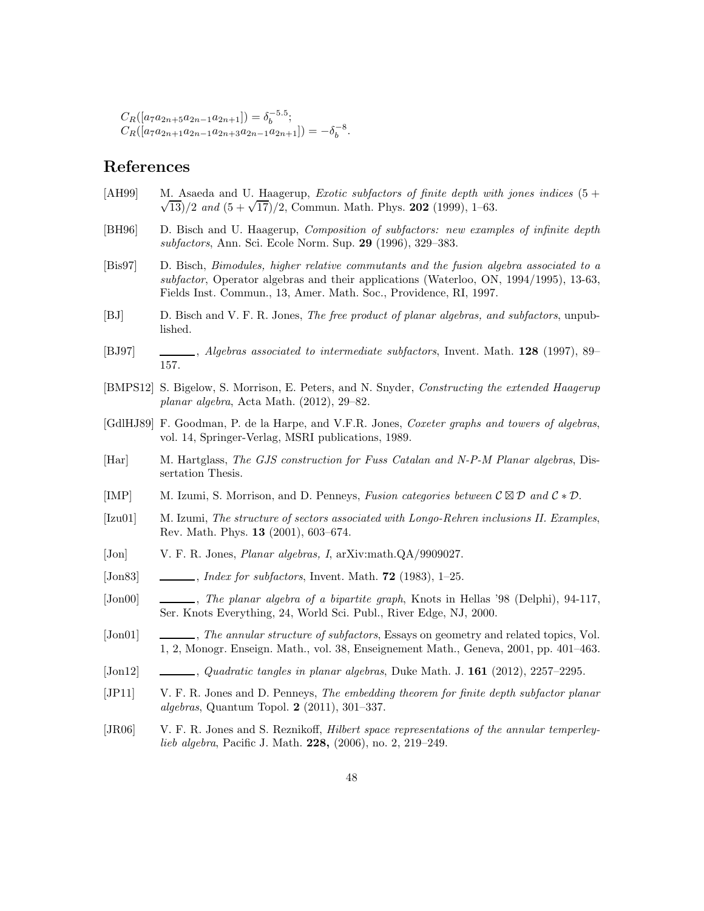$C_R([a_7a_{2n+5}a_{2n-1}a_{2n+1}]) = \delta_b^{-5.5};$  $C_R([a_7a_{2n+1}a_{2n-1}a_{2n+3}a_{2n-1}a_{2n+1}]) = -\delta_b^{-8}.$ 

# References

- <span id="page-47-5"></span> $[AH99]$  M. Asaeda and U. Haagerup, *Exotic subfactors of finite depth with jones indices*  $(5 +$  $\sqrt{13}/2$  and  $(5 + \sqrt{17})/2$ , Commun. Math. Phys. 202 (1999), 1–63.
- <span id="page-47-3"></span>[BH96] D. Bisch and U. Haagerup, Composition of subfactors: new examples of infinite depth subfactors, Ann. Sci. Ecole Norm. Sup. 29 (1996), 329–383.
- <span id="page-47-14"></span>[Bis97] D. Bisch, Bimodules, higher relative commutants and the fusion algebra associated to a subfactor, Operator algebras and their applications (Waterloo, ON, 1994/1995), 13-63, Fields Inst. Commun., 13, Amer. Math. Soc., Providence, RI, 1997.
- <span id="page-47-15"></span>[BJ] D. Bisch and V. F. R. Jones, The free product of planar algebras, and subfactors, unpublished.
- <span id="page-47-4"></span>[BJ97] , Algebras associated to intermediate subfactors, Invent. Math. 128 (1997), 89– 157.
- <span id="page-47-7"></span>[BMPS12] S. Bigelow, S. Morrison, E. Peters, and N. Snyder, Constructing the extended Haagerup planar algebra, Acta Math. (2012), 29–82.
- <span id="page-47-1"></span>[GdlHJ89] F. Goodman, P. de la Harpe, and V.F.R. Jones, Coxeter graphs and towers of algebras, vol. 14, Springer-Verlag, MSRI publications, 1989.
- <span id="page-47-16"></span>[Har] M. Hartglass, The GJS construction for Fuss Catalan and N-P-M Planar algebras, Dissertation Thesis.
- <span id="page-47-12"></span>[IMP] M. Izumi, S. Morrison, and D. Penneys, Fusion categories between  $\mathcal{C} \boxtimes \mathcal{D}$  and  $\mathcal{C} * \mathcal{D}$ .
- <span id="page-47-6"></span>[Izu01] M. Izumi, The structure of sectors associated with Longo-Rehren inclusions II. Examples, Rev. Math. Phys. 13 (2001), 603–674.
- <span id="page-47-2"></span>[Jon] V. F. R. Jones, Planar algebras, I, arXiv:math.QA/9909027.
- <span id="page-47-0"></span>[Jon83]  $\quad \underline{\hspace{1cm}}$ , Index for subfactors, Invent. Math. 72 (1983), 1–25.
- <span id="page-47-9"></span>[Jon00] , The planar algebra of a bipartite graph, Knots in Hellas '98 (Delphi), 94-117, Ser. Knots Everything, 24, World Sci. Publ., River Edge, NJ, 2000.
- <span id="page-47-10"></span>[Jon01] , The annular structure of subfactors, Essays on geometry and related topics, Vol. 1, 2, Monogr. Enseign. Math., vol. 38, Enseignement Math., Geneva, 2001, pp. 401–463.
- <span id="page-47-13"></span>[Jon12] , Quadratic tangles in planar algebras, Duke Math. J. 161 (2012), 2257–2295.
- <span id="page-47-8"></span>[JP11] V. F. R. Jones and D. Penneys, The embedding theorem for finite depth subfactor planar algebras, Quantum Topol. 2 (2011), 301–337.
- <span id="page-47-11"></span>[JR06] V. F. R. Jones and S. Reznikoff, Hilbert space representations of the annular temperleylieb algebra, Pacific J. Math. 228, (2006), no. 2, 219–249.